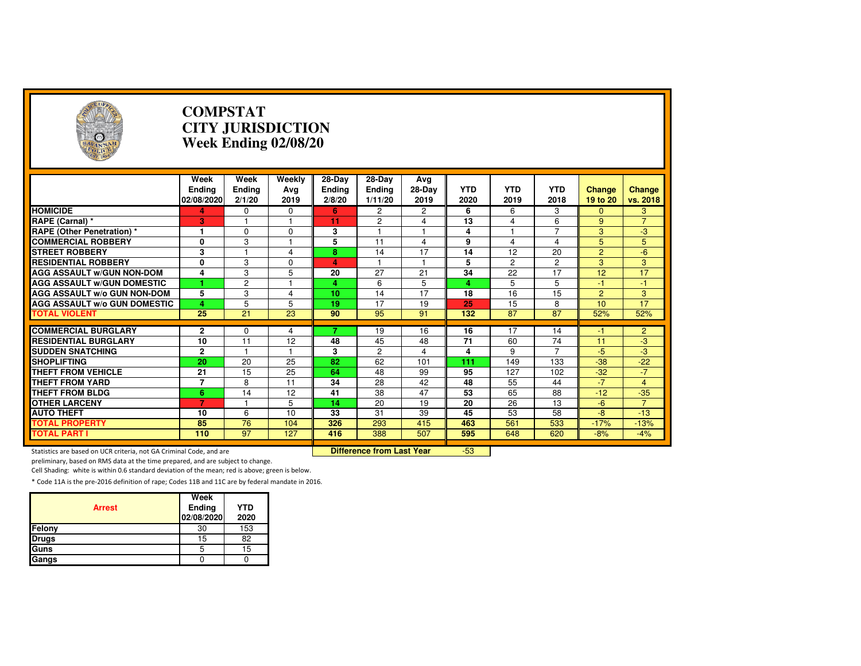| $\left( \frac{1}{2} \right)$                                        |                                     | <b>COMPSTAT</b><br><b>CITY JURISDICTION</b><br>Week Ending 02/08/20 |                                  |                                   |                                    |                         |                         |                    |                    |                    |                    |  |
|---------------------------------------------------------------------|-------------------------------------|---------------------------------------------------------------------|----------------------------------|-----------------------------------|------------------------------------|-------------------------|-------------------------|--------------------|--------------------|--------------------|--------------------|--|
|                                                                     | Week<br><b>Ending</b><br>02/08/2020 | Week<br>Ending<br>2/1/20                                            | Weekly<br>Avg<br>2019            | 28-Day<br><b>Ending</b><br>2/8/20 | 28-Day<br><b>Ending</b><br>1/11/20 | Avg<br>28-Day<br>2019   | <b>YTD</b><br>2020      | <b>YTD</b><br>2019 | <b>YTD</b><br>2018 | Change<br>19 to 20 | Change<br>vs. 2018 |  |
| <b>HOMICIDE</b>                                                     | 4                                   | 0                                                                   | 0                                | 6                                 | 2                                  | 2                       | 6                       | 6                  | 3                  | $\mathbf{0}$       | 3                  |  |
| RAPE (Carnal) *                                                     | 3                                   | 1                                                                   | $\mathbf{1}$                     | 11                                | $\overline{2}$                     | 4                       | 13                      | 4                  | 6                  | 9                  | $\overline{7}$     |  |
| <b>RAPE (Other Penetration)*</b>                                    | 1                                   | $\Omega$                                                            | 0                                | 3                                 |                                    | 1                       | $\overline{\mathbf{4}}$ |                    | $\overline{7}$     | 3                  | $-3$               |  |
| <b>COMMERCIAL ROBBERY</b>                                           | 0                                   | 3                                                                   | $\overline{1}$                   | 5                                 | 11                                 | $\overline{\mathbf{4}}$ | 9                       | 4                  | 4                  | 5                  | $\overline{5}$     |  |
| <b>STREET ROBBERY</b>                                               | 3                                   |                                                                     | 4                                | 8                                 | 14                                 | 17                      | 14                      | 12                 | 20                 | $\overline{2}$     | $-6$               |  |
| <b>RESIDENTIAL ROBBERY</b>                                          | 0                                   | 3                                                                   | 0                                | 4                                 | 1                                  | $\mathbf{1}$            | 5                       | $\overline{2}$     | 2                  | 3                  | 3                  |  |
| <b>AGG ASSAULT w/GUN NON-DOM</b>                                    | 4                                   | 3                                                                   | 5                                | 20                                | $\overline{27}$                    | $\overline{21}$         | 34                      | $\overline{22}$    | $\overline{17}$    | $\overline{12}$    | 17                 |  |
| <b>AGG ASSAULT W/GUN DOMESTIC</b>                                   |                                     | $\overline{2}$                                                      |                                  | 4                                 | 6                                  | $\overline{5}$          | 4                       | 5                  | 5                  | $-1$               | $-1$               |  |
| AGG ASSAULT w/o GUN NON-DOM                                         | 5                                   | 3                                                                   | 4                                | 10                                | 14                                 | 17                      | 18                      | 16                 | 15                 | $\overline{2}$     | 3                  |  |
| <b>AGG ASSAULT W/o GUN DOMESTIC</b>                                 | 4                                   | 5                                                                   | 5                                | 19                                | 17                                 | 19                      | 25                      | 15                 | 8                  | 10                 | 17                 |  |
| <b>TOTAL VIOLENT</b>                                                | 25                                  | 21                                                                  | 23                               | 90                                | 95                                 | 91                      | 132                     | 87                 | 87                 | 52%                | 52%                |  |
|                                                                     |                                     |                                                                     |                                  |                                   |                                    |                         |                         |                    |                    |                    |                    |  |
| <b>COMMERCIAL BURGLARY</b>                                          | 2                                   | $\mathbf 0$                                                         | 4                                |                                   | 19                                 | 16                      | 16                      | 17                 | 14                 | -1                 | $\overline{2}$     |  |
| <b>RESIDENTIAL BURGLARY</b>                                         | 10                                  | 11                                                                  | 12                               | 48                                | 45                                 | 48                      | 71                      | 60                 | 74                 | 11                 | $-3$               |  |
| <b>SUDDEN SNATCHING</b>                                             | $\overline{2}$                      | 1                                                                   | $\mathbf{1}$                     | 3                                 | $\overline{2}$                     | 4                       | 4                       | 9                  | $\overline{7}$     | $-5$               | $-3$               |  |
| <b>SHOPLIFTING</b>                                                  | 20                                  | 20                                                                  | 25                               | $\overline{82}$                   | 62                                 | 101                     | 111                     | 149                | 133                | $-38$              | $-22$              |  |
| THEFT FROM VEHICLE                                                  | 21                                  | 15                                                                  | 25                               | 64                                | 48                                 | 99                      | 95                      | 127                | 102                | $-32$              | $-7$               |  |
| <b>THEFT FROM YARD</b>                                              | $\overline{7}$                      | 8                                                                   | 11                               | 34                                | 28                                 | 42                      | 48                      | 55                 | 44                 | $-7$               | $\overline{4}$     |  |
| <b>THEFT FROM BLDG</b>                                              | 6                                   | $\overline{14}$                                                     | 12                               | 41                                | $\overline{38}$                    | 47                      | 53                      | 65                 | 88                 | $-12$              | $-35$              |  |
| <b>OTHER LARCENY</b>                                                | $\overline{7}$                      |                                                                     | 5                                | 14                                | 20                                 | 19                      | 20                      | 26                 | 13                 | $-6$               | $\overline{7}$     |  |
| <b>AUTO THEFT</b>                                                   | 10                                  | 6                                                                   | 10                               | 33                                | 31                                 | 39                      | 45                      | 53                 | 58                 | $-8$               | $-13$              |  |
| <b>TOTAL PROPERTY</b>                                               | 85                                  | 76                                                                  | 104                              | 326                               | 293                                | 415                     | 463                     | 561                | 533                | $-17%$             | $-13%$             |  |
| <b>TOTAL PART I</b>                                                 | 110                                 | 97                                                                  | 127                              | 416                               | 388                                | 507                     | 595                     | 648                | 620                | $-8%$              | $-4%$              |  |
| Statistics are based on UCR criteria, not GA Criminal Code, and are |                                     |                                                                     | <b>Difference from Last Year</b> |                                   | $-53$                              |                         |                         |                    |                    |                    |                    |  |

Statistics are based on UCR criteria, not GA Criminal Code, and are **Difference from Last Year** 

preliminary, based on RMS data at the time prepared, and are subject to change.

Cell Shading: white is within 0.6 standard deviation of the mean; red is above; green is below.

| <b>Arrest</b> | Week<br>Ending<br>02/08/2020 | <b>YTD</b><br>2020 |
|---------------|------------------------------|--------------------|
| Felony        | 30                           | 153                |
| <b>Drugs</b>  | 15                           | 82                 |
| Guns          | 5                            | 15                 |
| Gangs         |                              |                    |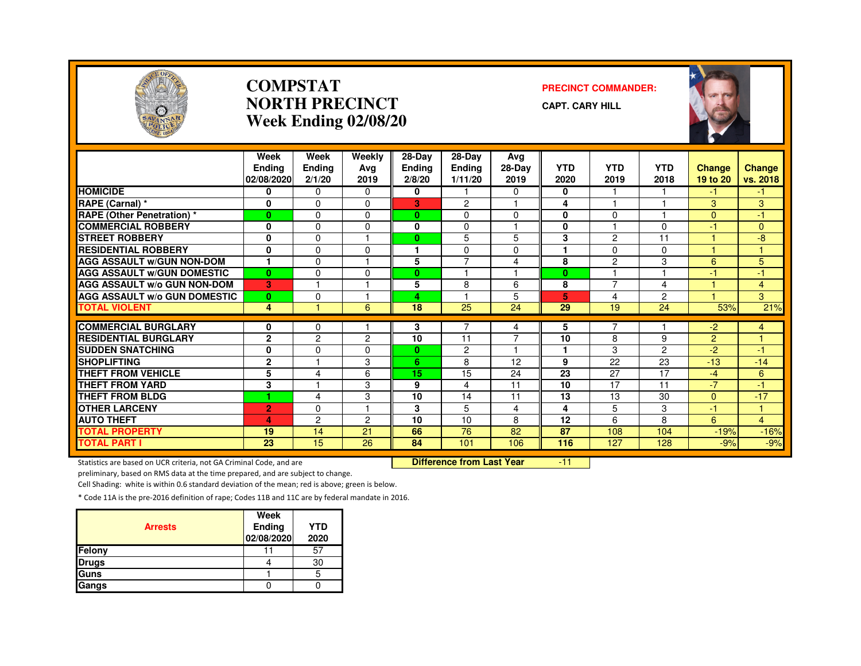

#### **COMPSTATNORTH PRECINCTWeek Ending 02/08/20**

#### **PRECINCT COMMANDER:**

**CAPT. CARY HILL**



|                                              | Week<br><b>Endina</b><br>02/08/2020 | Week<br><b>Ending</b><br>2/1/20 | Weekly<br>Avg<br>2019 | 28-Day<br>Ending<br>2/8/20 | 28-Day<br><b>Endina</b><br>1/11/20 | Avg<br>28-Day<br>2019   | <b>YTD</b><br>2020 | <b>YTD</b><br>2019 | <b>YTD</b><br>2018 | <b>Change</b><br>19 to 20 | <b>Change</b><br>vs. 2018 |
|----------------------------------------------|-------------------------------------|---------------------------------|-----------------------|----------------------------|------------------------------------|-------------------------|--------------------|--------------------|--------------------|---------------------------|---------------------------|
| <b>HOMICIDE</b>                              | 0                                   | $\Omega$                        | 0                     | 0                          |                                    | 0                       | 0                  |                    |                    | -1                        | -1                        |
| RAPE (Carnal) *                              | $\mathbf 0$                         | $\Omega$                        | $\Omega$              | 3                          | 2                                  |                         | 4                  |                    |                    | 3                         | 3                         |
| <b>RAPE</b> (Other Penetration) *            | $\bf{0}$                            | $\Omega$                        | $\Omega$              | $\bf{0}$                   | $\Omega$                           | $\Omega$                | 0                  | $\Omega$           |                    | $\Omega$                  | 47                        |
| <b>COMMERCIAL ROBBERY</b>                    | 0                                   | 0                               | 0                     | 0                          | $\Omega$                           | -1                      | 0                  |                    | $\Omega$           | 47                        | $\Omega$                  |
| <b>STREET ROBBERY</b>                        | $\mathbf 0$                         | 0                               |                       | 0                          | 5                                  | 5                       | 3                  | $\overline{c}$     | 11                 |                           | $-8$                      |
| <b>RESIDENTIAL ROBBERY</b>                   | $\mathbf 0$                         | $\Omega$                        | <sup>0</sup>          |                            | $\Omega$                           | 0                       |                    | $\Omega$           | $\Omega$           |                           |                           |
| <b>AGG ASSAULT W/GUN NON-DOM</b>             | 1                                   | 0                               |                       | 5                          | $\overline{7}$                     | 4                       | 8                  | $\overline{c}$     | 3                  | 6                         | 5                         |
| <b>AGG ASSAULT W/GUN DOMESTIC</b>            | $\bf{0}$                            | $\Omega$                        | $\Omega$              | 0                          | ٠                                  | $\overline{1}$          | $\bf{0}$           |                    |                    | $-1$                      | $-1$                      |
| <b>AGG ASSAULT w/o GUN NON-DOM</b>           | 3                                   | 1                               |                       | 5                          | 8                                  | 6                       | 8                  | $\overline{7}$     | 4                  |                           | $\overline{4}$            |
| <b>AGG ASSAULT W/o GUN DOMESTIC</b>          | $\mathbf{0}$                        | $\Omega$                        |                       | 4                          |                                    | 5                       | 5                  | 4                  | 2                  |                           | 3                         |
| <b>TOTAL VIOLENT</b>                         | 4                                   |                                 | 6                     | 18                         | 25                                 | 24                      | 29                 | 19                 | 24                 | 53%                       | 21%                       |
| <b>COMMERCIAL BURGLARY</b>                   |                                     |                                 |                       |                            | 7                                  |                         |                    | 7                  |                    | $-2$                      |                           |
| <b>RESIDENTIAL BURGLARY</b>                  | 0<br>$\mathbf{2}$                   | 0<br>$\overline{c}$             | $\mathcal{P}$         | 3<br>10                    | 11                                 | 4<br>$\overline{7}$     | 5<br>10            | 8                  | 9                  | $\overline{2}$            | 4<br>и                    |
| <b>SUDDEN SNATCHING</b>                      | 0                                   | 0                               | 0                     | $\bf{0}$                   | $\overline{c}$                     | $\overline{\mathbf{1}}$ | 1                  | 3                  | $\overline{2}$     | $-2$                      | -1                        |
| <b>SHOPLIFTING</b>                           | $\mathbf{2}$                        |                                 | 3                     | 6                          | 8                                  | 12                      | 9                  | 22                 | 23                 | $-13$                     | $-14$                     |
| <b>THEFT FROM VEHICLE</b>                    | 5                                   | $\overline{4}$                  | 6                     | 15                         | 15                                 | 24                      | $\overline{23}$    | 27                 | 17                 | $-4$                      | 6                         |
| <b>THEFT FROM YARD</b>                       |                                     |                                 | 3                     | 9                          | 4                                  | 11                      | 10                 | 17                 | 11                 | $-7$                      | $-1$                      |
| <b>THEFT FROM BLDG</b>                       | 3<br>1                              | $\overline{\mathbf{A}}$         | 3                     | 10                         | 14                                 | 11                      | 13                 | 13                 | 30                 | $\Omega$                  | $-17$                     |
|                                              |                                     | 0                               |                       | 3                          | 5                                  | 4                       | 4                  | 5                  | 3                  | $-1$                      | $\mathbf{1}$              |
| <b>OTHER LARCENY</b><br><b>AUTO THEFT</b>    | $\overline{2}$                      | $\overline{c}$                  | 2                     | 10                         | 10                                 | 8                       | 12                 | 6                  | 8                  | 6                         | $\overline{4}$            |
|                                              | 4<br>19                             | 14                              | 21                    | 66                         | 76                                 | 82                      | 87                 | 108                | 104                |                           |                           |
| <b>TOTAL PROPERTY</b><br><b>TOTAL PART I</b> | $\overline{23}$                     | $\overline{15}$                 | 26                    | 84                         | 101                                | 106                     | 116                | 127                | 128                | $-19%$<br>$-9%$           | $-16%$<br>$-9%$           |
|                                              |                                     |                                 |                       |                            |                                    |                         |                    |                    |                    |                           |                           |

Statistics are based on UCR criteria, not GA Criminal Code, and are **Difference from Last Year** 

-11

preliminary, based on RMS data at the time prepared, and are subject to change.

Cell Shading: white is within 0.6 standard deviation of the mean; red is above; green is below.

| <b>Arrests</b> | Week<br>Ending<br>02/08/2020 | <b>YTD</b><br>2020 |
|----------------|------------------------------|--------------------|
| Felony         |                              | 57                 |
| <b>Drugs</b>   |                              | 30                 |
| <b>Guns</b>    |                              | 5                  |
| Gangs          |                              |                    |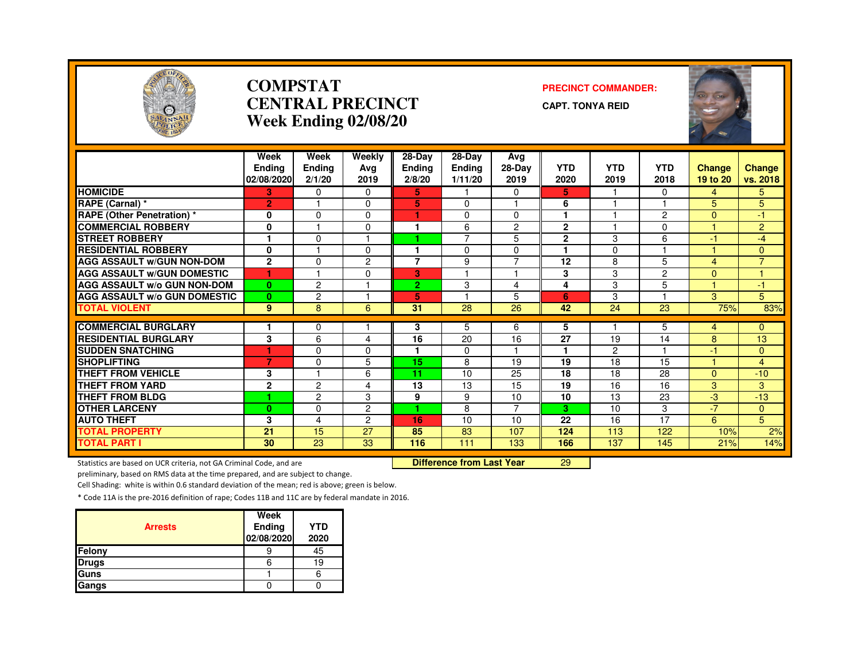

#### **COMPSTATCENTRAL PRECINCTWeek Ending 02/08/20**

#### **PRECINCT COMMANDER:**

**CAPT. TONYA REID**



|                                                                     | Week<br><b>Endina</b><br>02/08/2020 | Week<br><b>Ending</b><br>2/1/20 | Weekly<br>Avg<br>2019 | 28-Day<br>Ending<br>2/8/20 | 28-Day<br><b>Ending</b><br>1/11/20 | Avg<br>28-Day<br>2019 | <b>YTD</b><br>2020 | <b>YTD</b><br>2019 | <b>YTD</b><br>2018 | Change<br>19 to 20 | <b>Change</b><br>vs. 2018      |
|---------------------------------------------------------------------|-------------------------------------|---------------------------------|-----------------------|----------------------------|------------------------------------|-----------------------|--------------------|--------------------|--------------------|--------------------|--------------------------------|
| <b>HOMICIDE</b>                                                     | 3                                   | 0                               | 0                     | 5.                         |                                    | 0                     | 5.                 |                    | 0                  | 4                  | 5                              |
| RAPE (Carnal) *                                                     | $\overline{2}$                      |                                 | 0                     | 5                          | $\Omega$                           |                       | 6                  |                    |                    | 5                  | 5                              |
| <b>RAPE (Other Penetration) *</b>                                   | 0                                   | $\Omega$                        | $\Omega$              | н.                         | $\mathbf 0$                        | $\mathbf 0$           | 1                  |                    | 2                  | $\Omega$           | $-1$                           |
| <b>COMMERCIAL ROBBERY</b>                                           | 0                                   |                                 | 0                     | 1                          | 6                                  | $\overline{2}$        | $\mathbf{2}$       |                    | $\Omega$           |                    | $\overline{2}$                 |
| <b>STREET ROBBERY</b>                                               |                                     | $\Omega$                        |                       |                            | 7                                  | 5                     | $\mathbf{2}$       | 3                  | 6                  | $-1$               | $-4$                           |
| <b>RESIDENTIAL ROBBERY</b>                                          | 0                                   |                                 | 0                     | 1                          | $\mathbf 0$                        | 0                     | 1                  | $\Omega$           |                    |                    | $\mathbf{0}$                   |
| <b>AGG ASSAULT W/GUN NON-DOM</b>                                    | $\mathbf{2}$                        | $\Omega$                        | $\overline{2}$        | $\overline{7}$             | 9                                  | $\overline{7}$        | 12                 | 8                  | 5                  | 4                  | $\overline{7}$                 |
| <b>AGG ASSAULT W/GUN DOMESTIC</b>                                   | 1                                   |                                 | 0                     | 3                          |                                    |                       | 3                  | 3                  | $\overline{2}$     | $\mathbf{0}$       | 1.                             |
| <b>AGG ASSAULT W/o GUN NON-DOM</b>                                  | $\mathbf{0}$                        | $\overline{2}$                  |                       | $\overline{2}$             | 3                                  | 4                     | 4                  | 3                  | 5                  |                    | $-1$                           |
| <b>AGG ASSAULT W/o GUN DOMESTIC</b>                                 | $\mathbf{0}$                        | $\overline{c}$                  |                       | 5                          |                                    | 5                     | 6                  | 3                  |                    | 3                  | 5                              |
| <b>TOTAL VIOLENT</b>                                                | 9                                   | 8                               | 6                     | 31                         | 28                                 | 26                    | 42                 | 24                 | 23                 | 75%                | 83%                            |
| <b>COMMERCIAL BURGLARY</b>                                          |                                     | $\Omega$                        |                       |                            |                                    | 6                     |                    |                    |                    |                    |                                |
| <b>RESIDENTIAL BURGLARY</b>                                         | 3                                   | 6                               | 4                     | 3<br>16                    | 5<br>20                            | 16                    | 5<br>27            | 19                 | 5<br>14            | 4<br>8             | $\mathbf{0}$<br>13             |
| <b>SUDDEN SNATCHING</b>                                             | 1                                   | $\Omega$                        | 0                     |                            | $\mathbf{0}$                       |                       | 1                  | $\overline{2}$     |                    | -1                 |                                |
| <b>SHOPLIFTING</b>                                                  | 7                                   | 0                               | 5                     | 15                         | 8                                  | 19                    | 19                 | 18                 | 15                 |                    | $\mathbf{0}$<br>$\overline{4}$ |
| <b>THEFT FROM VEHICLE</b>                                           |                                     |                                 | 6                     |                            | 10                                 |                       | 18                 | 18                 |                    |                    |                                |
| <b>THEFT FROM YARD</b>                                              | 3                                   | 2                               | 4                     | 11<br>13                   | $\overline{13}$                    | 25<br>15              | $\overline{19}$    | 16                 | 28<br>16           | $\mathbf{0}$<br>3  | $-10$<br>3                     |
| THEFT FROM BLDG                                                     | $\mathbf 2$<br>1                    |                                 |                       |                            |                                    |                       |                    | 13                 |                    |                    |                                |
|                                                                     |                                     | $\overline{2}$                  | 3                     | 9                          | 9                                  | 10<br>$\overline{7}$  | 10<br>3            |                    | 23                 | -3<br>$-7$         | $-13$                          |
| <b>OTHER LARCENY</b>                                                | $\bf{0}$                            | $\mathbf 0$                     | $\overline{2}$        |                            | 8                                  |                       |                    | 10                 | 3                  |                    | $\mathbf{0}$                   |
| <b>AUTO THEFT</b>                                                   | 3                                   | 4                               | $\overline{2}$        | 16                         | 10                                 | 10                    | 22                 | 16                 | 17                 | 6                  | 5                              |
| <b>TOTAL PROPERTY</b>                                               | 21                                  | 15                              | 27                    | 85                         | 83                                 | 107                   | 124                | 113                | 122                | 10%                | 2%                             |
| <b>TOTAL PART I</b>                                                 | 30                                  | 23                              | 33                    | 116                        | 111                                | 133                   | 166                | 137                | 145                | 21%                | 14%                            |
| Statistics are based on UCR criteria, not GA Criminal Code, and are |                                     |                                 |                       |                            | <b>Difference from Last Year</b>   |                       | 29                 |                    |                    |                    |                                |

Statistics are based on UCR criteria, not GA Criminal Code, and are **Difference from Last Year** 

preliminary, based on RMS data at the time prepared, and are subject to change.

Cell Shading: white is within 0.6 standard deviation of the mean; red is above; green is below.

| <b>Arrests</b> | Week<br>Ending<br>02/08/2020 | <b>YTD</b><br>2020 |
|----------------|------------------------------|--------------------|
| Felony         |                              | 45                 |
| <b>Drugs</b>   |                              | 19                 |
| Guns           |                              |                    |
| Gangs          |                              |                    |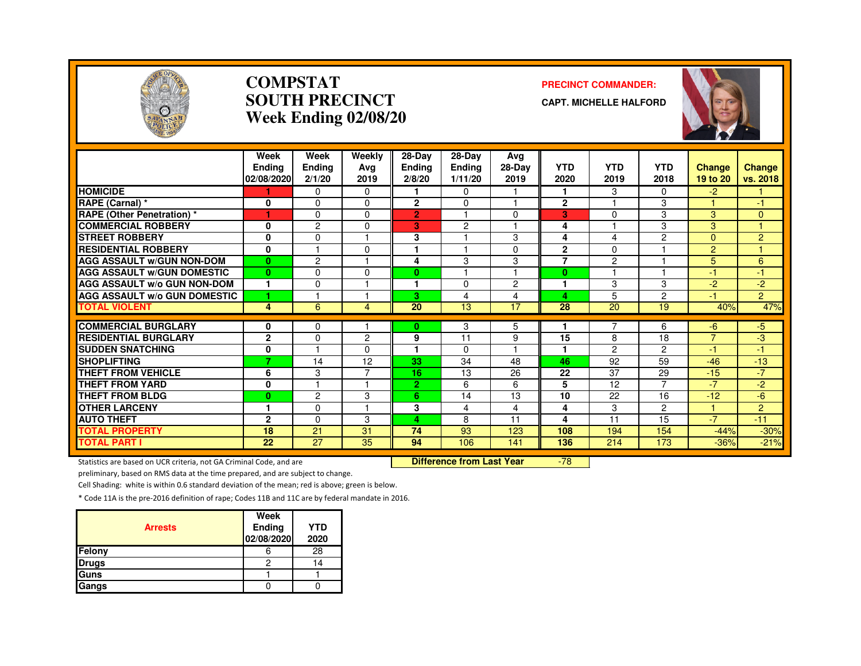

#### **COMPSTATSOUTH PRECINCTWeek Ending 02/08/20**

#### **PRECINCT COMMANDER:**

**CAPT. MICHELLE HALFORD**



|                                     | Week<br><b>Endina</b><br>02/08/2020 | Week<br>Ending<br>2/1/20 | Weekly<br>Avg<br>2019 | 28-Day<br><b>Ending</b><br>2/8/20 | $28-Dav$<br><b>Ending</b><br>1/11/20 | Avg<br>28-Day<br>2019 | <b>YTD</b><br>2020 | <b>YTD</b><br>2019 | <b>YTD</b><br>2018 | Change<br>19 to 20   | <b>Change</b><br>vs. 2018 |
|-------------------------------------|-------------------------------------|--------------------------|-----------------------|-----------------------------------|--------------------------------------|-----------------------|--------------------|--------------------|--------------------|----------------------|---------------------------|
| <b>HOMICIDE</b>                     |                                     | 0                        | $\Omega$              |                                   | $\Omega$                             |                       | 1                  | 3                  | 0                  | $-2$                 |                           |
| <b>RAPE (Carnal) *</b>              | 0                                   | $\Omega$                 | 0                     | $\overline{2}$                    | $\Omega$                             | $\overline{4}$        | $\mathbf{2}$       |                    | 3                  |                      | -1                        |
| <b>RAPE</b> (Other Penetration) *   | ٦                                   | $\Omega$                 | 0                     | $\overline{2}$                    |                                      | $\Omega$              | 3                  | 0                  | 3                  | 3                    | $\mathbf{0}$              |
| <b>COMMERCIAL ROBBERY</b>           | $\mathbf 0$                         | $\overline{c}$           | 0                     | 3                                 | $\overline{c}$                       |                       | 4                  |                    | 3                  | 3                    |                           |
| <b>STREET ROBBERY</b>               | $\mathbf{0}$                        | $\Omega$                 |                       | 3                                 |                                      | 3                     | 4                  | 4                  | 2                  | $\Omega$             | $\overline{2}$            |
| <b>RESIDENTIAL ROBBERY</b>          | $\mathbf{0}$                        |                          | $\Omega$              |                                   |                                      | $\mathbf 0$           | $\overline{2}$     | $\Omega$           |                    | 2                    |                           |
| <b>AGG ASSAULT W/GUN NON-DOM</b>    | $\mathbf{0}$                        | $\overline{c}$           |                       | 4                                 | 3                                    | 3                     | 7                  | $\overline{2}$     |                    | 5                    | 6                         |
| <b>AGG ASSAULT W/GUN DOMESTIC</b>   | $\bf{0}$                            | $\Omega$                 | $\Omega$              | 0                                 |                                      | $\overline{4}$        | $\bf{0}$           | ۰                  |                    | $-1$                 | -1                        |
| <b>AGG ASSAULT w/o GUN NON-DOM</b>  | 1                                   | 0                        |                       | ۴                                 | 0                                    | $\overline{c}$        | 1                  | 3                  | 3                  | -2                   | -2                        |
| <b>AGG ASSAULT W/o GUN DOMESTIC</b> | и                                   |                          |                       | 3                                 | 4                                    | 4                     | 4                  | 5                  | 2                  | $-1$                 | $\overline{2}$            |
| <b>TOTAL VIOLENT</b>                | 4                                   | 6                        | 4                     | 20                                | 13                                   | 17                    | 28                 | 20                 | 19                 | 40%                  | 47%                       |
| <b>COMMERCIAL BURGLARY</b>          | $\mathbf 0$                         | $\Omega$                 |                       | 0                                 | 3                                    | 5                     |                    |                    | 6                  |                      | $-5$                      |
| <b>RESIDENTIAL BURGLARY</b>         | $\overline{2}$                      | $\Omega$                 | $\overline{2}$        | 9                                 | 11                                   | 9                     | 15                 | 8                  | 18                 | -6<br>$\overline{7}$ | -3                        |
| <b>SUDDEN SNATCHING</b>             | 0                                   |                          | 0                     |                                   | $\mathbf{0}$                         |                       |                    | $\overline{2}$     | 2                  | -1                   | -1                        |
| <b>SHOPLIFTING</b>                  | 7                                   | 14                       | 12                    | 33                                | 34                                   | 48                    | 46                 | 92                 | 59                 | $-46$                | $-13$                     |
| <b>THEFT FROM VEHICLE</b>           |                                     | 3                        |                       | 16                                | 13                                   |                       | 22                 | 37                 | 29                 | $-15$                | $-7$                      |
| <b>THEFT FROM YARD</b>              | 6                                   |                          |                       |                                   |                                      | 26                    | 5                  |                    | $\overline{7}$     | $-7$                 |                           |
|                                     | 0                                   |                          |                       | $\mathbf{2}$                      | 6                                    | 6                     |                    | 12                 |                    |                      | $-2$                      |
| <b>THEFT FROM BLDG</b>              | $\bf{0}$                            | $\overline{c}$           | 3                     | 6                                 | 14                                   | 13                    | 10                 | 22                 | 16                 | $-12$                | -6                        |
| <b>OTHER LARCENY</b>                | 1                                   | $\Omega$                 |                       | 3                                 | 4                                    | 4                     | 4                  | 3                  | $\overline{2}$     |                      | $\overline{2}$            |
| <b>AUTO THEFT</b>                   | $\overline{2}$                      | $\Omega$                 | 3                     | 4                                 | 8                                    | 11                    | 4                  | 11                 | 15                 | $-7$                 | $-11$                     |
| <b>TOTAL PROPERTY</b>               | 18                                  | 21                       | 31                    | 74                                | 93                                   | 123                   | 108                | 194                | 154                | $-44%$               | $-30%$                    |
| <b>TOTAL PART I</b>                 | 22                                  | 27                       | 35                    | 94                                | 106                                  | 141                   | 136                | 214                | 173                | $-36%$               | $-21%$                    |

Statistics are based on UCR criteria, not GA Criminal Code, and are **Difference from Last Year** 

-78

preliminary, based on RMS data at the time prepared, and are subject to change.

Cell Shading: white is within 0.6 standard deviation of the mean; red is above; green is below.

| <b>Arrests</b> | Week<br>Ending<br>02/08/2020 | YTD<br>2020 |
|----------------|------------------------------|-------------|
| Felony         |                              | 28          |
| <b>Drugs</b>   |                              | 14          |
| Guns           |                              |             |
| Gangs          |                              |             |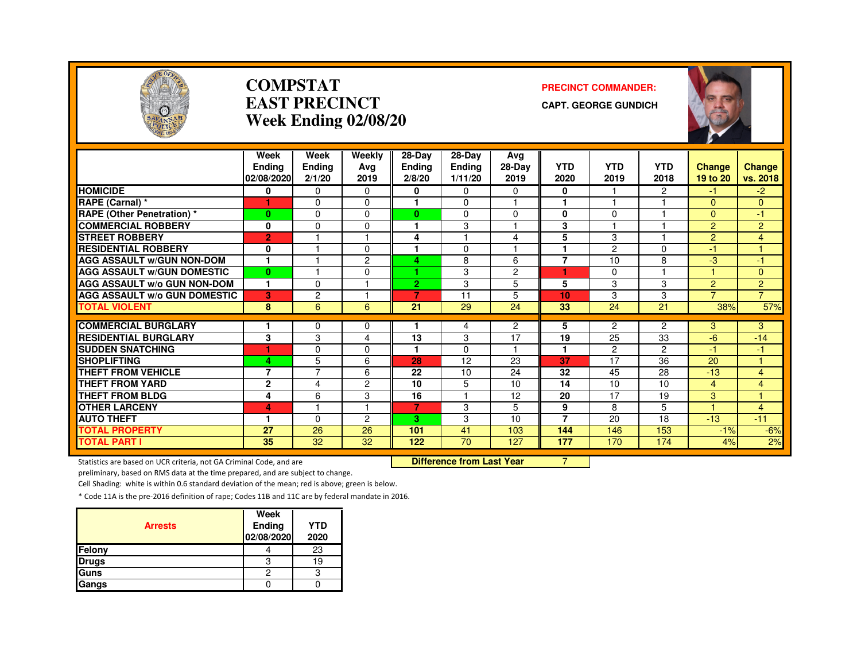

#### **COMPSTATEAST PRECINCTWeek Ending 02/08/20**

#### **PRECINCT COMMANDER:**

**CAPT. GEORGE GUNDICH**



|                                     | Week           | Week           | Weekly         | 28-Day         | $28-Dav$      | Avg            |                 |                |                |                |                |
|-------------------------------------|----------------|----------------|----------------|----------------|---------------|----------------|-----------------|----------------|----------------|----------------|----------------|
|                                     | Endina         | Ending         | Ava            | <b>Ending</b>  | <b>Ending</b> | 28-Day         | <b>YTD</b>      | <b>YTD</b>     | <b>YTD</b>     | Change         | <b>Change</b>  |
|                                     | 02/08/2020     | 2/1/20         | 2019           | 2/8/20         | 1/11/20       | 2019           | 2020            | 2019           | 2018           | 19 to 20       | vs. 2018       |
| <b>HOMICIDE</b>                     | 0              | $\Omega$       | $\Omega$       | 0              | 0             | 0              | 0               |                | $\overline{2}$ | -1             | $-2$           |
| RAPE (Carnal) *                     | 1              | $\Omega$       | $\Omega$       |                | 0             | ٠              |                 |                |                | $\overline{0}$ | 0              |
| <b>RAPE (Other Penetration) *</b>   | $\bf{0}$       | $\Omega$       | $\Omega$       | $\mathbf{0}$   | 0             | $\Omega$       | $\bf{0}$        | $\Omega$       |                | $\Omega$       | $-1$           |
| <b>COMMERCIAL ROBBERY</b>           | 0              | $\Omega$       | $\Omega$       |                | 3             | ٠              | 3               |                |                | 2              | $\overline{2}$ |
| <b>STREET ROBBERY</b>               | $\overline{2}$ |                |                | 4              |               | 4              | 5               | 3              |                | $\overline{2}$ | $\overline{4}$ |
| <b>RESIDENTIAL ROBBERY</b>          | 0              |                | $\Omega$       |                | 0             |                |                 | $\overline{c}$ | $\Omega$       | $-1$           |                |
| <b>AGG ASSAULT W/GUN NON-DOM</b>    |                |                | 2              | 4              | 8             | 6              | $\overline{7}$  | 10             | 8              | $-3$           | -1             |
| <b>AGG ASSAULT W/GUN DOMESTIC</b>   | $\bf{0}$       |                | $\Omega$       |                | 3             | $\overline{c}$ |                 | $\mathbf 0$    |                |                | 0              |
| AGG ASSAULT w/o GUN NON-DOM         | $\mathbf{1}$   | $\Omega$       |                | $\overline{2}$ | 3             | 5              | 5               | 3              | 3              | $\overline{2}$ | $\overline{2}$ |
| <b>AGG ASSAULT W/o GUN DOMESTIC</b> | 3              | $\overline{c}$ |                | $\overline{7}$ | 11            | 5              | 10              | 3              | 3              | $\overline{7}$ | $\overline{7}$ |
| <b>TOTAL VIOLENT</b>                | 8              | 6              | 6              | 21             | 29            | 24             | 33              | 24             | 21             | 38%            | 57%            |
|                                     |                |                |                |                |               |                |                 |                |                |                |                |
| <b>COMMERCIAL BURGLARY</b>          |                | $\Omega$       | $\Omega$       |                | 4             | $\overline{2}$ | 5               | 2              | $\overline{c}$ | 3              | 3              |
| <b>RESIDENTIAL BURGLARY</b>         | 3              | 3              | 4              | 13<br>4        | 3             | 17<br>н        | 19              | 25             | 33             | $-6$           | $-14$          |
| <b>SUDDEN SNATCHING</b>             | ٠              | $\Omega$       | $\Omega$       |                | 0             |                | 1               | $\overline{c}$ | 2              | $\bullet$      | 47             |
| <b>SHOPLIFTING</b>                  | 4              | 5              | 6              | 28             | 12            | 23             | 37              | 17             | 36             | 20             |                |
| <b>THEFT FROM VEHICLE</b>           | $\overline{7}$ | $\overline{7}$ | 6              | 22             | 10            | 24             | 32              | 45             | 28             | $-13$          | 4              |
| <b>THEFT FROM YARD</b>              | $\overline{2}$ | 4              | $\overline{2}$ | 10             | 5             | 10             | $\overline{14}$ | 10             | 10             | 4              | 4              |
| <b>THEFT FROM BLDG</b>              | 4              | 6              | 3              | 16             |               | 12             | 20              | 17             | 19             | 3              |                |
| <b>OTHER LARCENY</b>                | 4              |                | и              | $\overline{7}$ | 3             | 5              | 9               | 8              | 5              |                | 4              |
| <b>AUTO THEFT</b>                   | -1             | $\Omega$       | 2              | 3              | 3             | 10             | $\overline{7}$  | 20             | 18             | $-13$          | $-11$          |
| <b>TOTAL PROPERTY</b>               | 27             | 26             | 26             | 101            | 41            | 103            | 144             | 146            | 153            | $-1%$          | $-6%$          |
| <b>TOTAL PART I</b>                 | 35             | 32             | 32             | 122            | 70            | 127            | 177             | 170            | 174            | 4%             | 2%             |

Statistics are based on UCR criteria, not GA Criminal Code, and are

Difference from Last Year 7

preliminary, based on RMS data at the time prepared, and are subject to change.

Cell Shading: white is within 0.6 standard deviation of the mean; red is above; green is below.

| <b>Arrests</b> | Week<br><b>Ending</b><br>02/08/2020 | YTD<br>2020 |
|----------------|-------------------------------------|-------------|
| Felony         |                                     | 23          |
| <b>Drugs</b>   | З                                   |             |
| Guns           | 2                                   |             |
| Gangs          |                                     |             |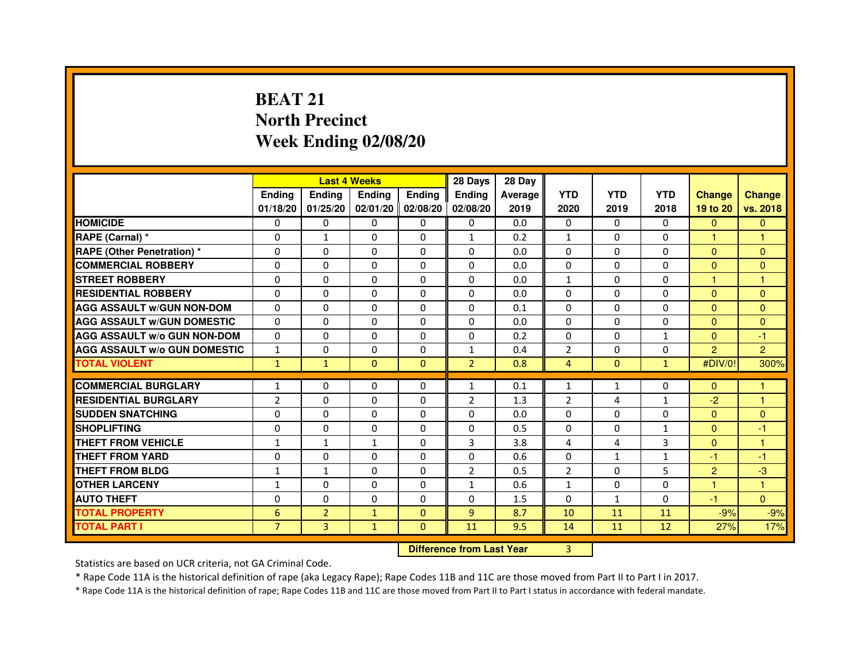# **BEAT 21 North PrecinctWeek Ending 02/08/20**

|                                     |                | <b>Last 4 Weeks</b> |                                  |                   | 28 Days        | 28 Day  |                |              |              |                |                |
|-------------------------------------|----------------|---------------------|----------------------------------|-------------------|----------------|---------|----------------|--------------|--------------|----------------|----------------|
|                                     | <b>Ending</b>  | Ending              | <b>Ending</b>                    | <b>Ending</b>     | <b>Ending</b>  | Average | <b>YTD</b>     | <b>YTD</b>   | <b>YTD</b>   | <b>Change</b>  | <b>Change</b>  |
|                                     | 01/18/20       | 01/25/20            |                                  | 02/01/20 02/08/20 | 02/08/20       | 2019    | 2020           | 2019         | 2018         | 19 to 20       | vs. 2018       |
| <b>HOMICIDE</b>                     | 0              | 0                   | $\mathbf{0}$                     | 0                 | 0              | 0.0     | $\Omega$       | $\Omega$     | 0            | $\mathbf{0}$   | $\mathbf{0}$   |
| RAPE (Carnal) *                     | 0              | 1                   | 0                                | 0                 | $\mathbf{1}$   | 0.2     | 1              | $\Omega$     | $\Omega$     | 1              | 1              |
| <b>RAPE (Other Penetration) *</b>   | 0              | 0                   | 0                                | $\mathbf{0}$      | $\Omega$       | 0.0     | $\Omega$       | $\mathbf{0}$ | $\Omega$     | $\Omega$       | $\Omega$       |
| <b>COMMERCIAL ROBBERY</b>           | $\mathbf 0$    | 0                   | $\Omega$                         | $\mathbf{0}$      | $\mathbf{0}$   | 0.0     | $\mathbf{0}$   | $\mathbf{0}$ | $\Omega$     | $\Omega$       | $\mathbf{0}$   |
| <b>STREET ROBBERY</b>               | 0              | $\Omega$            | $\Omega$                         | $\mathbf{0}$      | $\Omega$       | 0.0     | $\mathbf{1}$   | $\Omega$     | $\Omega$     | $\mathbf{1}$   | 1              |
| <b>RESIDENTIAL ROBBERY</b>          | 0              | 0                   | $\Omega$                         | 0                 | $\Omega$       | 0.0     | $\Omega$       | $\Omega$     | $\Omega$     | $\Omega$       | $\mathbf{0}$   |
| <b>AGG ASSAULT W/GUN NON-DOM</b>    | $\Omega$       | $\Omega$            | 0                                | $\mathbf{0}$      | $\Omega$       | 0.1     | $\Omega$       | $\Omega$     | $\Omega$     | $\Omega$       | $\Omega$       |
| <b>AGG ASSAULT W/GUN DOMESTIC</b>   | $\Omega$       | $\Omega$            | $\Omega$                         | $\Omega$          | $\Omega$       | 0.0     | $\Omega$       | $\Omega$     | $\Omega$     | $\Omega$       | $\Omega$       |
| <b>AGG ASSAULT W/o GUN NON-DOM</b>  | $\Omega$       | $\Omega$            | $\Omega$                         | $\Omega$          | $\Omega$       | 0.2     | $\Omega$       | $\Omega$     | $\mathbf{1}$ | $\Omega$       | $-1$           |
| <b>AGG ASSAULT W/o GUN DOMESTIC</b> | $\mathbf{1}$   | 0                   | 0                                | $\Omega$          | $\mathbf{1}$   | 0.4     | $\overline{2}$ | $\Omega$     | $\Omega$     | $\overline{2}$ | $\overline{2}$ |
| <b>TOTAL VIOLENT</b>                | $\mathbf{1}$   | $\mathbf{1}$        | $\mathbf{0}$                     | $\mathbf{0}$      | $\overline{2}$ | 0.8     | 4              | $\mathbf{0}$ | $\mathbf{1}$ | #DIV/0!        | 300%           |
| <b>COMMERCIAL BURGLARY</b>          | $\mathbf{1}$   | 0                   | 0                                | 0                 | $\mathbf{1}$   | 0.1     | $\mathbf{1}$   | $\mathbf{1}$ | 0            | $\mathbf{0}$   | 1              |
| <b>RESIDENTIAL BURGLARY</b>         | $\overline{2}$ | 0                   | $\Omega$                         | $\mathbf{0}$      | $\overline{2}$ | 1.3     | $\overline{2}$ | 4            | $\mathbf{1}$ | $-2$           | $\mathbf{1}$   |
| <b>SUDDEN SNATCHING</b>             | 0              | $\Omega$            | $\Omega$                         | $\Omega$          | $\Omega$       | 0.0     | $\Omega$       | $\Omega$     | $\Omega$     | $\Omega$       | $\Omega$       |
| <b>SHOPLIFTING</b>                  | 0              | $\Omega$            | 0                                | $\mathbf{0}$      | $\Omega$       | 0.5     | 0              | 0            | $\mathbf{1}$ | $\mathbf{0}$   | $-1$           |
| THEFT FROM VEHICLE                  | $\mathbf{1}$   | $\mathbf{1}$        | $\mathbf{1}$                     | $\Omega$          | 3              | 3.8     | 4              | 4            | 3            | $\mathbf{0}$   | 1              |
| <b>THEFT FROM YARD</b>              | $\mathbf 0$    | 0                   | $\Omega$                         | $\Omega$          | $\Omega$       | 0.6     | $\Omega$       | $\mathbf{1}$ | $\mathbf{1}$ | $-1$           | $-1$           |
| <b>THEFT FROM BLDG</b>              | $\mathbf{1}$   | $\mathbf{1}$        | 0                                | $\mathbf{0}$      | $\overline{2}$ | 0.5     | $\overline{2}$ | $\Omega$     | 5            | $\overline{2}$ | $-3$           |
| <b>OTHER LARCENY</b>                | $\mathbf{1}$   | $\Omega$            | $\Omega$                         | $\mathbf{0}$      | $\mathbf{1}$   | 0.6     | $\mathbf{1}$   | $\mathbf{0}$ | $\Omega$     | 1.             | 1              |
| <b>AUTO THEFT</b>                   | $\Omega$       | 0                   | $\Omega$                         | $\mathbf{0}$      | $\Omega$       | 1.5     | $\Omega$       | $\mathbf{1}$ | $\Omega$     | $-1$           | $\Omega$       |
| <b>TOTAL PROPERTY</b>               | 6              | $\overline{2}$      | $\mathbf{1}$                     | $\mathbf{0}$      | 9              | 8.7     | 10             | 11           | 11           | $-9%$          | $-9%$          |
| <b>TOTAL PART I</b>                 | $\overline{7}$ | 3                   | $\mathbf{1}$                     | $\Omega$          | 11             | 9.5     | 14             | 11           | 12           | 27%            | 17%            |
|                                     |                |                     | <b>Difference from Last Year</b> |                   | $\overline{3}$ |         |                |              |              |                |                |

Statistics are based on UCR criteria, not GA Criminal Code.

\* Rape Code 11A is the historical definition of rape (aka Legacy Rape); Rape Codes 11B and 11C are those moved from Part II to Part I in 2017.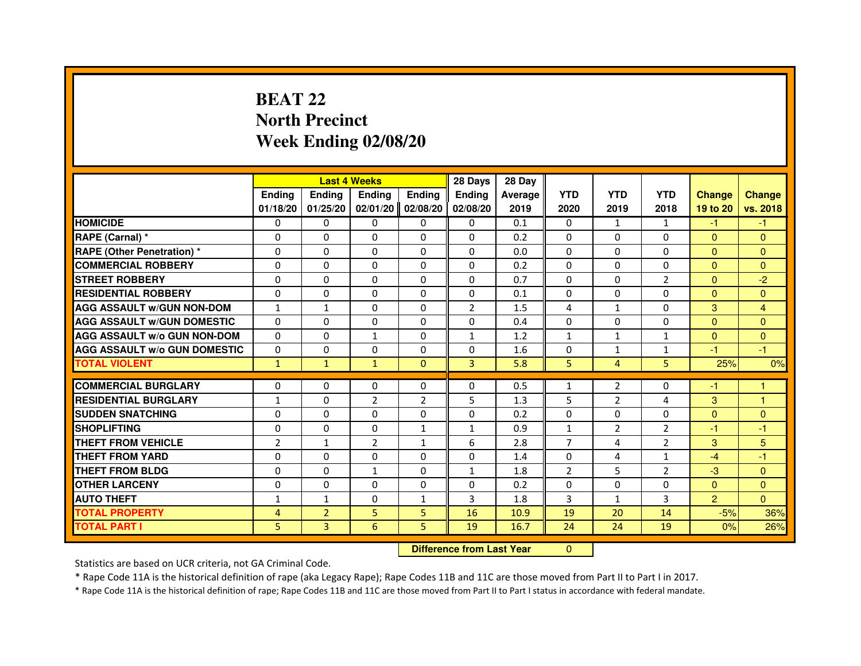# **BEAT 22 North PrecinctWeek Ending 02/08/20**

|                                     |                | <b>Last 4 Weeks</b> |                |                | 28 Days                          | 28 Day  |                |                |                |                |                |
|-------------------------------------|----------------|---------------------|----------------|----------------|----------------------------------|---------|----------------|----------------|----------------|----------------|----------------|
|                                     | <b>Ending</b>  | <b>Ending</b>       | <b>Ending</b>  | <b>Ending</b>  | <b>Ending</b>                    | Average | <b>YTD</b>     | <b>YTD</b>     | <b>YTD</b>     | <b>Change</b>  | <b>Change</b>  |
|                                     | 01/18/20       | 01/25/20            | 02/01/20       | 02/08/20       | 02/08/20                         | 2019    | 2020           | 2019           | 2018           | 19 to 20       | vs. 2018       |
| <b>HOMICIDE</b>                     | $\Omega$       | $\Omega$            | $\Omega$       | $\Omega$       | $\mathbf{0}$                     | 0.1     | $\Omega$       | $\mathbf{1}$   | $\mathbf{1}$   | $-1$           | $-1$           |
| RAPE (Carnal) *                     | 0              | $\mathbf{0}$        | 0              | $\Omega$       | $\mathbf{0}$                     | 0.2     | $\Omega$       | $\mathbf{0}$   | $\Omega$       | $\mathbf{0}$   | $\mathbf{0}$   |
| <b>RAPE (Other Penetration) *</b>   | $\Omega$       | $\Omega$            | $\Omega$       | $\Omega$       | $\Omega$                         | 0.0     | $\Omega$       | $\Omega$       | $\Omega$       | $\Omega$       | $\mathbf{0}$   |
| <b>COMMERCIAL ROBBERY</b>           | $\Omega$       | $\Omega$            | $\Omega$       | $\Omega$       | $\Omega$                         | 0.2     | $\Omega$       | $\Omega$       | $\Omega$       | $\Omega$       | $\mathbf{0}$   |
| <b>STREET ROBBERY</b>               | 0              | $\Omega$            | 0              | $\Omega$       | $\Omega$                         | 0.7     | $\Omega$       | $\Omega$       | $\overline{2}$ | $\Omega$       | $-2$           |
| <b>RESIDENTIAL ROBBERY</b>          | 0              | $\Omega$            | 0              | $\Omega$       | $\Omega$                         | 0.1     | $\Omega$       | $\mathbf{0}$   | $\Omega$       | $\mathbf{0}$   | $\Omega$       |
| <b>AGG ASSAULT W/GUN NON-DOM</b>    | $\mathbf{1}$   | $\mathbf{1}$        | 0              | $\Omega$       | $\overline{2}$                   | 1.5     | 4              | $\mathbf{1}$   | $\Omega$       | 3              | $\overline{4}$ |
| <b>AGG ASSAULT W/GUN DOMESTIC</b>   | $\Omega$       | $\Omega$            | $\Omega$       | $\Omega$       | $\Omega$                         | 0.4     | $\Omega$       | $\Omega$       | $\Omega$       | $\Omega$       | $\mathbf{0}$   |
| <b>AGG ASSAULT W/o GUN NON-DOM</b>  | $\Omega$       | $\mathbf{0}$        | $\mathbf{1}$   | $\mathbf{0}$   | $\mathbf{1}$                     | 1.2     | $\mathbf{1}$   | $\mathbf{1}$   | $\mathbf{1}$   | $\mathbf{0}$   | $\overline{0}$ |
| <b>AGG ASSAULT W/o GUN DOMESTIC</b> | 0              | 0                   | 0              | $\Omega$       | $\Omega$                         | 1.6     | 0              | 1              | 1              | $-1$           | $-1$           |
| <b>TOTAL VIOLENT</b>                | $\mathbf{1}$   | $\mathbf{1}$        | $\mathbf{1}$   | $\mathbf{0}$   | 3                                | 5.8     | 5              | $\overline{4}$ | 5              | 25%            | 0%             |
| <b>COMMERCIAL BURGLARY</b>          | 0              | 0                   | 0              | $\mathbf{0}$   | 0                                | 0.5     | $\mathbf{1}$   | $\overline{2}$ | 0              | $-1$           | 1              |
| <b>RESIDENTIAL BURGLARY</b>         | $\mathbf{1}$   | $\Omega$            | $\overline{2}$ | $\overline{2}$ | 5                                | 1.3     | 5              | $\overline{2}$ | 4              | 3              | 1              |
| <b>SUDDEN SNATCHING</b>             | $\Omega$       | $\Omega$            | $\Omega$       | $\Omega$       | $\Omega$                         | 0.2     | $\Omega$       | $\Omega$       | $\Omega$       | $\Omega$       | $\Omega$       |
| <b>SHOPLIFTING</b>                  | 0              | 0                   | 0              | 1              | $\mathbf{1}$                     | 0.9     | $\mathbf{1}$   | $\overline{2}$ | 2              | $-1$           | -1             |
| THEFT FROM VEHICLE                  | $\overline{2}$ | $\mathbf{1}$        | $\overline{2}$ | $\mathbf{1}$   | 6                                | 2.8     | $\overline{7}$ | 4              | $\overline{2}$ | 3              | 5              |
| <b>THEFT FROM YARD</b>              | 0              | 0                   | 0              | 0              | 0                                | 1.4     | 0              | 4              | $\mathbf{1}$   | $-4$           | $-1$           |
| <b>THEFT FROM BLDG</b>              | $\Omega$       | $\Omega$            | $\mathbf{1}$   | $\Omega$       | $\mathbf{1}$                     | 1.8     | $\overline{2}$ | 5              | $\overline{2}$ | $-3$           | $\mathbf{0}$   |
| <b>OTHER LARCENY</b>                | $\Omega$       | $\Omega$            | 0              | $\Omega$       | $\Omega$                         | 0.2     | $\Omega$       | $\Omega$       | $\Omega$       | $\Omega$       | $\mathbf{0}$   |
| <b>AUTO THEFT</b>                   | $\mathbf{1}$   | $\mathbf{1}$        | $\Omega$       | $\mathbf{1}$   | 3                                | 1.8     | 3              | $\mathbf{1}$   | 3              | $\overline{2}$ | $\Omega$       |
| <b>TOTAL PROPERTY</b>               | 4              | $\overline{2}$      | 5              | 5              | 16                               | 10.9    | 19             | 20             | 14             | $-5%$          | 36%            |
|                                     |                |                     |                |                |                                  |         |                |                |                |                |                |
| <b>TOTAL PART I</b>                 | 5              | 3                   | 6              | 5              | 19                               | 16.7    | 24             | 24             | 19             | 0%             | 26%            |
|                                     |                |                     |                |                | <b>Difference from Last Year</b> |         | $\mathbf{0}$   |                |                |                |                |

 **Difference from Last Year**

Statistics are based on UCR criteria, not GA Criminal Code.

\* Rape Code 11A is the historical definition of rape (aka Legacy Rape); Rape Codes 11B and 11C are those moved from Part II to Part I in 2017.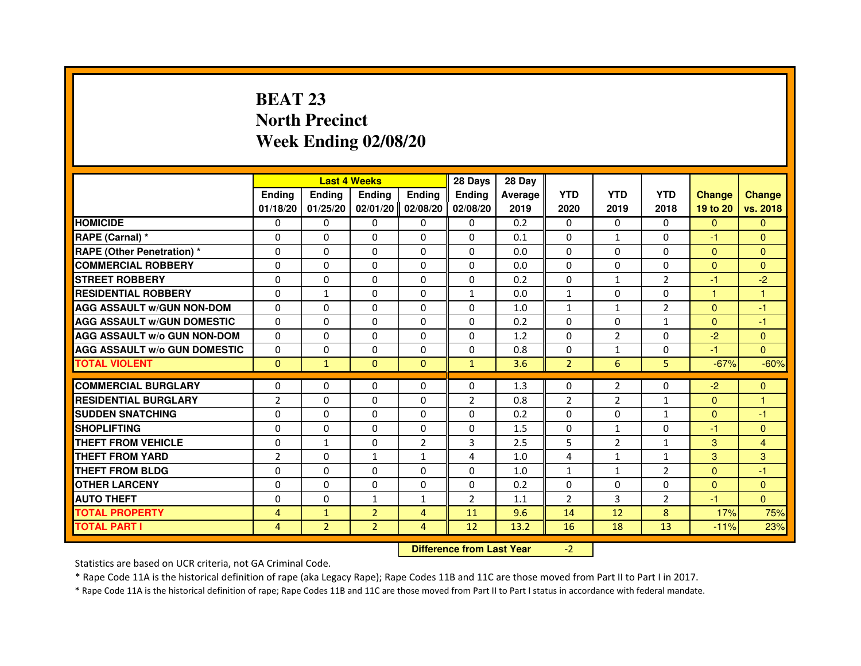# **BEAT 23 North PrecinctWeek Ending 02/08/20**

|                                     |                |                                  | <b>Last 4 Weeks</b> |                | 28 Days        | 28 Day  |                |                |                |               |                |
|-------------------------------------|----------------|----------------------------------|---------------------|----------------|----------------|---------|----------------|----------------|----------------|---------------|----------------|
|                                     | <b>Ending</b>  | <b>Ending</b>                    | <b>Ending</b>       | <b>Ending</b>  | <b>Ending</b>  | Average | <b>YTD</b>     | <b>YTD</b>     | <b>YTD</b>     | <b>Change</b> | <b>Change</b>  |
|                                     | 01/18/20       | 01/25/20                         | 02/01/20            | 02/08/20       | 02/08/20       | 2019    | 2020           | 2019           | 2018           | 19 to 20      | vs. 2018       |
| <b>HOMICIDE</b>                     | $\Omega$       | $\Omega$                         | $\Omega$            | $\Omega$       | $\mathbf{0}$   | 0.2     | $\Omega$       | $\Omega$       | $\Omega$       | $\Omega$      | $\mathbf{0}$   |
| RAPE (Carnal) *                     | 0              | $\mathbf{0}$                     | 0                   | $\Omega$       | $\mathbf{0}$   | 0.1     | $\Omega$       | $\mathbf{1}$   | 0              | $-1$          | $\mathbf{0}$   |
| <b>RAPE (Other Penetration) *</b>   | $\Omega$       | $\Omega$                         | $\Omega$            | $\Omega$       | $\Omega$       | 0.0     | $\Omega$       | $\Omega$       | $\Omega$       | $\Omega$      | $\mathbf{0}$   |
| <b>COMMERCIAL ROBBERY</b>           | $\Omega$       | $\Omega$                         | $\Omega$            | $\Omega$       | $\Omega$       | 0.0     | $\Omega$       | $\Omega$       | $\Omega$       | $\mathbf{0}$  | $\mathbf{0}$   |
| <b>STREET ROBBERY</b>               | 0              | $\Omega$                         | 0                   | $\Omega$       | $\Omega$       | 0.2     | $\Omega$       | $\mathbf{1}$   | $\overline{2}$ | $-1$          | $-2$           |
| <b>RESIDENTIAL ROBBERY</b>          | 0              | $\mathbf{1}$                     | 0                   | $\Omega$       | $\mathbf{1}$   | 0.0     | $\mathbf{1}$   | $\Omega$       | $\Omega$       | 1             | 1              |
| <b>AGG ASSAULT W/GUN NON-DOM</b>    | $\Omega$       | $\Omega$                         | 0                   | $\Omega$       | $\Omega$       | 1.0     | $\mathbf{1}$   | $\mathbf{1}$   | $\overline{2}$ | $\mathbf{0}$  | -1             |
| <b>AGG ASSAULT W/GUN DOMESTIC</b>   | $\Omega$       | $\Omega$                         | $\Omega$            | $\Omega$       | $\Omega$       | 0.2     | $\Omega$       | $\Omega$       | $\mathbf{1}$   | $\Omega$      | $-1$           |
| <b>AGG ASSAULT W/o GUN NON-DOM</b>  | $\Omega$       | $\mathbf{0}$                     | 0                   | $\mathbf{0}$   | 0              | 1.2     | $\Omega$       | $\overline{2}$ | 0              | $-2$          | $\mathbf{0}$   |
| <b>AGG ASSAULT W/o GUN DOMESTIC</b> | 0              | 0                                | 0                   | $\Omega$       | $\Omega$       | 0.8     | $\Omega$       | 1              | 0              | $-1$          | $\Omega$       |
| <b>TOTAL VIOLENT</b>                | $\mathbf{0}$   | $\mathbf{1}$                     | $\mathbf{0}$        | $\mathbf{0}$   | $\mathbf{1}$   | 3.6     | $\overline{2}$ | 6              | 5              | $-67%$        | $-60%$         |
| <b>COMMERCIAL BURGLARY</b>          | 0              | 0                                | 0                   | $\mathbf{0}$   | 0              | 1.3     | 0              | $\overline{2}$ | 0              | $-2$          | $\mathbf{0}$   |
| <b>RESIDENTIAL BURGLARY</b>         | $\overline{2}$ | $\Omega$                         | $\Omega$            | $\Omega$       | $\overline{2}$ | 0.8     | $\overline{2}$ | $\overline{2}$ | $\mathbf{1}$   | $\mathbf{0}$  | 1              |
| <b>SUDDEN SNATCHING</b>             | $\Omega$       | $\Omega$                         | $\Omega$            | $\Omega$       | $\Omega$       | 0.2     | $\Omega$       | $\Omega$       | $\mathbf{1}$   | $\mathbf{0}$  | $-1$           |
| <b>SHOPLIFTING</b>                  | 0              | 0                                | 0                   | 0              | 0              | 1.5     | 0              | 1              | 0              | $-1$          | $\mathbf{0}$   |
| THEFT FROM VEHICLE                  | 0              | $\mathbf{1}$                     | 0                   | $\overline{2}$ | 3              | 2.5     | 5              | $\overline{2}$ | $\mathbf{1}$   | 3             | $\overline{4}$ |
| <b>THEFT FROM YARD</b>              | $\overline{2}$ | 0                                | $\mathbf{1}$        | $\mathbf{1}$   | 4              | 1.0     | 4              | $\mathbf{1}$   | $\mathbf{1}$   | 3             | 3              |
| <b>THEFT FROM BLDG</b>              | $\Omega$       | $\Omega$                         | $\Omega$            | $\Omega$       | $\Omega$       | 1.0     | $\mathbf{1}$   | $\mathbf{1}$   | $\overline{2}$ | $\Omega$      | $-1$           |
| <b>OTHER LARCENY</b>                | 0              | $\Omega$                         | 0                   | $\Omega$       | $\Omega$       | 0.2     | $\Omega$       | $\Omega$       | $\Omega$       | $\Omega$      | $\Omega$       |
| <b>AUTO THEFT</b>                   | $\Omega$       | $\Omega$                         | $\mathbf{1}$        | $\mathbf{1}$   | $\overline{2}$ | 1.1     | $\overline{2}$ | 3              | $\overline{2}$ | $-1$          | $\Omega$       |
| <b>TOTAL PROPERTY</b>               | 4              | $\mathbf{1}$                     | $\overline{2}$      | 4              | 11             | 9.6     | 14             | 12             | 8              | 17%           | 75%            |
| <b>TOTAL PART I</b>                 | 4              | $\overline{2}$                   | $\overline{2}$      | 4              | 12             | 13.2    | 16             | 18             | 13             | $-11%$        | 23%            |
|                                     |                | <b>Difference from Last Year</b> |                     | $-2$           |                |         |                |                |                |               |                |

 **Difference from Last Year**

Statistics are based on UCR criteria, not GA Criminal Code.

\* Rape Code 11A is the historical definition of rape (aka Legacy Rape); Rape Codes 11B and 11C are those moved from Part II to Part I in 2017.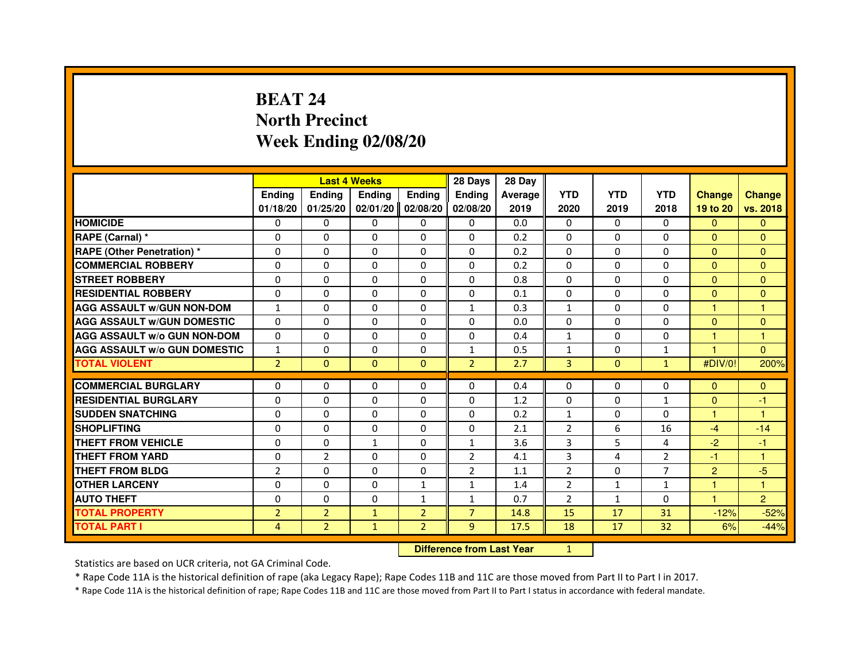# **BEAT 24 North PrecinctWeek Ending 02/08/20**

|                                     |                | <b>Last 4 Weeks</b>              |              |                | 28 Days        | 28 Day  |                |                |                 |                |                |
|-------------------------------------|----------------|----------------------------------|--------------|----------------|----------------|---------|----------------|----------------|-----------------|----------------|----------------|
|                                     | <b>Ending</b>  | Ending                           | Ending       | Ending         | Ending         | Average | <b>YTD</b>     | <b>YTD</b>     | <b>YTD</b>      | <b>Change</b>  | <b>Change</b>  |
|                                     | 01/18/20       | 01/25/20                         | 02/01/20     | 02/08/20       | 02/08/20       | 2019    | 2020           | 2019           | 2018            | 19 to 20       | vs. 2018       |
| <b>HOMICIDE</b>                     | 0              | $\Omega$                         | 0            | 0              | $\mathbf{0}$   | 0.0     | $\mathbf{0}$   | $\Omega$       | $\Omega$        | $\mathbf{0}$   | $\mathbf{0}$   |
| RAPE (Carnal) *                     | 0              | 0                                | 0            | 0              | 0              | 0.2     | 0              | 0              | 0               | $\Omega$       | $\mathbf{0}$   |
| RAPE (Other Penetration) *          | $\Omega$       | 0                                | $\Omega$     | $\Omega$       | $\Omega$       | 0.2     | $\Omega$       | $\Omega$       | $\Omega$        | $\Omega$       | $\overline{0}$ |
| <b>COMMERCIAL ROBBERY</b>           | 0              | $\Omega$                         | $\Omega$     | $\Omega$       | $\Omega$       | 0.2     | $\Omega$       | $\Omega$       | $\Omega$        | $\overline{0}$ | $\mathbf{0}$   |
| <b>STREET ROBBERY</b>               | $\Omega$       | $\Omega$                         | $\Omega$     | $\Omega$       | $\Omega$       | 0.8     | $\Omega$       | $\Omega$       | $\Omega$        | $\Omega$       | $\mathbf{0}$   |
| <b>RESIDENTIAL ROBBERY</b>          | 0              | 0                                | 0            | 0              | 0              | 0.1     | 0              | 0              | $\Omega$        | $\overline{0}$ | $\mathbf{0}$   |
| <b>AGG ASSAULT w/GUN NON-DOM</b>    | $\mathbf{1}$   | $\Omega$                         | $\Omega$     | $\Omega$       | $\mathbf{1}$   | 0.3     | $\mathbf{1}$   | $\Omega$       | 0               | 1              | $\mathbf{1}$   |
| <b>AGG ASSAULT W/GUN DOMESTIC</b>   | $\Omega$       | $\Omega$                         | $\Omega$     | $\Omega$       | $\Omega$       | 0.0     | $\Omega$       | $\Omega$       | $\Omega$        | $\Omega$       | $\Omega$       |
| <b>AGG ASSAULT W/o GUN NON-DOM</b>  | $\Omega$       | $\Omega$                         | $\Omega$     | $\Omega$       | $\Omega$       | 0.4     | $\mathbf{1}$   | $\Omega$       | $\Omega$        | $\mathbf{1}$   | $\mathbf{1}$   |
| <b>AGG ASSAULT w/o GUN DOMESTIC</b> | $\mathbf{1}$   | $\Omega$                         | $\Omega$     | $\Omega$       | $\mathbf{1}$   | 0.5     | $\mathbf{1}$   | $\Omega$       | $\mathbf{1}$    | $\overline{1}$ | $\Omega$       |
| <b>TOTAL VIOLENT</b>                | $\overline{2}$ | $\mathbf{0}$                     | $\mathbf{0}$ | $\mathbf{0}$   | $\overline{2}$ | 2.7     | 3              | $\mathbf{0}$   | $\mathbf{1}$    | #DIV/0!        | 200%           |
| <b>COMMERCIAL BURGLARY</b>          | 0              | 0                                | 0            | 0              | 0              | 0.4     | 0              | 0              | 0               | $\mathbf{0}$   | $\mathbf{0}$   |
| <b>RESIDENTIAL BURGLARY</b>         | 0              | $\Omega$                         | $\Omega$     | $\Omega$       | 0              | 1.2     | 0              | $\Omega$       | $\mathbf{1}$    | $\mathbf{0}$   | $-1$           |
| <b>SUDDEN SNATCHING</b>             | $\Omega$       | $\Omega$                         | $\Omega$     | $\Omega$       | $\Omega$       | 0.2     | $\mathbf{1}$   | $\Omega$       | $\Omega$        | $\mathbf{1}$   | $\mathbf{1}$   |
| <b>SHOPLIFTING</b>                  | 0              | $\Omega$                         | $\Omega$     | $\Omega$       | $\Omega$       | 2.1     | 2              | 6              | 16              | $-4$           | $-14$          |
| <b>THEFT FROM VEHICLE</b>           | 0              | 0                                | $\mathbf{1}$ | $\Omega$       | $\mathbf{1}$   | 3.6     | 3              | 5              | 4               | $-2$           | $-1$           |
| <b>THEFT FROM YARD</b>              | $\Omega$       | $\overline{2}$                   | $\Omega$     | $\Omega$       | $\overline{2}$ | 4.1     | 3              | $\overline{4}$ | $\overline{2}$  | $-1$           | $\mathbf{1}$   |
| <b>THEFT FROM BLDG</b>              | $\overline{2}$ | $\Omega$                         | $\Omega$     | $\Omega$       | $\overline{2}$ | 1.1     | $\overline{2}$ | $\Omega$       | $\overline{7}$  | $\overline{2}$ | $-5$           |
| <b>OTHER LARCENY</b>                | 0              | $\Omega$                         | $\Omega$     | $\mathbf{1}$   | $\mathbf{1}$   | 1.4     | 2              | $\mathbf{1}$   | 1               | $\mathbf{1}$   | $\mathbf{1}$   |
| <b>AUTO THEFT</b>                   | $\Omega$       | $\Omega$                         | $\Omega$     | $\mathbf{1}$   | $\mathbf{1}$   | 0.7     | $\overline{2}$ | $\mathbf{1}$   | $\Omega$        | $\mathbf{1}$   | $\overline{2}$ |
| <b>TOTAL PROPERTY</b>               | $\overline{2}$ | $\overline{2}$                   | $\mathbf{1}$ | $\overline{2}$ | $\overline{7}$ | 14.8    | 15             | 17             | 31              | $-12%$         | $-52%$         |
| <b>TOTAL PART I</b>                 | $\overline{4}$ | $\overline{2}$                   | $\mathbf{1}$ | $\overline{2}$ | 9              | 17.5    | 18             | 17             | 32 <sub>2</sub> | 6%             | $-44%$         |
|                                     |                | <b>Difference from Last Year</b> |              | $\mathbf{1}$   |                |         |                |                |                 |                |                |

 **Difference from Last Year**

Statistics are based on UCR criteria, not GA Criminal Code.

\* Rape Code 11A is the historical definition of rape (aka Legacy Rape); Rape Codes 11B and 11C are those moved from Part II to Part I in 2017.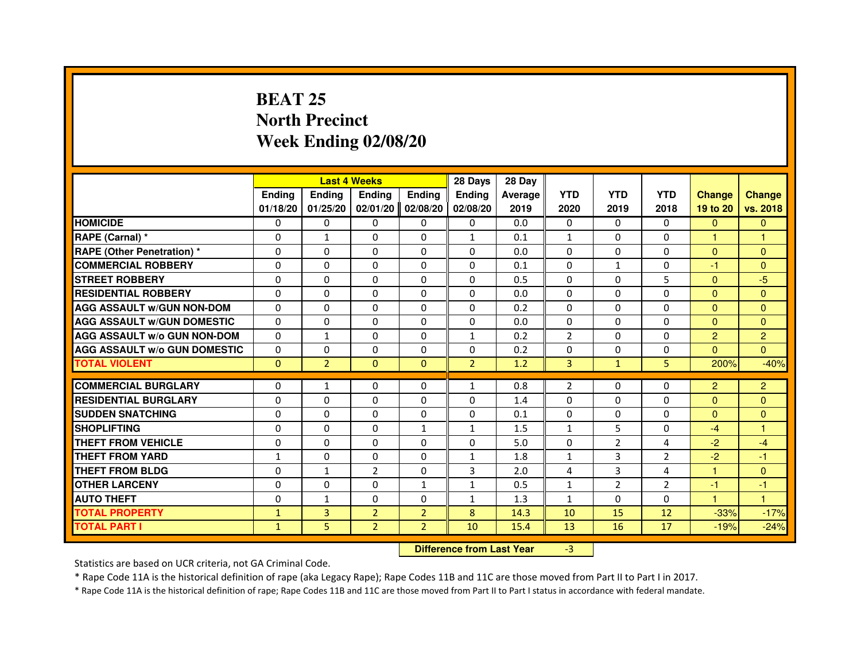# **BEAT 25 North PrecinctWeek Ending 02/08/20**

|                                     |               |                                  | <b>Last 4 Weeks</b> |                | 28 Days        | 28 Day  |                |                |                |                      |                |
|-------------------------------------|---------------|----------------------------------|---------------------|----------------|----------------|---------|----------------|----------------|----------------|----------------------|----------------|
|                                     | <b>Ending</b> | Ending                           | <b>Ending</b>       | <b>Ending</b>  | Ending         | Average | <b>YTD</b>     | <b>YTD</b>     | <b>YTD</b>     | <b>Change</b>        | <b>Change</b>  |
|                                     | 01/18/20      | 01/25/20                         | 02/01/20            | 02/08/20       | 02/08/20       | 2019    | 2020           | 2019           | 2018           | 19 to 20             | vs. 2018       |
| <b>HOMICIDE</b>                     | 0             | 0                                | 0                   | 0              | $\mathbf{0}$   | 0.0     | 0              | 0              | $\Omega$       | $\mathbf{0}$         | $\mathbf{0}$   |
| RAPE (Carnal) *                     | 0             | $\mathbf{1}$                     | 0                   | 0              | 1              | 0.1     | 1              | 0              | 0              | $\blacktriangleleft$ | 1              |
| RAPE (Other Penetration) *          | 0             | 0                                | $\Omega$            | $\Omega$       | $\Omega$       | 0.0     | $\Omega$       | $\Omega$       | $\Omega$       | $\Omega$             | $\Omega$       |
| <b>COMMERCIAL ROBBERY</b>           | 0             | $\Omega$                         | $\Omega$            | $\Omega$       | $\Omega$       | 0.1     | $\Omega$       | $\mathbf{1}$   | $\Omega$       | $-1$                 | $\mathbf{0}$   |
| <b>STREET ROBBERY</b>               | $\Omega$      | $\Omega$                         | $\Omega$            | $\Omega$       | $\Omega$       | 0.5     | $\Omega$       | $\Omega$       | 5              | $\Omega$             | $-5$           |
| <b>RESIDENTIAL ROBBERY</b>          | 0             | 0                                | 0                   | 0              | 0              | 0.0     | 0              | 0              | $\Omega$       | $\Omega$             | $\mathbf{0}$   |
| <b>AGG ASSAULT w/GUN NON-DOM</b>    | $\Omega$      | $\Omega$                         | $\Omega$            | $\Omega$       | $\Omega$       | 0.2     | $\Omega$       | $\Omega$       | $\Omega$       | $\Omega$             | $\Omega$       |
| <b>AGG ASSAULT W/GUN DOMESTIC</b>   | $\Omega$      | $\Omega$                         | $\Omega$            | $\Omega$       | $\Omega$       | 0.0     | $\Omega$       | $\Omega$       | $\Omega$       | $\Omega$             | $\Omega$       |
| <b>AGG ASSAULT W/o GUN NON-DOM</b>  | $\Omega$      | $\mathbf{1}$                     | $\Omega$            | $\Omega$       | $\mathbf{1}$   | 0.2     | $\overline{2}$ | $\Omega$       | $\Omega$       | 2                    | $\overline{2}$ |
| <b>AGG ASSAULT w/o GUN DOMESTIC</b> | $\Omega$      | $\Omega$                         | 0                   | $\Omega$       | $\Omega$       | 0.2     | 0              | $\Omega$       | $\Omega$       | $\Omega$             | $\Omega$       |
| <b>TOTAL VIOLENT</b>                | $\mathbf{0}$  | $\overline{2}$                   | $\mathbf{0}$        | $\mathbf{0}$   | $\overline{2}$ | 1.2     | 3              | $\mathbf{1}$   | 5              | 200%                 | $-40%$         |
| <b>COMMERCIAL BURGLARY</b>          | 0             | $\mathbf{1}$                     | 0                   | 0              | 1              | 0.8     | 2              | 0              | 0              | $\overline{2}$       | $\overline{2}$ |
| <b>RESIDENTIAL BURGLARY</b>         | 0             | $\Omega$                         | $\Omega$            | $\Omega$       | 0              | 1.4     | $\Omega$       | $\Omega$       | $\Omega$       | $\Omega$             | $\mathbf{0}$   |
| <b>SUDDEN SNATCHING</b>             | $\Omega$      | $\Omega$                         | $\Omega$            | $\Omega$       | $\Omega$       | 0.1     | $\Omega$       | $\Omega$       | $\Omega$       | $\Omega$             | $\mathbf{0}$   |
| <b>SHOPLIFTING</b>                  | 0             | $\Omega$                         | 0                   | 1              | 1              | 1.5     | 1              | 5              | 0              | $-4$                 | 1              |
| THEFT FROM VEHICLE                  | 0             | 0                                | 0                   | $\Omega$       | 0              | 5.0     | $\mathbf 0$    | $\overline{2}$ | 4              | $-2$                 | $-4$           |
| <b>THEFT FROM YARD</b>              | $\mathbf{1}$  | $\Omega$                         | $\Omega$            | $\Omega$       | $\mathbf{1}$   | 1.8     | $\mathbf{1}$   | 3              | $\overline{2}$ | $-2$                 | $-1$           |
| <b>THEFT FROM BLDG</b>              | $\Omega$      | $\mathbf{1}$                     | $\overline{2}$      | $\Omega$       | 3              | 2.0     | 4              | 3              | 4              | $\mathbf{1}$         | $\Omega$       |
| <b>OTHER LARCENY</b>                | 0             | $\Omega$                         | 0                   | 1              | $\mathbf{1}$   | 0.5     | 1              | $\overline{2}$ | $\overline{2}$ | $-1$                 | $-1$           |
| <b>AUTO THEFT</b>                   | $\Omega$      | $\mathbf{1}$                     | $\Omega$            | $\Omega$       | $\mathbf{1}$   | 1.3     | $\mathbf{1}$   | $\Omega$       | $\Omega$       | $\mathbf{1}$         | $\mathbf{1}$   |
| <b>TOTAL PROPERTY</b>               | $\mathbf{1}$  | 3                                | $\overline{2}$      | $\overline{2}$ | 8              | 14.3    | 10             | 15             | 12             | $-33%$               | $-17%$         |
| <b>TOTAL PART I</b>                 | $\mathbf{1}$  | 5                                | $\overline{2}$      | $\overline{2}$ | 10             | 15.4    | 13             | 16             | 17             | $-19%$               | $-24%$         |
|                                     |               | <b>Difference from Last Year</b> |                     | $-3$           |                |         |                |                |                |                      |                |

 **Difference from Last Year**

Statistics are based on UCR criteria, not GA Criminal Code.

\* Rape Code 11A is the historical definition of rape (aka Legacy Rape); Rape Codes 11B and 11C are those moved from Part II to Part I in 2017.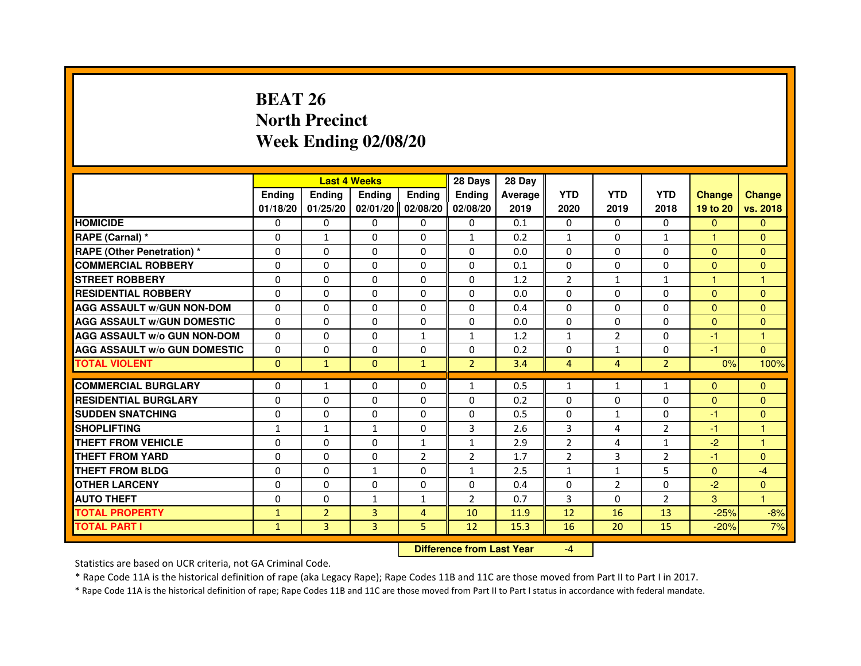# **BEAT 26 North PrecinctWeek Ending 02/08/20**

|                                     |               | <b>Last 4 Weeks</b>              |               |                | 28 Days        | 28 Day  |                |                |                |               |               |
|-------------------------------------|---------------|----------------------------------|---------------|----------------|----------------|---------|----------------|----------------|----------------|---------------|---------------|
|                                     | <b>Ending</b> | Ending                           | <b>Ending</b> | <b>Ending</b>  | <b>Ending</b>  | Average | <b>YTD</b>     | <b>YTD</b>     | <b>YTD</b>     | <b>Change</b> | <b>Change</b> |
|                                     | 01/18/20      | 01/25/20                         | 02/01/20      | 02/08/20       | 02/08/20       | 2019    | 2020           | 2019           | 2018           | 19 to 20      | vs. 2018      |
| <b>HOMICIDE</b>                     | $\Omega$      | $\Omega$                         | $\Omega$      | 0              | 0              | 0.1     | $\Omega$       | 0              | $\Omega$       | $\mathbf{0}$  | $\mathbf{0}$  |
| RAPE (Carnal) *                     | 0             | 1                                | 0             | 0              | $\mathbf{1}$   | 0.2     | $\mathbf{1}$   | 0              | 1              | 1             | $\mathbf{0}$  |
| RAPE (Other Penetration) *          | $\Omega$      | 0                                | $\Omega$      | $\Omega$       | $\Omega$       | 0.0     | $\Omega$       | $\Omega$       | $\Omega$       | $\Omega$      | $\mathbf{0}$  |
| <b>COMMERCIAL ROBBERY</b>           | $\Omega$      | $\Omega$                         | $\Omega$      | $\Omega$       | $\Omega$       | 0.1     | $\Omega$       | $\Omega$       | $\Omega$       | $\Omega$      | $\mathbf{0}$  |
| <b>STREET ROBBERY</b>               | $\Omega$      | $\Omega$                         | $\Omega$      | $\Omega$       | $\Omega$       | 1.2     | $\overline{2}$ | $\mathbf{1}$   | $\mathbf{1}$   | 1             | $\mathbf{1}$  |
| <b>RESIDENTIAL ROBBERY</b>          | 0             | 0                                | $\Omega$      | 0              | 0              | 0.0     | 0              | 0              | $\Omega$       | $\Omega$      | $\mathbf{0}$  |
| <b>AGG ASSAULT W/GUN NON-DOM</b>    | $\Omega$      | $\Omega$                         | $\Omega$      | $\Omega$       | $\Omega$       | 0.4     | $\Omega$       | $\Omega$       | $\Omega$       | $\Omega$      | $\Omega$      |
| <b>AGG ASSAULT W/GUN DOMESTIC</b>   | $\Omega$      | $\Omega$                         | $\Omega$      | $\Omega$       | $\Omega$       | 0.0     | $\Omega$       | $\Omega$       | $\Omega$       | $\Omega$      | $\Omega$      |
| <b>AGG ASSAULT W/o GUN NON-DOM</b>  | $\Omega$      | $\Omega$                         | $\Omega$      | $\mathbf{1}$   | $\mathbf{1}$   | 1.2     | $\mathbf{1}$   | $\overline{2}$ | $\Omega$       | $-1$          | $\mathbf{1}$  |
| <b>AGG ASSAULT W/o GUN DOMESTIC</b> | $\Omega$      | $\Omega$                         | 0             | $\Omega$       | $\Omega$       | 0.2     | $\Omega$       | $\mathbf{1}$   | $\Omega$       | $-1$          | $\Omega$      |
| <b>TOTAL VIOLENT</b>                | $\mathbf{0}$  | $\mathbf{1}$                     | $\mathbf{0}$  | $\mathbf{1}$   | $\overline{2}$ | 3.4     | $\overline{4}$ | $\overline{4}$ | $\overline{2}$ | 0%            | 100%          |
| <b>COMMERCIAL BURGLARY</b>          | 0             | 1                                | 0             | 0              | $\mathbf{1}$   | 0.5     | $\mathbf{1}$   | $\mathbf{1}$   | $\mathbf{1}$   | $\Omega$      | $\mathbf{0}$  |
| <b>RESIDENTIAL BURGLARY</b>         | 0             | $\Omega$                         | $\Omega$      | $\Omega$       | $\Omega$       | 0.2     | $\Omega$       | $\Omega$       | $\Omega$       | $\Omega$      | $\mathbf{0}$  |
| <b>SUDDEN SNATCHING</b>             | $\Omega$      | $\Omega$                         | $\Omega$      | $\Omega$       | $\Omega$       | 0.5     | $\Omega$       | $\mathbf{1}$   | $\Omega$       | $-1$          | $\mathbf{0}$  |
| <b>SHOPLIFTING</b>                  | $\mathbf{1}$  | $\mathbf{1}$                     | $\mathbf{1}$  | 0              | 3              | 2.6     | 3              | 4              | $\overline{2}$ | $-1$          | 1             |
| THEFT FROM VEHICLE                  | 0             | 0                                | $\Omega$      | 1              | $\mathbf{1}$   | 2.9     | $\overline{2}$ | 4              | $\mathbf{1}$   | $-2$          | 1             |
| <b>THEFT FROM YARD</b>              | $\Omega$      | $\Omega$                         | $\Omega$      | $\overline{2}$ | $\overline{2}$ | 1.7     | $\overline{2}$ | 3              | $\overline{2}$ | $-1$          | $\Omega$      |
| <b>THEFT FROM BLDG</b>              | $\Omega$      | $\Omega$                         | $\mathbf{1}$  | $\Omega$       | $\mathbf{1}$   | 2.5     | $\mathbf{1}$   | $\mathbf{1}$   | 5              | $\Omega$      | $-4$          |
| <b>OTHER LARCENY</b>                | 0             | $\Omega$                         | 0             | $\Omega$       | 0              | 0.4     | 0              | $\overline{2}$ | 0              | $-2$          | $\Omega$      |
| <b>AUTO THEFT</b>                   | $\Omega$      | $\Omega$                         | $\mathbf{1}$  | $\mathbf{1}$   | $\overline{2}$ | 0.7     | 3              | $\Omega$       | $\overline{2}$ | 3             | $\mathbf{1}$  |
| <b>TOTAL PROPERTY</b>               | $\mathbf{1}$  | $\overline{2}$                   | 3             | $\overline{4}$ | 10             | 11.9    | 12             | 16             | 13             | $-25%$        | $-8%$         |
| <b>TOTAL PART I</b>                 | $\mathbf{1}$  | 3                                | 3             | 5              | 12             | 15.3    | 16             | 20             | 15             | $-20%$        | 7%            |
|                                     |               | <b>Difference from Last Year</b> |               | $-4$           |                |         |                |                |                |               |               |

 **Difference from Last Year**

Statistics are based on UCR criteria, not GA Criminal Code.

\* Rape Code 11A is the historical definition of rape (aka Legacy Rape); Rape Codes 11B and 11C are those moved from Part II to Part I in 2017.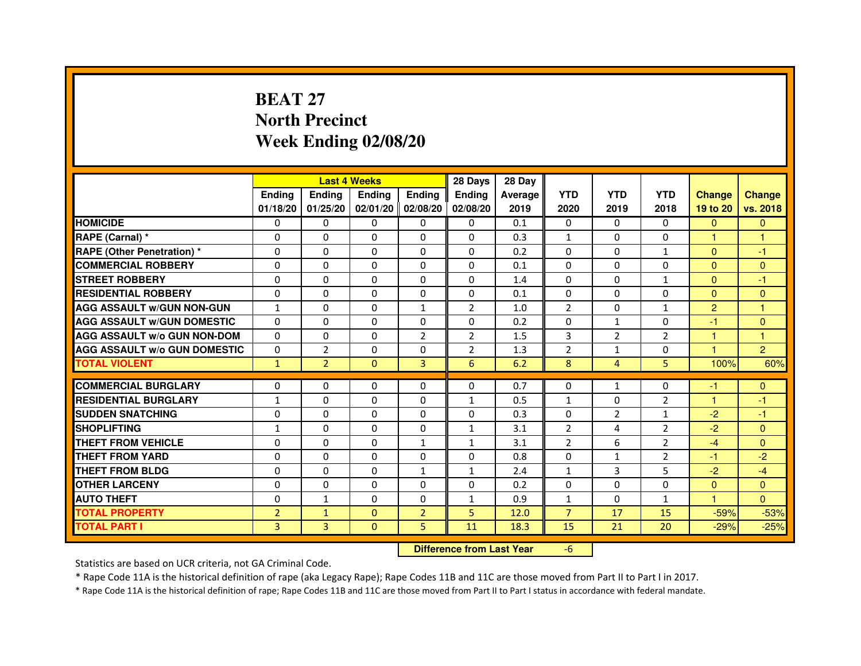# **BEAT 27 North PrecinctWeek Ending 02/08/20**

|                                     |                |                                  | <b>Last 4 Weeks</b> |                | 28 Days        | 28 Day  |                |                |                |                |                |
|-------------------------------------|----------------|----------------------------------|---------------------|----------------|----------------|---------|----------------|----------------|----------------|----------------|----------------|
|                                     | Ending         | Ending                           | Ending              | <b>Ending</b>  | Ending         | Average | <b>YTD</b>     | <b>YTD</b>     | <b>YTD</b>     | <b>Change</b>  | <b>Change</b>  |
|                                     | 01/18/20       | 01/25/20                         | 02/01/20 02/08/20   |                | 02/08/20       | 2019    | 2020           | 2019           | 2018           | 19 to 20       | vs. 2018       |
| <b>HOMICIDE</b>                     | 0              | $\Omega$                         | $\mathbf{0}$        | 0              | 0              | 0.1     | $\Omega$       | $\Omega$       | $\Omega$       | $\mathbf{0}$   | $\mathbf{0}$   |
| RAPE (Carnal) *                     | 0              | 0                                | 0                   | 0              | 0              | 0.3     | 1              | $\mathbf{0}$   | $\Omega$       | 1              | 1              |
| <b>RAPE (Other Penetration) *</b>   | $\Omega$       | $\mathbf 0$                      | $\Omega$            | 0              | 0              | 0.2     | $\Omega$       | $\mathbf{0}$   | $\mathbf{1}$   | $\Omega$       | $-1$           |
| <b>COMMERCIAL ROBBERY</b>           | $\mathbf 0$    | 0                                | $\Omega$            | $\mathbf 0$    | 0              | 0.1     | $\mathbf{0}$   | $\mathbf{0}$   | $\Omega$       | $\Omega$       | $\mathbf{0}$   |
| <b>STREET ROBBERY</b>               | $\Omega$       | $\Omega$                         | $\Omega$            | $\Omega$       | $\Omega$       | 1.4     | $\Omega$       | $\Omega$       | $\mathbf{1}$   | $\Omega$       | $-1$           |
| <b>RESIDENTIAL ROBBERY</b>          | $\Omega$       | $\mathbf 0$                      | 0                   | 0              | 0              | 0.1     | $\Omega$       | $\mathbf{0}$   | 0              | $\mathbf{0}$   | $\mathbf{0}$   |
| <b>AGG ASSAULT w/GUN NON-GUN</b>    | $\mathbf{1}$   | $\Omega$                         | $\Omega$            | $\mathbf{1}$   | $\overline{2}$ | 1.0     | $\overline{2}$ | $\Omega$       | $\mathbf{1}$   | $\overline{2}$ | $\mathbf{1}$   |
| <b>AGG ASSAULT W/GUN DOMESTIC</b>   | $\Omega$       | $\Omega$                         | $\mathbf 0$         | $\Omega$       | 0              | 0.2     | $\Omega$       | $\mathbf{1}$   | 0              | $-1$           | $\Omega$       |
| <b>AGG ASSAULT W/o GUN NON-DOM</b>  | $\Omega$       | $\Omega$                         | $\Omega$            | $\overline{2}$ | $\overline{2}$ | 1.5     | 3              | $\overline{2}$ | $\overline{2}$ | $\mathbf{1}$   | $\mathbf{1}$   |
| <b>AGG ASSAULT w/o GUN DOMESTIC</b> | $\Omega$       | $\overline{2}$                   | $\Omega$            | 0              | $\overline{2}$ | 1.3     | $\overline{2}$ | $\mathbf{1}$   | 0              | 1              | $\overline{2}$ |
| <b>TOTAL VIOLENT</b>                | $\mathbf{1}$   | $\overline{2}$                   | $\mathbf{0}$        | 3              | 6              | 6.2     | 8              | $\overline{4}$ | 5              | 100%           | 60%            |
| <b>COMMERCIAL BURGLARY</b>          | 0              | 0                                | 0                   | 0              | 0              | 0.7     | 0              | 1              | 0              | $-1$           | $\mathbf{0}$   |
| <b>RESIDENTIAL BURGLARY</b>         | $\mathbf{1}$   | $\mathbf 0$                      | 0                   | 0              | $\mathbf{1}$   | 0.5     | $\mathbf{1}$   | $\Omega$       | $\overline{2}$ | $\mathbf{1}$   | $-1$           |
| <b>SUDDEN SNATCHING</b>             | $\Omega$       | $\mathbf 0$                      | $\Omega$            | $\Omega$       | $\Omega$       | 0.3     | $\Omega$       | $\overline{2}$ | $\mathbf{1}$   | $-2$           | $-1$           |
| <b>SHOPLIFTING</b>                  | $\mathbf{1}$   | $\Omega$                         | $\Omega$            | 0              | 1              | 3.1     | $\overline{2}$ | 4              | 2              | $-2$           | $\Omega$       |
| THEFT FROM VEHICLE                  | $\Omega$       | $\Omega$                         | $\Omega$            | $\mathbf{1}$   | $\mathbf{1}$   | 3.1     | $\overline{2}$ | 6              | $\overline{2}$ | $-4$           | $\Omega$       |
| <b>THEFT FROM YARD</b>              | $\Omega$       | 0                                | $\mathbf 0$         | 0              | $\Omega$       | 0.8     | $\Omega$       | $\mathbf{1}$   | $\overline{2}$ | $-1$           | $-2$           |
| <b>THEFT FROM BLDG</b>              | $\Omega$       | $\Omega$                         | $\Omega$            | $\mathbf{1}$   | $\mathbf{1}$   | 2.4     | $\mathbf{1}$   | 3              | 5              | $-2$           | $-4$           |
| <b>OTHER LARCENY</b>                | $\Omega$       | $\Omega$                         | $\Omega$            | $\Omega$       | 0              | 0.2     | $\Omega$       | $\Omega$       | $\Omega$       | $\mathbf{0}$   | $\Omega$       |
| <b>AUTO THEFT</b>                   | $\Omega$       | $\mathbf{1}$                     | $\mathbf 0$         | 0              | $\mathbf{1}$   | 0.9     | $\mathbf{1}$   | $\mathbf{0}$   | $\mathbf{1}$   | $\mathbf{1}$   | $\Omega$       |
| <b>TOTAL PROPERTY</b>               | $\overline{2}$ | $\mathbf{1}$                     | $\Omega$            | $\overline{2}$ | 5              | 12.0    | $\overline{7}$ | 17             | 15             | $-59%$         | $-53%$         |
| <b>TOTAL PART I</b>                 | 3              | 3                                | $\mathbf{0}$        | 5              | 11             | 18.3    | 15             | 21             | 20             | $-29%$         | $-25%$         |
|                                     |                | <b>Difference from Last Year</b> |                     | $-6$           |                |         |                |                |                |                |                |

 **Difference from Last Year**

Statistics are based on UCR criteria, not GA Criminal Code.

\* Rape Code 11A is the historical definition of rape (aka Legacy Rape); Rape Codes 11B and 11C are those moved from Part II to Part I in 2017.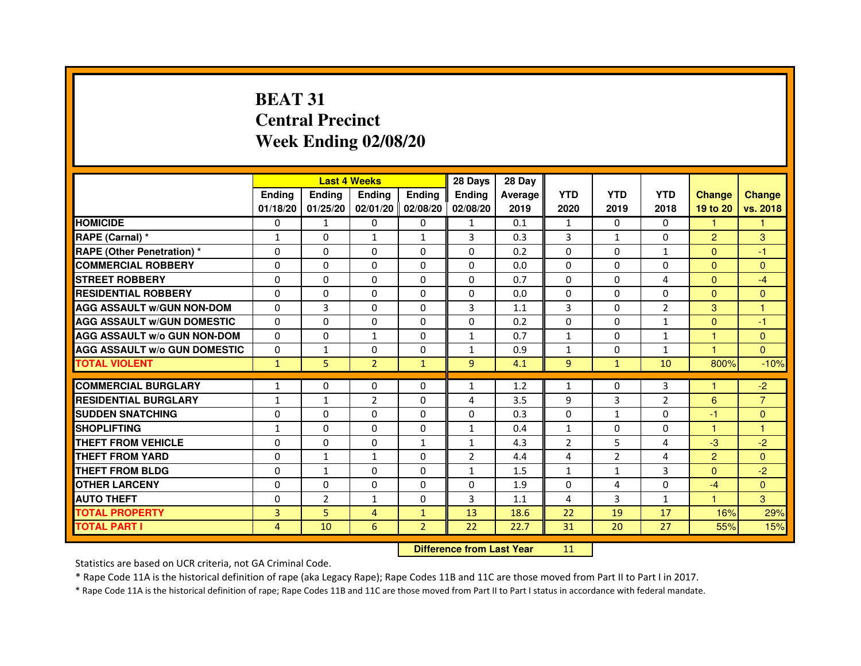# **BEAT 31 Central PrecinctWeek Ending 02/08/20**

|                                     |               | <b>Last 4 Weeks</b> |                |                   | 28 Days        | 28 Day  |                |                |                |                |                |
|-------------------------------------|---------------|---------------------|----------------|-------------------|----------------|---------|----------------|----------------|----------------|----------------|----------------|
|                                     | <b>Ending</b> | <b>Ending</b>       | <b>Ending</b>  | Ending            | <b>Endina</b>  | Average | <b>YTD</b>     | <b>YTD</b>     | <b>YTD</b>     | <b>Change</b>  | <b>Change</b>  |
|                                     | 01/18/20      | 01/25/20            |                | 02/01/20 02/08/20 | 02/08/20       | 2019    | 2020           | 2019           | 2018           | 19 to 20       | vs. 2018       |
| <b>HOMICIDE</b>                     | 0             | 1                   | 0              | 0                 | 1              | 0.1     | $\mathbf{1}$   | $\mathbf{0}$   | $\mathbf{0}$   | 1.             | 1              |
| RAPE (Carnal) *                     | $\mathbf{1}$  | $\Omega$            | $\mathbf{1}$   | $\mathbf{1}$      | 3              | 0.3     | 3              | $\mathbf{1}$   | $\Omega$       | $\overline{2}$ | 3              |
| <b>RAPE (Other Penetration) *</b>   | $\Omega$      | $\Omega$            | $\Omega$       | $\Omega$          | $\Omega$       | 0.2     | $\Omega$       | $\Omega$       | $\mathbf{1}$   | $\Omega$       | $-1$           |
| <b>COMMERCIAL ROBBERY</b>           | 0             | 0                   | 0              | 0                 | $\Omega$       | 0.0     | $\Omega$       | 0              | $\Omega$       | $\Omega$       | $\Omega$       |
| <b>STREET ROBBERY</b>               | $\Omega$      | $\Omega$            | $\Omega$       | $\Omega$          | 0              | 0.7     | $\Omega$       | $\mathbf{0}$   | 4              | $\Omega$       | $-4$           |
| <b>RESIDENTIAL ROBBERY</b>          | $\Omega$      | $\Omega$            | $\Omega$       | $\Omega$          | 0              | 0.0     | $\Omega$       | $\Omega$       | $\Omega$       | $\Omega$       | $\Omega$       |
| <b>AGG ASSAULT w/GUN NON-DOM</b>    | $\Omega$      | 3                   | $\Omega$       | $\Omega$          | 3              | 1.1     | 3              | $\mathbf{0}$   | $\overline{2}$ | 3              | 1              |
| <b>AGG ASSAULT W/GUN DOMESTIC</b>   | $\Omega$      | $\Omega$            | $\Omega$       | $\Omega$          | 0              | 0.2     | $\Omega$       | $\Omega$       | $\mathbf{1}$   | $\Omega$       | $-1$           |
| <b>AGG ASSAULT W/o GUN NON-DOM</b>  | $\Omega$      | $\Omega$            | $\mathbf{1}$   | $\Omega$          | 1              | 0.7     | $\mathbf{1}$   | 0              | $\mathbf{1}$   | 1              | $\Omega$       |
| <b>AGG ASSAULT W/o GUN DOMESTIC</b> | $\Omega$      | 1                   | $\Omega$       | 0                 | 1              | 0.9     | 1              | $\Omega$       | $\mathbf{1}$   | 1.             | $\Omega$       |
| <b>TOTAL VIOLENT</b>                | $\mathbf{1}$  | 5                   | $\overline{2}$ | $\mathbf{1}$      | 9              | 4.1     | 9              | $\mathbf{1}$   | 10             | 800%           | $-10%$         |
| <b>COMMERCIAL BURGLARY</b>          | 1             | 0                   | $\Omega$       | $\Omega$          | 1              | 1.2     | $\mathbf{1}$   | $\Omega$       | 3              | 1              | -2             |
| <b>RESIDENTIAL BURGLARY</b>         | $\mathbf{1}$  | $\mathbf{1}$        | $\overline{2}$ | 0                 | 4              | 3.5     | 9              | 3              | $\overline{2}$ | 6              | $\overline{7}$ |
| <b>SUDDEN SNATCHING</b>             | 0             | $\Omega$            | $\Omega$       | 0                 | 0              | 0.3     | 0              | $\mathbf{1}$   | 0              | $-1$           | $\Omega$       |
| <b>SHOPLIFTING</b>                  | $\mathbf{1}$  | $\mathbf 0$         | $\Omega$       | 0                 | $\mathbf{1}$   | 0.4     | $\mathbf{1}$   | $\mathbf{0}$   | $\mathbf 0$    | $\mathbf{1}$   | $\mathbf{1}$   |
| <b>THEFT FROM VEHICLE</b>           | $\Omega$      | $\Omega$            | $\Omega$       | $\mathbf{1}$      | $\mathbf{1}$   | 4.3     | $\overline{2}$ | 5              | 4              | $-3$           | $-2$           |
| <b>THEFT FROM YARD</b>              | $\Omega$      | $\mathbf{1}$        | $\mathbf{1}$   | $\Omega$          | $\overline{2}$ | 4.4     | $\overline{4}$ | $\overline{2}$ | $\overline{a}$ | $\overline{2}$ | $\Omega$       |
| <b>THEFT FROM BLDG</b>              | 0             | $\mathbf{1}$        | 0              | 0                 | 1              | 1.5     | 1              | 1              | 3              | $\Omega$       | $-2$           |
| <b>OTHER LARCENY</b>                | $\Omega$      | $\Omega$            | $\Omega$       | $\Omega$          | 0              | 1.9     | 0              | 4              | $\Omega$       | $-4$           | $\Omega$       |
| <b>AUTO THEFT</b>                   | $\Omega$      | $\overline{2}$      | $\mathbf{1}$   | 0                 | 3              | 1.1     | 4              | 3              | $\mathbf{1}$   | $\mathbf{1}$   | 3              |
| <b>TOTAL PROPERTY</b>               | 3             | 5                   | 4              | $\mathbf{1}$      | 13             | 18.6    | 22             | 19             | 17             | 16%            | 29%            |
| <b>TOTAL PART I</b>                 | 4             | 10                  | 6              | $\overline{2}$    | 22             | 22.7    | 31             | 20             | 27             | 55%            | 15%            |

 **Difference from Last Year**

<sup>11</sup>

Statistics are based on UCR criteria, not GA Criminal Code.

\* Rape Code 11A is the historical definition of rape (aka Legacy Rape); Rape Codes 11B and 11C are those moved from Part II to Part I in 2017.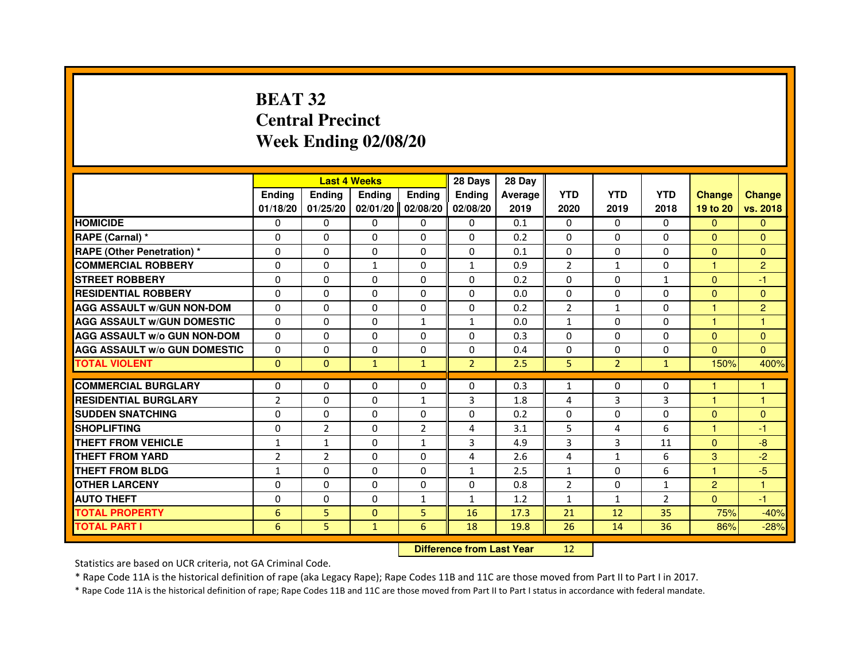# **BEAT 32 Central PrecinctWeek Ending 02/08/20**

|                                     |                | <b>Last 4 Weeks</b>              |               |                | 28 Days        | 28 Day  |                |                |                |                |                |
|-------------------------------------|----------------|----------------------------------|---------------|----------------|----------------|---------|----------------|----------------|----------------|----------------|----------------|
|                                     | <b>Ending</b>  | <b>Ending</b>                    | <b>Ending</b> | <b>Ending</b>  | <b>Ending</b>  | Average | <b>YTD</b>     | <b>YTD</b>     | <b>YTD</b>     | <b>Change</b>  | <b>Change</b>  |
|                                     | 01/18/20       | 01/25/20                         | 02/01/20      | 02/08/20       | 02/08/20       | 2019    | 2020           | 2019           | 2018           | 19 to 20       | vs. 2018       |
| <b>HOMICIDE</b>                     | $\mathbf{0}$   | 0                                | $\mathbf{0}$  | 0              | 0              | 0.1     | $\mathbf{0}$   | $\Omega$       | $\Omega$       | $\Omega$       | $\mathbf{0}$   |
| RAPE (Carnal) *                     | 0              | 0                                | 0             | 0              | 0              | 0.2     | 0              | 0              | 0              | $\Omega$       | $\mathbf{0}$   |
| <b>RAPE (Other Penetration) *</b>   | $\Omega$       | $\Omega$                         | 0             | $\Omega$       | $\mathbf{0}$   | 0.1     | $\mathbf{0}$   | $\mathbf{0}$   | $\Omega$       | $\Omega$       | $\mathbf{0}$   |
| <b>COMMERCIAL ROBBERY</b>           | 0              | 0                                | $\mathbf{1}$  | 0              | $\mathbf{1}$   | 0.9     | $\overline{2}$ | $\mathbf{1}$   | 0              | $\mathbf{1}$   | $\overline{2}$ |
| <b>STREET ROBBERY</b>               | $\Omega$       | $\Omega$                         | $\Omega$      | $\Omega$       | $\Omega$       | 0.2     | $\Omega$       | $\Omega$       | $\mathbf{1}$   | $\Omega$       | -1             |
| <b>RESIDENTIAL ROBBERY</b>          | 0              | 0                                | $\Omega$      | 0              | $\Omega$       | 0.0     | 0              | 0              | $\Omega$       | $\overline{0}$ | $\mathbf{0}$   |
| <b>AGG ASSAULT W/GUN NON-DOM</b>    | $\Omega$       | $\Omega$                         | 0             | $\Omega$       | $\Omega$       | 0.2     | $\overline{2}$ | $\mathbf{1}$   | 0              | 1              | $\overline{2}$ |
| <b>AGG ASSAULT W/GUN DOMESTIC</b>   | $\Omega$       | $\Omega$                         | $\Omega$      | $\mathbf{1}$   | $\mathbf{1}$   | 0.0     | $\mathbf{1}$   | $\Omega$       | $\Omega$       | $\mathbf{1}$   | $\mathbf{1}$   |
| <b>AGG ASSAULT W/o GUN NON-DOM</b>  | $\Omega$       | $\Omega$                         | $\Omega$      | $\Omega$       | $\Omega$       | 0.3     | $\Omega$       | $\Omega$       | $\Omega$       | $\Omega$       | $\mathbf{0}$   |
| <b>AGG ASSAULT W/o GUN DOMESTIC</b> | 0              | 0                                | 0             | $\Omega$       | $\Omega$       | 0.4     | 0              | $\Omega$       | 0              | $\Omega$       | $\Omega$       |
| <b>TOTAL VIOLENT</b>                | $\mathbf{0}$   | $\mathbf{0}$                     | $\mathbf{1}$  | $\mathbf{1}$   | $\overline{2}$ | 2.5     | 5              | $\overline{2}$ | $\mathbf{1}$   | 150%           | 400%           |
| <b>COMMERCIAL BURGLARY</b>          | 0              | 0                                | 0             | 0              | 0              | 0.3     | $\mathbf{1}$   | 0              | 0              | 1              | 1              |
| <b>RESIDENTIAL BURGLARY</b>         | $\overline{2}$ | $\Omega$                         | $\Omega$      | 1              | 3              | 1.8     | 4              | 3              | 3              | $\mathbf{1}$   | $\mathbf{1}$   |
| <b>SUDDEN SNATCHING</b>             | 0              | $\Omega$                         | $\Omega$      | $\Omega$       | $\Omega$       | 0.2     | $\Omega$       | $\Omega$       | $\Omega$       | $\mathbf{0}$   | $\mathbf{0}$   |
| <b>SHOPLIFTING</b>                  | 0              | $\overline{2}$                   | 0             | $\overline{2}$ | 4              | 3.1     | 5              | 4              | 6              | $\mathbf{1}$   | -1             |
| THEFT FROM VEHICLE                  | 1              | $\mathbf{1}$                     | 0             | $\mathbf{1}$   | 3              | 4.9     | 3              | 3              | 11             | $\mathbf{0}$   | $-8$           |
| <b>THEFT FROM YARD</b>              | $\overline{2}$ | $\overline{2}$                   | $\Omega$      | $\Omega$       | 4              | 2.6     | 4              | $\mathbf{1}$   | 6              | 3              | $-2$           |
| <b>THEFT FROM BLDG</b>              | $\mathbf{1}$   | $\Omega$                         | $\Omega$      | $\Omega$       | $\mathbf{1}$   | 2.5     | $\mathbf{1}$   | $\Omega$       | 6              | $\mathbf{1}$   | $-5$           |
| <b>OTHER LARCENY</b>                | $\Omega$       | $\Omega$                         | 0             | $\Omega$       | $\Omega$       | 0.8     | $\overline{2}$ | $\Omega$       | $\mathbf{1}$   | $\overline{2}$ | $\mathbf{1}$   |
| <b>AUTO THEFT</b>                   | $\Omega$       | $\Omega$                         | $\Omega$      | $\mathbf{1}$   | $\mathbf{1}$   | 1.2     | $\mathbf{1}$   | $\mathbf{1}$   | $\overline{2}$ | $\Omega$       | $-1$           |
| <b>TOTAL PROPERTY</b>               | 6              | 5                                | $\Omega$      | 5              | 16             | 17.3    | 21             | 12             | 35             | 75%            | $-40%$         |
| <b>TOTAL PART I</b>                 | 6              | 5                                | $\mathbf{1}$  | 6              | 18             | 19.8    | 26             | 14             | 36             | 86%            | $-28%$         |
|                                     |                | <b>Difference from Last Year</b> |               | 12             |                |         |                |                |                |                |                |

 **Difference from Last Year**

Statistics are based on UCR criteria, not GA Criminal Code.

\* Rape Code 11A is the historical definition of rape (aka Legacy Rape); Rape Codes 11B and 11C are those moved from Part II to Part I in 2017.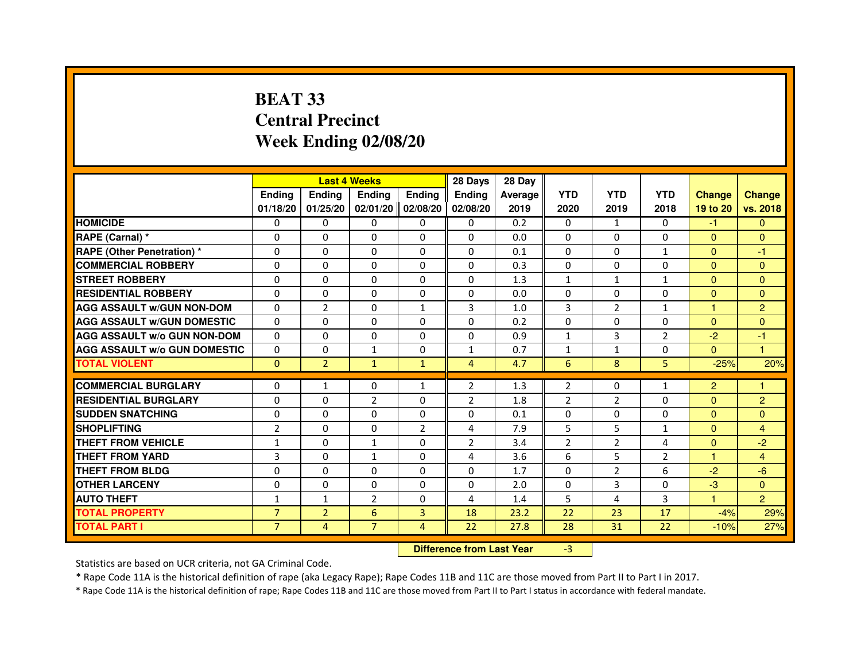# **BEAT 33 Central PrecinctWeek Ending 02/08/20**

|                                     |                | <b>Last 4 Weeks</b> |                |                   | 28 Days        | 28 Day  |                |                |                |                      |                |
|-------------------------------------|----------------|---------------------|----------------|-------------------|----------------|---------|----------------|----------------|----------------|----------------------|----------------|
|                                     | <b>Endina</b>  | <b>Endina</b>       | <b>Endina</b>  | <b>Ending</b>     | <b>Endina</b>  | Average | <b>YTD</b>     | <b>YTD</b>     | <b>YTD</b>     | <b>Change</b>        | <b>Change</b>  |
|                                     | 01/18/20       | 01/25/20            |                | 02/01/20 02/08/20 | 02/08/20       | 2019    | 2020           | 2019           | 2018           | 19 to 20             | vs. 2018       |
| <b>HOMICIDE</b>                     | 0              | 0                   | 0              | 0                 | 0              | 0.2     | 0              | $\mathbf{1}$   | $\mathbf{0}$   | -1.                  | $\mathbf{0}$   |
| RAPE (Carnal) *                     | $\Omega$       | $\Omega$            | $\Omega$       | $\Omega$          | $\Omega$       | 0.0     | $\Omega$       | $\Omega$       | $\Omega$       | $\Omega$             | $\Omega$       |
| <b>RAPE (Other Penetration) *</b>   | $\Omega$       | $\Omega$            | 0              | $\Omega$          | $\Omega$       | 0.1     | $\Omega$       | $\mathbf{0}$   | $\mathbf{1}$   | $\Omega$             | $-1$           |
| <b>COMMERCIAL ROBBERY</b>           | 0              | $\Omega$            | $\Omega$       | 0                 | $\Omega$       | 0.3     | $\Omega$       | 0              | 0              | $\Omega$             | $\mathbf{0}$   |
| <b>STREET ROBBERY</b>               | $\Omega$       | $\Omega$            | 0              | 0                 | $\Omega$       | 1.3     | $\mathbf{1}$   | 1              | $\mathbf{1}$   | $\Omega$             | $\Omega$       |
| <b>RESIDENTIAL ROBBERY</b>          | 0              | 0                   | 0              | $\Omega$          | $\Omega$       | 0.0     | $\Omega$       | $\Omega$       | $\Omega$       | $\Omega$             | $\mathbf{0}$   |
| <b>AGG ASSAULT W/GUN NON-DOM</b>    | $\Omega$       | $\overline{2}$      | $\Omega$       | $\mathbf{1}$      | 3              | 1.0     | $\overline{3}$ | $\overline{2}$ | $\mathbf{1}$   | $\blacktriangleleft$ | $\overline{2}$ |
| <b>AGG ASSAULT W/GUN DOMESTIC</b>   | $\Omega$       | $\Omega$            | 0              | 0                 | $\Omega$       | 0.2     | $\Omega$       | $\mathbf{0}$   | 0              | $\Omega$             | $\Omega$       |
| <b>AGG ASSAULT W/o GUN NON-DOM</b>  | $\Omega$       | $\Omega$            | $\Omega$       | $\Omega$          | $\Omega$       | 0.9     | $\mathbf{1}$   | 3              | 2              | -2                   | -1             |
| <b>AGG ASSAULT W/o GUN DOMESTIC</b> | $\Omega$       | 0                   | $\mathbf{1}$   | 0                 | 1              | 0.7     | 1              | $\mathbf{1}$   | 0              | $\Omega$             | $\overline{1}$ |
| <b>TOTAL VIOLENT</b>                | $\Omega$       | $\overline{2}$      | $\mathbf{1}$   | $\mathbf{1}$      | $\overline{4}$ | 4.7     | 6              | 8              | 5              | $-25%$               | 20%            |
|                                     |                |                     |                |                   |                |         |                |                |                |                      |                |
| <b>COMMERCIAL BURGLARY</b>          | 0              | $\mathbf{1}$        | 0              | $\mathbf{1}$      | 2              | 1.3     | $\overline{2}$ | 0              | $\mathbf{1}$   | $\overline{2}$       | -1             |
| <b>RESIDENTIAL BURGLARY</b>         | 0              | 0                   | $\overline{2}$ | $\mathbf{0}$      | 2              | 1.8     | $\overline{2}$ | 2              | 0              | $\Omega$             | 2              |
| <b>SUDDEN SNATCHING</b>             | $\Omega$       | $\mathbf 0$         | 0              | $\Omega$          | $\Omega$       | 0.1     | 0              | $\Omega$       | 0              | $\Omega$             | $\Omega$       |
| <b>SHOPLIFTING</b>                  | $\overline{2}$ | $\mathbf 0$         | 0              | 2                 | $\overline{4}$ | 7.9     | 5              | 5              | $\mathbf{1}$   | $\Omega$             | $\overline{4}$ |
| <b>THEFT FROM VEHICLE</b>           | 1              | $\Omega$            | $\mathbf{1}$   | $\mathbf{0}$      | $\overline{2}$ | 3.4     | $\overline{2}$ | $\overline{2}$ | 4              | $\Omega$             | $-2$           |
| <b>THEFT FROM YARD</b>              | 3              | $\Omega$            | 1              | $\Omega$          | $\overline{a}$ | 3.6     | 6              | 5              | $\overline{2}$ | $\mathbf{1}$         | $\overline{4}$ |
| THEFT FROM BLDG                     | $\Omega$       | 0                   | 0              | 0                 | $\Omega$       | 1.7     | $\Omega$       | $\overline{2}$ | 6              | $-2$                 | $-6$           |
| <b>OTHER LARCENY</b>                | 0              | 0                   | $\Omega$       | 0                 | $\Omega$       | 2.0     | 0              | 3              | 0              | -3                   | $\Omega$       |
| <b>AUTO THEFT</b>                   | 1              | 1                   | $\overline{2}$ | $\mathbf{0}$      | 4              | 1.4     | 5              | 4              | 3              | $\mathbf{1}$         | $\overline{2}$ |
| <b>TOTAL PROPERTY</b>               | $\overline{7}$ | $\overline{2}$      | 6              | 3                 | 18             | 23.2    | 22             | 23             | 17             | $-4%$                | 29%            |
| <b>TOTAL PART I</b>                 | $\overline{7}$ | 4                   | $\overline{7}$ | $\overline{4}$    | 22             | 27.8    | 28             | 31             | 22             | $-10%$               | 27%            |

 **Difference from Last Year**

-3

Statistics are based on UCR criteria, not GA Criminal Code.

\* Rape Code 11A is the historical definition of rape (aka Legacy Rape); Rape Codes 11B and 11C are those moved from Part II to Part I in 2017.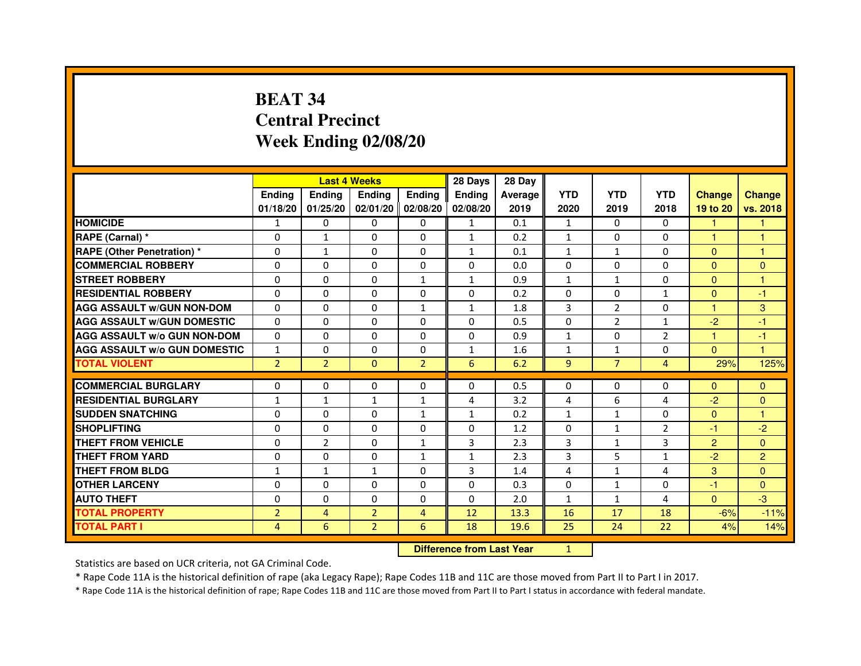# **BEAT 34 Central PrecinctWeek Ending 02/08/20**

|                                     |                |                | <b>Last 4 Weeks</b> |                   | 28 Days       | 28 Day  |                |                |                |                      |                      |
|-------------------------------------|----------------|----------------|---------------------|-------------------|---------------|---------|----------------|----------------|----------------|----------------------|----------------------|
|                                     | <b>Endina</b>  | <b>Endina</b>  | <b>Endina</b>       | Ending            | <b>Endina</b> | Average | <b>YTD</b>     | <b>YTD</b>     | <b>YTD</b>     | <b>Change</b>        | <b>Change</b>        |
|                                     | 01/18/20       | 01/25/20       |                     | 02/01/20 02/08/20 | 02/08/20      | 2019    | 2020           | 2019           | 2018           | 19 to 20             | vs. 2018             |
| <b>HOMICIDE</b>                     | 1              | 0              | $\mathbf{0}$        | 0                 | 1             | 0.1     | $\mathbf{1}$   | 0              | 0              |                      |                      |
| RAPE (Carnal) *                     | $\Omega$       | $\mathbf{1}$   | $\Omega$            | $\mathbf{0}$      | $\mathbf{1}$  | 0.2     | $\mathbf{1}$   | $\Omega$       | $\Omega$       | $\mathbf{1}$         | $\mathbf{1}$         |
| <b>RAPE (Other Penetration)*</b>    | $\Omega$       | $\mathbf{1}$   | 0                   | $\mathbf{0}$      | $\mathbf{1}$  | 0.1     | $\mathbf{1}$   | $\mathbf{1}$   | $\Omega$       | $\Omega$             | $\mathbf{1}$         |
| <b>COMMERCIAL ROBBERY</b>           | 0              | 0              | 0                   | 0                 | $\Omega$      | 0.0     | 0              | 0              | 0              | $\Omega$             | $\overline{0}$       |
| <b>STREET ROBBERY</b>               | 0              | 0              | 0                   | 1                 | $\mathbf{1}$  | 0.9     | $\mathbf{1}$   | 1              | $\Omega$       | $\Omega$             | 1                    |
| <b>RESIDENTIAL ROBBERY</b>          | 0              | $\Omega$       | 0                   | $\Omega$          | $\Omega$      | 0.2     | $\Omega$       | $\Omega$       | $\mathbf{1}$   | $\Omega$             | -1                   |
| <b>AGG ASSAULT w/GUN NON-DOM</b>    | $\Omega$       | $\mathbf 0$    | $\Omega$            | $\mathbf{1}$      | $\mathbf{1}$  | 1.8     | 3              | $\overline{2}$ | $\Omega$       | $\blacktriangleleft$ | 3                    |
| <b>AGG ASSAULT W/GUN DOMESTIC</b>   | $\Omega$       | 0              | 0                   | 0                 | $\Omega$      | 0.5     | $\Omega$       | 2              | $\mathbf{1}$   | $-2$                 | $-1$                 |
| <b>AGG ASSAULT W/o GUN NON-DOM</b>  | $\Omega$       | $\Omega$       | $\Omega$            | $\Omega$          | $\Omega$      | 0.9     | $\mathbf{1}$   | $\Omega$       | $\overline{2}$ | $\overline{1}$       | $-1$                 |
| <b>AGG ASSAULT W/o GUN DOMESTIC</b> | $\mathbf{1}$   | $\Omega$       | 0                   | $\Omega$          | $\mathbf{1}$  | 1.6     | $\mathbf{1}$   | $\mathbf{1}$   | $\Omega$       | $\Omega$             | $\blacktriangleleft$ |
| <b>TOTAL VIOLENT</b>                | $\overline{2}$ | $\overline{2}$ | $\Omega$            | $\overline{2}$    | 6             | 6.2     | 9              | $\overline{7}$ | $\overline{4}$ | 29%                  | 125%                 |
|                                     |                |                |                     |                   |               |         |                |                |                |                      |                      |
| <b>COMMERCIAL BURGLARY</b>          | 0              | 0              | 0                   | 0                 | $\Omega$      | 0.5     | 0              | 0              | 0              | $\Omega$             | $\mathbf{0}$         |
| <b>RESIDENTIAL BURGLARY</b>         | 1              | 1              | $\mathbf{1}$        | $\mathbf{1}$      | 4             | 3.2     | $\overline{4}$ | 6              | 4              | $-2$                 | $\mathbf{0}$         |
| <b>SUDDEN SNATCHING</b>             | 0              | $\Omega$       | 0                   | $\mathbf{1}$      | $\mathbf{1}$  | 0.2     | $\mathbf{1}$   | $\mathbf{1}$   | $\Omega$       | $\Omega$             | 1                    |
| <b>SHOPLIFTING</b>                  | $\Omega$       | 0              | $\Omega$            | $\Omega$          | $\mathbf 0$   | 1.2     | $\Omega$       | $\mathbf{1}$   | $\overline{2}$ | $-1$                 | $-2$                 |
| <b>THEFT FROM VEHICLE</b>           | $\Omega$       | $\overline{2}$ | $\Omega$            | $\mathbf{1}$      | 3             | 2.3     | $\overline{3}$ | $\mathbf{1}$   | 3              | $\overline{2}$       | $\Omega$             |
| <b>THEFT FROM YARD</b>              | 0              | 0              | $\Omega$            | $\mathbf{1}$      | $\mathbf{1}$  | 2.3     | 3              | 5              | $\mathbf{1}$   | $-2$                 | $\overline{2}$       |
| <b>THEFT FROM BLDG</b>              | $\mathbf{1}$   | 1              | 1                   | 0                 | 3             | 1.4     | $\overline{4}$ | $\mathbf{1}$   | 4              | 3                    | $\mathbf{0}$         |
| <b>OTHER LARCENY</b>                | 0              | $\Omega$       | $\Omega$            | $\Omega$          | $\Omega$      | 0.3     | $\Omega$       | $\mathbf{1}$   | $\Omega$       | $-1$                 | $\Omega$             |
| <b>AUTO THEFT</b>                   | $\mathbf 0$    | $\mathbf 0$    | $\Omega$            | $\Omega$          | $\Omega$      | 2.0     | $\mathbf{1}$   | $\mathbf{1}$   | 4              | $\Omega$             | $-3$                 |
| <b>TOTAL PROPERTY</b>               | $\overline{2}$ | 4              | $\overline{2}$      | 4                 | 12            | 13.3    | 16             | 17             | 18             | $-6%$                | $-11%$               |
| <b>TOTAL PART I</b>                 | 4              | 6              | $\overline{2}$      | 6                 | 18            | 19.6    | 25             | 24             | 22             | 4%                   | 14%                  |

 **Difference from Last Year**

<sup>1</sup>

Statistics are based on UCR criteria, not GA Criminal Code.

\* Rape Code 11A is the historical definition of rape (aka Legacy Rape); Rape Codes 11B and 11C are those moved from Part II to Part I in 2017.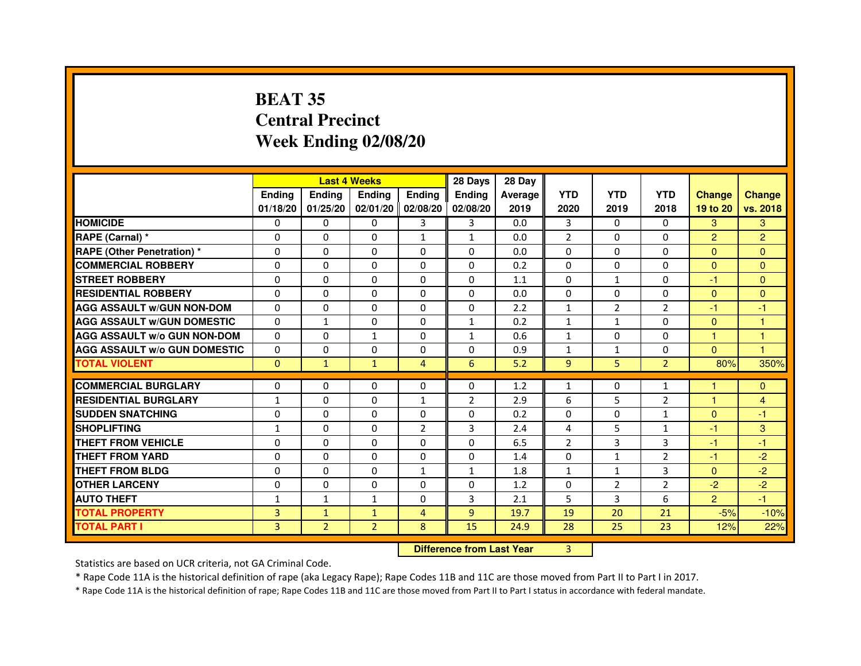# **BEAT 35 Central PrecinctWeek Ending 02/08/20**

|                                     |               | <b>Last 4 Weeks</b> |                |                   | 28 Days        | 28 Day  |                |                |                |                |                |
|-------------------------------------|---------------|---------------------|----------------|-------------------|----------------|---------|----------------|----------------|----------------|----------------|----------------|
|                                     | <b>Endina</b> | Ending              | <b>Endina</b>  | <b>Endina</b>     | <b>Endina</b>  | Average | <b>YTD</b>     | <b>YTD</b>     | <b>YTD</b>     | <b>Change</b>  | <b>Change</b>  |
|                                     | 01/18/20      | 01/25/20            |                | 02/01/20 02/08/20 | 02/08/20       | 2019    | 2020           | 2019           | 2018           | 19 to 20       | vs. 2018       |
| <b>HOMICIDE</b>                     | 0             | 0                   | 0              | 3                 | 3              | 0.0     | 3              | $\Omega$       | $\Omega$       | 3              | 3              |
| RAPE (Carnal) *                     | $\Omega$      | $\Omega$            | $\Omega$       | $\mathbf{1}$      | $\mathbf{1}$   | 0.0     | $\overline{2}$ | $\Omega$       | $\Omega$       | $\overline{2}$ | $\overline{2}$ |
| <b>RAPE (Other Penetration)*</b>    | $\Omega$      | $\Omega$            | $\Omega$       | $\Omega$          | $\Omega$       | 0.0     | $\Omega$       | $\Omega$       | $\Omega$       | $\Omega$       | $\Omega$       |
| <b>COMMERCIAL ROBBERY</b>           | 0             | 0                   | 0              | 0                 | 0              | 0.2     | 0              | 0              | 0              | $\Omega$       | $\Omega$       |
| <b>STREET ROBBERY</b>               | 0             | $\Omega$            | 0              | 0                 | 0              | 1.1     | 0              | $\mathbf{1}$   | 0              | $-1$           | $\Omega$       |
| <b>RESIDENTIAL ROBBERY</b>          | 0             | $\Omega$            | 0              | $\Omega$          | $\Omega$       | 0.0     | $\Omega$       | $\Omega$       | $\Omega$       | $\Omega$       | $\Omega$       |
| <b>AGG ASSAULT w/GUN NON-DOM</b>    | $\Omega$      | $\Omega$            | $\Omega$       | $\mathbf{0}$      | $\Omega$       | 2.2     | $\mathbf{1}$   | 2              | $\overline{2}$ | $-1$           | $-1$           |
| <b>AGG ASSAULT W/GUN DOMESTIC</b>   | $\Omega$      | $\mathbf{1}$        | $\Omega$       | $\Omega$          | $\mathbf{1}$   | 0.2     | $\mathbf{1}$   | $\mathbf{1}$   | $\Omega$       | $\Omega$       | 1              |
| <b>AGG ASSAULT W/o GUN NON-DOM</b>  | 0             | 0                   | 1              | 0                 | $\mathbf{1}$   | 0.6     | $\mathbf{1}$   | $\Omega$       | $\Omega$       | 1              | 1              |
| <b>AGG ASSAULT W/o GUN DOMESTIC</b> | 0             | 0                   | 0              | 0                 | 0              | 0.9     | 1              | $\mathbf{1}$   | 0              | $\Omega$       | 1              |
| <b>TOTAL VIOLENT</b>                | $\Omega$      | $\mathbf{1}$        | $\mathbf{1}$   | $\overline{4}$    | 6              | 5.2     | 9              | 5              | $\overline{2}$ | 80%            | 350%           |
|                                     |               |                     |                |                   |                |         |                |                |                |                |                |
| <b>COMMERCIAL BURGLARY</b>          | 0             | 0                   | 0              | 0                 | $\Omega$       | 1.2     | $\mathbf{1}$   | 0              | $\mathbf{1}$   | 1              | $\mathbf{0}$   |
| <b>RESIDENTIAL BURGLARY</b>         | $\mathbf{1}$  | 0                   | 0              | $\mathbf{1}$      | $\overline{2}$ | 2.9     | 6              | 5              | $\overline{2}$ | 1              | 4              |
| <b>SUDDEN SNATCHING</b>             | 0             | $\Omega$            | $\Omega$       | $\Omega$          | $\Omega$       | 0.2     | $\Omega$       | $\Omega$       | $\mathbf{1}$   | $\Omega$       | $-1$           |
| <b>SHOPLIFTING</b>                  | $\mathbf{1}$  | $\Omega$            | $\Omega$       | $\overline{2}$    | 3              | 2.4     | 4              | 5              | $\mathbf{1}$   | $-1$           | 3              |
| <b>THEFT FROM VEHICLE</b>           | 0             | $\Omega$            | 0              | 0                 | 0              | 6.5     | 2              | 3              | 3              | $-1$           | $-1$           |
| <b>THEFT FROM YARD</b>              | $\Omega$      | 0                   | $\Omega$       | $\Omega$          | $\Omega$       | 1.4     | $\Omega$       | $\mathbf{1}$   | $\overline{2}$ | $-1$           | $-2$           |
| <b>THEFT FROM BLDG</b>              | 0             | $\Omega$            | $\Omega$       | 1                 | 1              | 1.8     | $\mathbf{1}$   | 1              | 3              | $\Omega$       | $-2$           |
| <b>OTHER LARCENY</b>                | 0             | 0                   | $\Omega$       | $\Omega$          | $\Omega$       | 1.2     | $\Omega$       | $\overline{2}$ | $\overline{2}$ | $-2$           | $-2$           |
| <b>AUTO THEFT</b>                   | $\mathbf{1}$  | $\mathbf{1}$        | $\mathbf{1}$   | $\Omega$          | 3              | 2.1     | 5              | 3              | 6              | $\overline{2}$ | $-1$           |
| <b>TOTAL PROPERTY</b>               | 3             | $\mathbf{1}$        | $\mathbf{1}$   | $\overline{4}$    | 9              | 19.7    | 19             | 20             | 21             | $-5%$          | $-10%$         |
| <b>TOTAL PART I</b>                 | 3             | $\overline{2}$      | $\overline{2}$ | 8                 | 15             | 24.9    | 28             | 25             | 23             | 12%            | 22%            |

 **Difference from Last Year**

<sup>3</sup>

Statistics are based on UCR criteria, not GA Criminal Code.

\* Rape Code 11A is the historical definition of rape (aka Legacy Rape); Rape Codes 11B and 11C are those moved from Part II to Part I in 2017.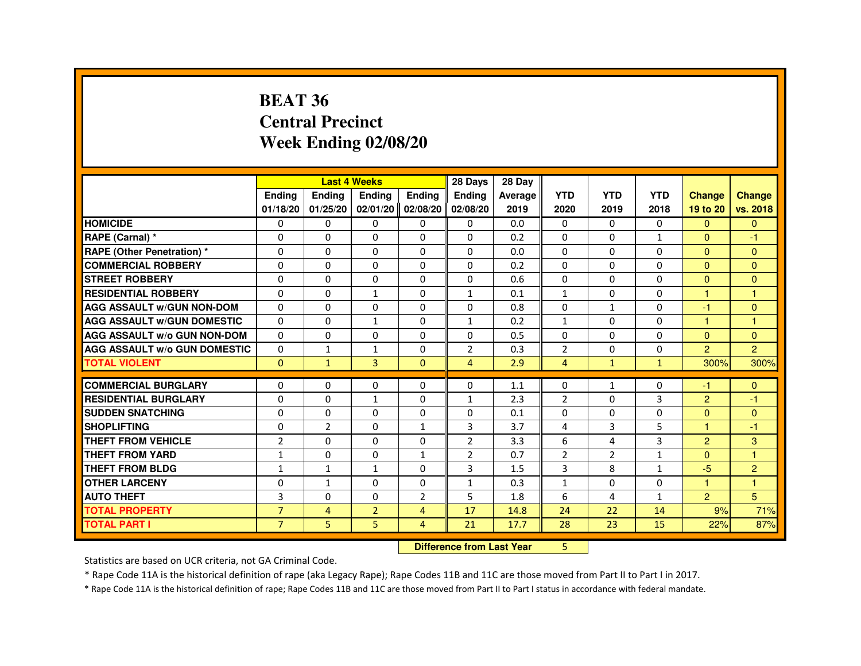#### **BEAT 36 Central PrecinctWeek Ending 02/08/20**

|                                     |                | <b>Last 4 Weeks</b>              |                   |                | 28 Days        | 28 Day  |                |                |              |                |                |
|-------------------------------------|----------------|----------------------------------|-------------------|----------------|----------------|---------|----------------|----------------|--------------|----------------|----------------|
|                                     | Ending         | Ending                           | Ending            | Ending         | Ending         | Average | <b>YTD</b>     | <b>YTD</b>     | <b>YTD</b>   | <b>Change</b>  | <b>Change</b>  |
|                                     | 01/18/20       | 01/25/20                         | 02/01/20 02/08/20 |                | 02/08/20       | 2019    | 2020           | 2019           | 2018         | 19 to 20       | vs. 2018       |
| <b>HOMICIDE</b>                     | 0              | $\Omega$                         | 0                 | 0              | 0              | 0.0     | 0              | $\Omega$       | $\mathbf{0}$ | $\mathbf{0}$   | $\mathbf{0}$   |
| RAPE (Carnal) *                     | 0              | $\Omega$                         | $\Omega$          | $\Omega$       | $\Omega$       | 0.2     | $\Omega$       | $\Omega$       | $\mathbf{1}$ | $\Omega$       | -1             |
| <b>RAPE (Other Penetration) *</b>   | $\Omega$       | 0                                | $\Omega$          | $\Omega$       | $\Omega$       | 0.0     | $\Omega$       | $\Omega$       | $\Omega$     | $\Omega$       | $\Omega$       |
| <b>COMMERCIAL ROBBERY</b>           | $\Omega$       | $\Omega$                         | $\Omega$          | $\Omega$       | $\Omega$       | 0.2     | $\Omega$       | $\Omega$       | $\Omega$     | $\Omega$       | $\Omega$       |
| <b>STREET ROBBERY</b>               | $\Omega$       | $\Omega$                         | $\Omega$          | $\Omega$       | $\Omega$       | 0.6     | $\Omega$       | $\Omega$       | $\Omega$     | $\Omega$       | $\Omega$       |
| <b>RESIDENTIAL ROBBERY</b>          | $\Omega$       | $\mathbf 0$                      | $\mathbf{1}$      | 0              | $\mathbf{1}$   | 0.1     | 1              | 0              | $\Omega$     | 1              | $\overline{1}$ |
| <b>AGG ASSAULT w/GUN NON-DOM</b>    | $\Omega$       | $\mathbf 0$                      | 0                 | $\Omega$       | 0              | 0.8     | 0              | $\mathbf{1}$   | 0            | -1             | $\Omega$       |
| <b>AGG ASSAULT W/GUN DOMESTIC</b>   | $\Omega$       | $\Omega$                         | $\mathbf{1}$      | $\Omega$       | $\mathbf{1}$   | 0.2     | $\mathbf{1}$   | $\Omega$       | $\Omega$     | $\overline{1}$ | $\mathbf{1}$   |
| <b>AGG ASSAULT w/o GUN NON-DOM</b>  | $\Omega$       | 0                                | 0                 | 0              | 0              | 0.5     | 0              | 0              | 0            | $\Omega$       | $\mathbf{0}$   |
| <b>AGG ASSAULT W/o GUN DOMESTIC</b> | $\Omega$       | $\mathbf{1}$                     | 1                 | 0              | $\overline{2}$ | 0.3     | $\overline{2}$ | $\Omega$       | $\Omega$     | $\mathcal{P}$  | $\overline{2}$ |
| <b>TOTAL VIOLENT</b>                | $\mathbf{0}$   | $\mathbf{1}$                     | 3                 | $\mathbf{0}$   | $\overline{4}$ | 2.9     | $\overline{4}$ | $\mathbf{1}$   | $\mathbf{1}$ | 300%           | 300%           |
| <b>COMMERCIAL BURGLARY</b>          | $\Omega$       | 0                                | 0                 | 0              | 0              | 1.1     | 0              | $\mathbf{1}$   | 0            | -1             | $\Omega$       |
| <b>RESIDENTIAL BURGLARY</b>         | 0              | $\mathbf 0$                      | $\mathbf{1}$      | 0              | $\mathbf{1}$   | 2.3     | $\overline{2}$ | 0              | 3            | 2              | -1             |
| <b>SUDDEN SNATCHING</b>             | $\Omega$       | $\Omega$                         | $\Omega$          | $\Omega$       | $\Omega$       | 0.1     | $\Omega$       | $\Omega$       | $\Omega$     | $\Omega$       | $\Omega$       |
| <b>SHOPLIFTING</b>                  | 0              | $\overline{2}$                   | 0                 | $\mathbf{1}$   | 3              | 3.7     | 4              | 3              | 5            | 1              | -1             |
| THEFT FROM VEHICLE                  | $\overline{2}$ | $\Omega$                         | $\Omega$          | 0              | $\overline{2}$ | 3.3     | 6              | 4              | 3            | 2              | $\overline{3}$ |
| <b>THEFT FROM YARD</b>              | $\mathbf{1}$   | $\Omega$                         | $\Omega$          | $\mathbf{1}$   | $\overline{2}$ | 0.7     | $\overline{2}$ | $\overline{2}$ | $\mathbf{1}$ | $\Omega$       | $\mathbf{1}$   |
| <b>THEFT FROM BLDG</b>              | $\mathbf{1}$   | $\mathbf{1}$                     | $\mathbf{1}$      | 0              | 3              | 1.5     | 3              | 8              | $\mathbf{1}$ | $-5$           | 2              |
| <b>OTHER LARCENY</b>                | $\Omega$       | $\mathbf{1}$                     | $\Omega$          | 0              | $\mathbf{1}$   | 0.3     | $\mathbf{1}$   | $\Omega$       | 0            |                | н              |
| <b>AUTO THEFT</b>                   | 3              | 0                                | $\mathbf 0$       | $\overline{2}$ | 5              | 1.8     | 6              | 4              | $\mathbf{1}$ | $\overline{2}$ | 5              |
| <b>TOTAL PROPERTY</b>               | $\overline{7}$ | $\overline{4}$                   | $\overline{2}$    | $\overline{4}$ | 17             | 14.8    | 24             | 22             | 14           | 9%             | 71%            |
| <b>TOTAL PART I</b>                 | $\overline{7}$ | 5                                | 5                 | $\overline{4}$ | 21             | 17.7    | 28             | 23             | 15           | 22%            | 87%            |
|                                     |                | <b>Difference from Last Year</b> |                   | 5              |                |         |                |                |              |                |                |

 **Difference from Last Year**

Statistics are based on UCR criteria, not GA Criminal Code.

\* Rape Code 11A is the historical definition of rape (aka Legacy Rape); Rape Codes 11B and 11C are those moved from Part II to Part I in 2017.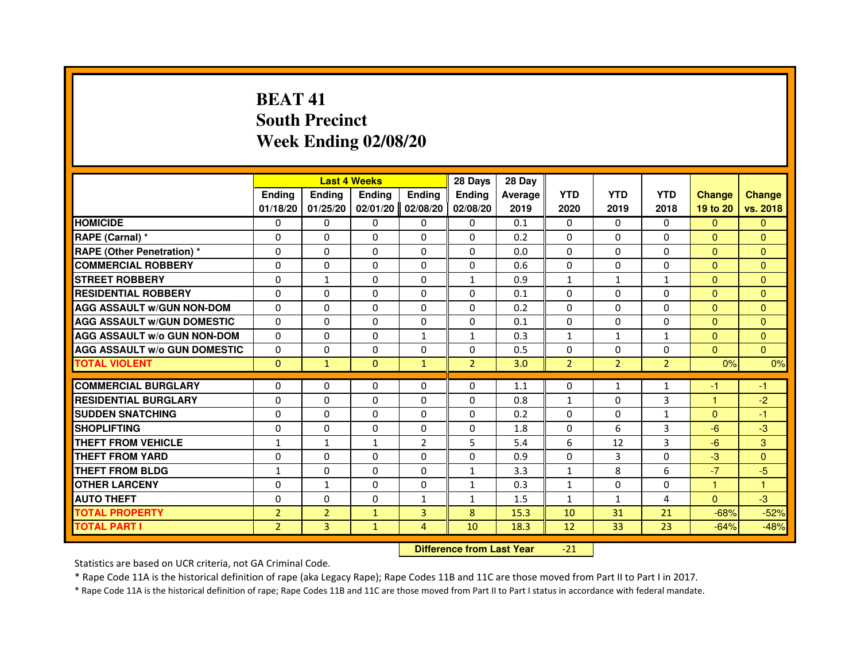# **BEAT 41 South PrecinctWeek Ending 02/08/20**

|                                     |                |                                  | <b>Last 4 Weeks</b> |                | 28 Days        | 28 Day  |                |                |                |               |               |
|-------------------------------------|----------------|----------------------------------|---------------------|----------------|----------------|---------|----------------|----------------|----------------|---------------|---------------|
|                                     | <b>Ending</b>  | Ending                           | Ending              | Ending         | Ending         | Average | <b>YTD</b>     | <b>YTD</b>     | <b>YTD</b>     | <b>Change</b> | <b>Change</b> |
|                                     | 01/18/20       | 01/25/20                         | 02/01/20            | 02/08/20       | 02/08/20       | 2019    | 2020           | 2019           | 2018           | 19 to 20      | vs. 2018      |
| <b>HOMICIDE</b>                     | $\Omega$       | $\Omega$                         | $\mathbf{0}$        | 0              | 0              | 0.1     | $\Omega$       | $\Omega$       | $\Omega$       | $\Omega$      | $\mathbf{0}$  |
| RAPE (Carnal) *                     | 0              | 0                                | 0                   | 0              | 0              | 0.2     | 0              | 0              | 0              | $\mathbf{0}$  | $\mathbf{0}$  |
| <b>RAPE (Other Penetration) *</b>   | $\Omega$       | $\Omega$                         | $\Omega$            | $\Omega$       | $\Omega$       | 0.0     | $\Omega$       | $\Omega$       | $\Omega$       | $\Omega$      | $\mathbf{0}$  |
| <b>COMMERCIAL ROBBERY</b>           | $\Omega$       | $\Omega$                         | $\Omega$            | $\Omega$       | 0              | 0.6     | 0              | $\Omega$       | $\Omega$       | $\Omega$      | $\mathbf{0}$  |
| <b>STREET ROBBERY</b>               | $\Omega$       | $\mathbf{1}$                     | $\Omega$            | $\Omega$       | $\mathbf{1}$   | 0.9     | $\mathbf{1}$   | $\mathbf{1}$   | $\mathbf{1}$   | $\Omega$      | $\Omega$      |
| <b>RESIDENTIAL ROBBERY</b>          | 0              | 0                                | 0                   | 0              | 0              | 0.1     | 0              | 0              | $\Omega$       | $\Omega$      | $\mathbf{0}$  |
| <b>AGG ASSAULT w/GUN NON-DOM</b>    | $\Omega$       | $\Omega$                         | $\Omega$            | $\Omega$       | $\Omega$       | 0.2     | $\Omega$       | $\Omega$       | $\Omega$       | $\Omega$      | $\Omega$      |
| <b>AGG ASSAULT W/GUN DOMESTIC</b>   | $\Omega$       | $\Omega$                         | $\Omega$            | $\Omega$       | $\Omega$       | 0.1     | $\Omega$       | $\Omega$       | $\Omega$       | $\Omega$      | $\Omega$      |
| <b>AGG ASSAULT W/o GUN NON-DOM</b>  | $\Omega$       | $\Omega$                         | $\Omega$            | $\mathbf{1}$   | $\mathbf{1}$   | 0.3     | $\mathbf{1}$   | $\mathbf{1}$   | $\mathbf{1}$   | $\Omega$      | $\Omega$      |
| <b>AGG ASSAULT W/o GUN DOMESTIC</b> | $\Omega$       | $\Omega$                         | $\Omega$            | $\Omega$       | $\Omega$       | 0.5     | $\Omega$       | $\Omega$       | $\Omega$       | $\mathbf{0}$  | $\Omega$      |
| <b>TOTAL VIOLENT</b>                | $\mathbf{0}$   | $\mathbf{1}$                     | $\mathbf{0}$        | $\mathbf{1}$   | $\overline{2}$ | 3.0     | $\overline{2}$ | $\overline{2}$ | $\overline{2}$ | 0%            | 0%            |
| <b>COMMERCIAL BURGLARY</b>          | 0              | 0                                | 0                   | 0              | 0              | 1.1     | 0              | 1              | $\mathbf{1}$   | $-1$          | $-1$          |
| <b>RESIDENTIAL BURGLARY</b>         | 0              | $\Omega$                         | $\Omega$            | $\Omega$       | 0              | 0.8     | $\mathbf{1}$   | $\Omega$       | 3              | $\mathbf{1}$  | $-2$          |
| <b>SUDDEN SNATCHING</b>             | $\Omega$       | $\Omega$                         | $\Omega$            | $\Omega$       | $\Omega$       | 0.2     | $\Omega$       | $\Omega$       | $\mathbf{1}$   | $\Omega$      | $-1$          |
| <b>SHOPLIFTING</b>                  | 0              | $\Omega$                         | $\Omega$            | 0              | 0              | 1.8     | $\Omega$       | 6              | 3              | $-6$          | $-3$          |
| <b>THEFT FROM VEHICLE</b>           | 1              | $\mathbf{1}$                     | $\mathbf{1}$        | $\overline{2}$ | 5              | 5.4     | 6              | 12             | 3              | $-6$          | 3             |
| <b>THEFT FROM YARD</b>              | $\Omega$       | $\Omega$                         | $\Omega$            | $\Omega$       | $\Omega$       | 0.9     | $\Omega$       | 3              | 0              | $-3$          | $\Omega$      |
| <b>THEFT FROM BLDG</b>              | $\mathbf{1}$   | $\Omega$                         | $\Omega$            | $\Omega$       | $\mathbf{1}$   | 3.3     | $\mathbf{1}$   | 8              | 6              | $-7$          | $-5$          |
| <b>OTHER LARCENY</b>                | 0              | $\mathbf{1}$                     | $\Omega$            | $\Omega$       | $\mathbf{1}$   | 0.3     | 1              | $\mathbf{0}$   | $\Omega$       | $\mathbf{1}$  | 1             |
| <b>AUTO THEFT</b>                   | $\Omega$       | $\Omega$                         | $\Omega$            | $\mathbf{1}$   | $\mathbf{1}$   | 1.5     | $\mathbf{1}$   | $\mathbf{1}$   | 4              | $\Omega$      | $-3$          |
| <b>TOTAL PROPERTY</b>               | $\overline{2}$ | $\overline{2}$                   | $\mathbf{1}$        | 3              | 8              | 15.3    | 10             | 31             | 21             | $-68%$        | $-52%$        |
| <b>TOTAL PART I</b>                 | $\overline{2}$ | $\overline{3}$                   | $\mathbf{1}$        | $\overline{4}$ | 10             | 18.3    | 12             | 33             | 23             | $-64%$        | $-48%$        |
|                                     |                | <b>Difference from Last Year</b> |                     | $-21$          |                |         |                |                |                |               |               |

Statistics are based on UCR criteria, not GA Criminal Code.

\* Rape Code 11A is the historical definition of rape (aka Legacy Rape); Rape Codes 11B and 11C are those moved from Part II to Part I in 2017.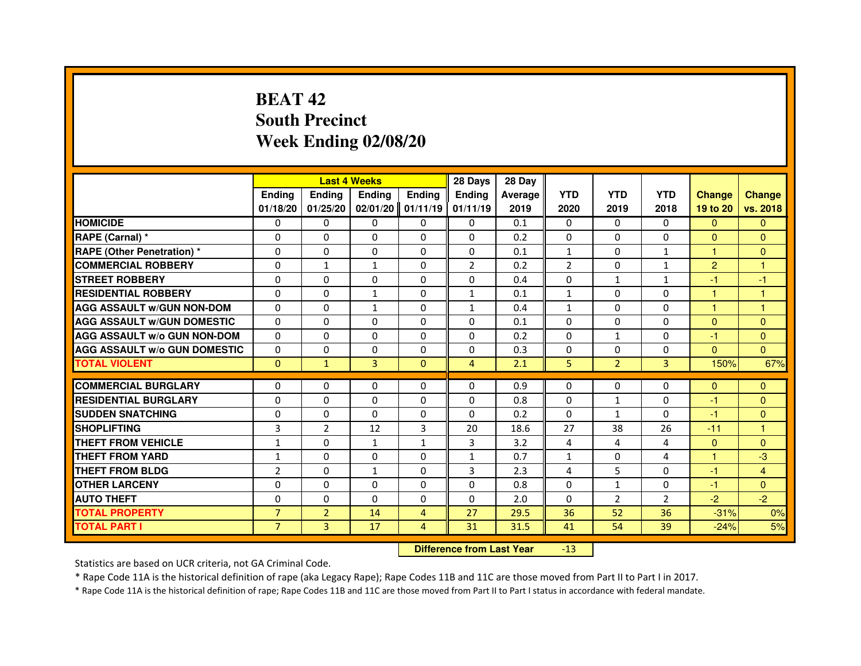# **BEAT 42 South PrecinctWeek Ending 02/08/20**

|                                     |                |                | <b>Last 4 Weeks</b> |                   | 28 Days        | 28 Day         |                |                |                |                |                |
|-------------------------------------|----------------|----------------|---------------------|-------------------|----------------|----------------|----------------|----------------|----------------|----------------|----------------|
|                                     | <b>Endina</b>  | Ending         | <b>Endina</b>       | <b>Endina</b>     | <b>Endina</b>  | <b>Average</b> | <b>YTD</b>     | <b>YTD</b>     | <b>YTD</b>     | <b>Change</b>  | <b>Change</b>  |
|                                     | 01/18/20       | 01/25/20       |                     | 02/01/20 01/11/19 | 01/11/19       | 2019           | 2020           | 2019           | 2018           | 19 to 20       | vs. 2018       |
| <b>HOMICIDE</b>                     | 0              | $\Omega$       | $\Omega$            | 0                 | 0              | 0.1            | $\Omega$       | $\Omega$       | $\Omega$       | $\Omega$       | $\Omega$       |
| RAPE (Carnal) *                     | $\Omega$       | $\Omega$       | $\Omega$            | $\Omega$          | $\Omega$       | 0.2            | $\Omega$       | $\Omega$       | $\Omega$       | $\Omega$       | $\Omega$       |
| <b>RAPE (Other Penetration)*</b>    | $\Omega$       | $\Omega$       | $\Omega$            | 0                 | $\Omega$       | 0.1            | $\mathbf{1}$   | 0              | $\mathbf{1}$   | $\mathbf{1}$   | $\Omega$       |
| <b>COMMERCIAL ROBBERY</b>           | 0              | 1              | $\mathbf{1}$        | $\Omega$          | $\overline{2}$ | 0.2            | $\overline{2}$ | $\Omega$       | 1              | $\overline{2}$ |                |
| <b>STREET ROBBERY</b>               | $\Omega$       | $\Omega$       | 0                   | 0                 | $\Omega$       | 0.4            | $\Omega$       | $\mathbf{1}$   | $\mathbf{1}$   | $-1$           | $-1$           |
| <b>RESIDENTIAL ROBBERY</b>          | 0              | $\mathbf{0}$   | $\mathbf{1}$        | 0                 | $\mathbf{1}$   | 0.1            | $\mathbf{1}$   | $\mathbf{0}$   | 0              | 1              | 1              |
| <b>AGG ASSAULT W/GUN NON-DOM</b>    | $\Omega$       | $\Omega$       | $\mathbf{1}$        | $\Omega$          | $\mathbf{1}$   | 0.4            | $\mathbf{1}$   | $\Omega$       | $\Omega$       | $\mathbf{1}$   | $\overline{1}$ |
| <b>AGG ASSAULT W/GUN DOMESTIC</b>   | $\Omega$       | $\Omega$       | $\Omega$            | 0                 | $\Omega$       | 0.1            | $\Omega$       | $\Omega$       | $\Omega$       | $\Omega$       | $\mathbf{0}$   |
| <b>AGG ASSAULT W/o GUN NON-DOM</b>  | 0              | 0              | 0                   | $\Omega$          | $\Omega$       | 0.2            | $\Omega$       | $\mathbf{1}$   | $\Omega$       | -1             | $\Omega$       |
| <b>AGG ASSAULT w/o GUN DOMESTIC</b> | $\Omega$       | $\Omega$       | 0                   | $\Omega$          | $\Omega$       | 0.3            | $\Omega$       | $\Omega$       | $\Omega$       | $\Omega$       | $\Omega$       |
| <b>TOTAL VIOLENT</b>                | $\mathbf{0}$   | $\mathbf{1}$   | 3                   | $\Omega$          | $\overline{4}$ | 2.1            | 5              | $\overline{2}$ | 3              | 150%           | 67%            |
|                                     |                |                |                     |                   |                |                |                |                |                |                |                |
| <b>COMMERCIAL BURGLARY</b>          | 0              | 0              | 0                   | 0                 | 0              | 0.9            | 0              | 0              | 0              | $\Omega$       | $\overline{0}$ |
| <b>RESIDENTIAL BURGLARY</b>         | $\Omega$       | $\mathbf{0}$   | 0                   | 0                 | 0              | 0.8            | $\Omega$       | $\mathbf{1}$   | 0              | $-1$           | $\Omega$       |
| <b>SUDDEN SNATCHING</b>             | 0              | $\Omega$       | $\Omega$            | $\Omega$          | $\Omega$       | 0.2            | $\Omega$       | $\mathbf{1}$   | $\Omega$       | $-1$           | $\Omega$       |
| <b>SHOPLIFTING</b>                  | 3              | $\overline{2}$ | 12                  | 3                 | 20             | 18.6           | 27             | 38             | 26             | $-11$          | 1              |
| <b>THEFT FROM VEHICLE</b>           | $\mathbf{1}$   | $\Omega$       | $\mathbf{1}$        | $\mathbf{1}$      | 3              | 3.2            | 4              | 4              | $\overline{a}$ | $\Omega$       | $\Omega$       |
| <b>THEFT FROM YARD</b>              | $\mathbf{1}$   | 0              | 0                   | 0                 | $\mathbf{1}$   | 0.7            | $\mathbf{1}$   | $\Omega$       | 4              | 1              | $-3$           |
| <b>THEFT FROM BLDG</b>              | $\overline{2}$ | 0              | $\mathbf{1}$        | 0                 | 3              | 2.3            | 4              | 5              | 0              | $-1$           | $\overline{4}$ |
| <b>OTHER LARCENY</b>                | $\Omega$       | $\Omega$       | $\Omega$            | $\Omega$          | $\Omega$       | 0.8            | $\Omega$       | $\mathbf{1}$   | $\Omega$       | $-1$           | $\Omega$       |
| <b>AUTO THEFT</b>                   | $\Omega$       | $\Omega$       | $\Omega$            | $\Omega$          | $\Omega$       | 2.0            | $\Omega$       | 2              | $\overline{2}$ | $-2$           | $-2$           |
| <b>TOTAL PROPERTY</b>               | $\overline{7}$ | $\overline{2}$ | 14                  | 4                 | 27             | 29.5           | 36             | 52             | 36             | $-31%$         | 0%             |
| TOTAL PART I                        | $\overline{7}$ | 3              | 17                  | $\overline{4}$    | 31             | 31.5           | 41             | 54             | 39             | $-24%$         | 5%             |

 **Difference from Last Year**-13

Statistics are based on UCR criteria, not GA Criminal Code.

\* Rape Code 11A is the historical definition of rape (aka Legacy Rape); Rape Codes 11B and 11C are those moved from Part II to Part I in 2017.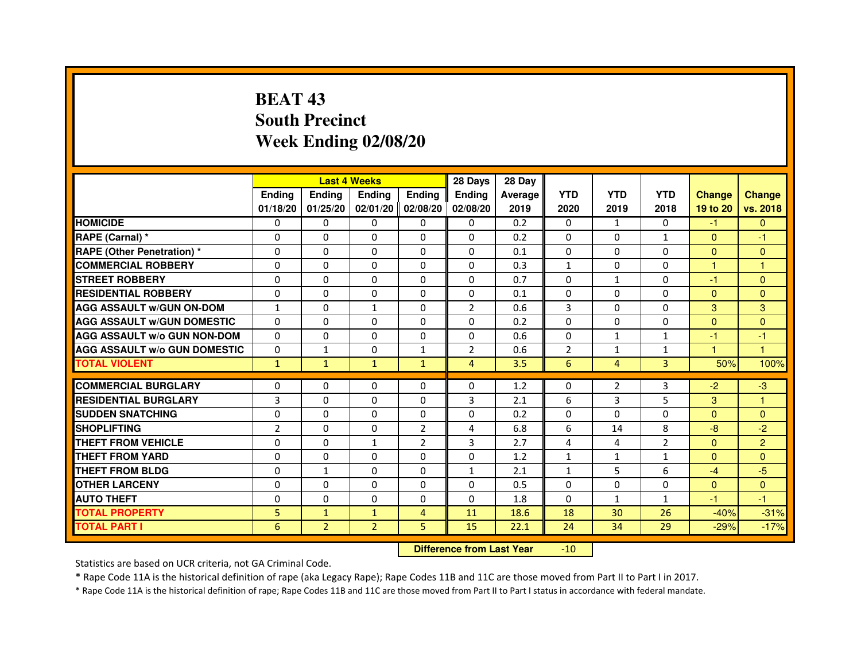# **BEAT 43 South PrecinctWeek Ending 02/08/20**

|                                     |                |                | <b>Last 4 Weeks</b> |                   | 28 Days        | 28 Day  |                |                |                |               |                |
|-------------------------------------|----------------|----------------|---------------------|-------------------|----------------|---------|----------------|----------------|----------------|---------------|----------------|
|                                     | <b>Ending</b>  | <b>Endina</b>  | <b>Endina</b>       | <b>Ending</b>     | <b>Endina</b>  | Average | <b>YTD</b>     | <b>YTD</b>     | <b>YTD</b>     | <b>Change</b> | <b>Change</b>  |
|                                     | 01/18/20       | 01/25/20       |                     | 02/01/20 02/08/20 | 02/08/20       | 2019    | 2020           | 2019           | 2018           | 19 to 20      | vs. 2018       |
| <b>HOMICIDE</b>                     | 0              | 0              | $\mathbf{0}$        | 0                 | 0              | 0.2     | $\mathbf{0}$   | 1              | $\mathbf{0}$   | $-1$          | $\mathbf{0}$   |
| RAPE (Carnal) *                     | $\Omega$       | $\Omega$       | $\Omega$            | $\Omega$          | $\Omega$       | 0.2     | $\Omega$       | $\Omega$       | $\mathbf{1}$   | $\Omega$      | $-1$           |
| <b>RAPE (Other Penetration) *</b>   | 0              | $\Omega$       | 0                   | $\Omega$          | $\Omega$       | 0.1     | $\Omega$       | $\Omega$       | $\Omega$       | $\Omega$      | $\Omega$       |
| <b>COMMERCIAL ROBBERY</b>           | 0              | 0              | 0                   | 0                 | $\Omega$       | 0.3     | $\mathbf{1}$   | 0              | $\Omega$       | 1             | 1              |
| <b>STREET ROBBERY</b>               | 0              | 0              | 0                   | 0                 | 0              | 0.7     | 0              | $\mathbf{1}$   | 0              | $-1$          | $\Omega$       |
| <b>RESIDENTIAL ROBBERY</b>          | 0              | $\Omega$       | $\Omega$            | $\Omega$          | $\Omega$       | 0.1     | $\Omega$       | $\Omega$       | $\Omega$       | $\Omega$      | $\Omega$       |
| <b>AGG ASSAULT w/GUN ON-DOM</b>     | $\mathbf{1}$   | $\mathbf 0$    | $\mathbf{1}$        | $\Omega$          | $\overline{2}$ | 0.6     | 3              | $\Omega$       | $\Omega$       | 3             | 3              |
| <b>AGG ASSAULT W/GUN DOMESTIC</b>   | 0              | 0              | 0                   | 0                 | $\Omega$       | 0.2     | $\Omega$       | 0              | $\Omega$       | $\Omega$      | $\Omega$       |
| <b>AGG ASSAULT W/o GUN NON-DOM</b>  | $\Omega$       | 0              | $\Omega$            | $\Omega$          | $\Omega$       | 0.6     | $\Omega$       | $\mathbf{1}$   | 1              | $-1$          | $-1$           |
| <b>AGG ASSAULT W/o GUN DOMESTIC</b> | $\Omega$       | $\mathbf{1}$   | 0                   | $\mathbf{1}$      | $\overline{2}$ | 0.6     | $\overline{2}$ | $\mathbf{1}$   | $\mathbf{1}$   | 1.            | 1              |
| <b>TOTAL VIOLENT</b>                | $\mathbf{1}$   | $\mathbf{1}$   | $\mathbf{1}$        | $\mathbf{1}$      | $\overline{4}$ | 3.5     | 6              | $\overline{4}$ | 3              | 50%           | 100%           |
|                                     |                |                |                     |                   |                |         |                |                |                |               |                |
| <b>COMMERCIAL BURGLARY</b>          | 0              | 0              | 0                   | 0                 | $\Omega$       | 1.2     | 0              | 2              | 3              | $-2$          | $-3$           |
| <b>RESIDENTIAL BURGLARY</b>         | 3              | $\Omega$       | 0                   | $\Omega$          | 3              | 2.1     | 6              | 3              | 5              | 3             | 1              |
| <b>SUDDEN SNATCHING</b>             | 0              | 0              | 0                   | 0                 | $\Omega$       | 0.2     | $\Omega$       | $\Omega$       | $\Omega$       | $\Omega$      | $\Omega$       |
| <b>SHOPLIFTING</b>                  | $\overline{2}$ | 0              | 0                   | $\overline{2}$    | 4              | 6.8     | 6              | 14             | 8              | $-8$          | $-2$           |
| <b>THEFT FROM VEHICLE</b>           | 0              | $\Omega$       | $\mathbf{1}$        | $\overline{2}$    | 3              | 2.7     | 4              | 4              | $\overline{2}$ | $\Omega$      | $\overline{2}$ |
| <b>THEFT FROM YARD</b>              | $\Omega$       | $\Omega$       | $\Omega$            | $\Omega$          | $\Omega$       | 1.2     | $\mathbf{1}$   | $\mathbf{1}$   | $\mathbf{1}$   | $\Omega$      | $\Omega$       |
| <b>THEFT FROM BLDG</b>              | 0              | 1              | 0                   | 0                 | 1              | 2.1     | 1              | 5              | 6              | $-4$          | $-5$           |
| <b>OTHER LARCENY</b>                | 0              | 0              | $\Omega$            | $\Omega$          | $\Omega$       | 0.5     | $\Omega$       | $\Omega$       | $\Omega$       | $\Omega$      | $\Omega$       |
| <b>AUTO THEFT</b>                   | $\mathbf 0$    | 0              | $\Omega$            | $\Omega$          | $\Omega$       | 1.8     | $\Omega$       | $\mathbf{1}$   | $\mathbf{1}$   | $-1$          | $-1$           |
| <b>TOTAL PROPERTY</b>               | 5              | $\mathbf{1}$   | $\mathbf{1}$        | 4                 | 11             | 18.6    | 18             | 30             | 26             | $-40%$        | $-31%$         |
| <b>TOTAL PART I</b>                 | 6              | $\overline{2}$ | $\overline{2}$      | 5                 | 15             | 22.1    | 24             | 34             | 29             | $-29%$        | $-17%$         |

 **Difference from Last Year**-10

Statistics are based on UCR criteria, not GA Criminal Code.

\* Rape Code 11A is the historical definition of rape (aka Legacy Rape); Rape Codes 11B and 11C are those moved from Part II to Part I in 2017.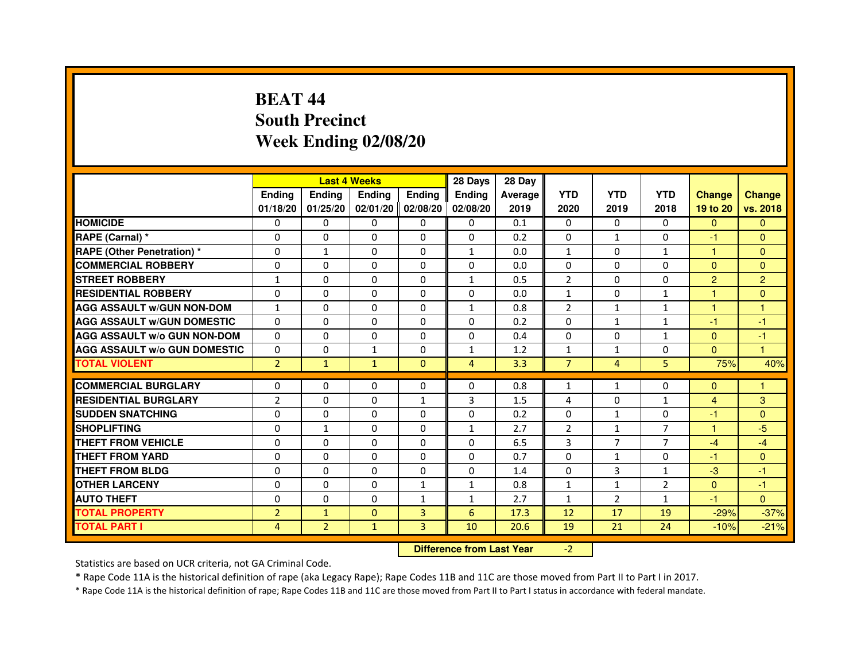# **BEAT 44 South PrecinctWeek Ending 02/08/20**

|                                     |                | <b>Last 4 Weeks</b> |               |               | 28 Days        | 28 Day                           |                |                |                |                |                |
|-------------------------------------|----------------|---------------------|---------------|---------------|----------------|----------------------------------|----------------|----------------|----------------|----------------|----------------|
|                                     | <b>Ending</b>  | <b>Ending</b>       | <b>Ending</b> | <b>Ending</b> | <b>Ending</b>  | <b>Average</b>                   | <b>YTD</b>     | <b>YTD</b>     | <b>YTD</b>     | <b>Change</b>  | <b>Change</b>  |
|                                     | 01/18/20       | 01/25/20            | 02/01/20      | 02/08/20      | 02/08/20       | 2019                             | 2020           | 2019           | 2018           | 19 to 20       | vs. 2018       |
| <b>HOMICIDE</b>                     | $\mathbf{0}$   | $\Omega$            | $\Omega$      | $\Omega$      | 0              | 0.1                              | $\Omega$       | $\Omega$       | 0              | $\Omega$       | $\Omega$       |
| RAPE (Carnal) *                     | 0              | $\Omega$            | 0             | $\Omega$      | $\mathbf{0}$   | 0.2                              | $\Omega$       | $\mathbf{1}$   | $\Omega$       | $-1$           | $\Omega$       |
| <b>RAPE (Other Penetration) *</b>   | $\mathbf 0$    | $\mathbf{1}$        | $\Omega$      | $\Omega$      | $\mathbf{1}$   | 0.0                              | $\mathbf{1}$   | $\Omega$       | $\mathbf{1}$   | $\mathbf{1}$   | $\Omega$       |
| <b>COMMERCIAL ROBBERY</b>           | $\mathbf 0$    | 0                   | $\Omega$      | $\mathbf{0}$  | $\Omega$       | 0.0                              | $\Omega$       | $\Omega$       | $\Omega$       | $\Omega$       | $\Omega$       |
| <b>STREET ROBBERY</b>               | $\mathbf{1}$   | $\Omega$            | $\Omega$      | $\Omega$      | $\mathbf{1}$   | 0.5                              | 2              | $\Omega$       | $\Omega$       | $\overline{2}$ | $\overline{2}$ |
| <b>RESIDENTIAL ROBBERY</b>          | 0              | $\Omega$            | 0             | $\Omega$      | $\Omega$       | 0.0                              | $\mathbf{1}$   | $\Omega$       | $\mathbf{1}$   | 1              | $\Omega$       |
| <b>AGG ASSAULT W/GUN NON-DOM</b>    | $\mathbf{1}$   | 0                   | $\Omega$      | $\Omega$      | $\mathbf{1}$   | 0.8                              | $\overline{2}$ | $\mathbf{1}$   | $\mathbf{1}$   | $\mathbf{1}$   | $\mathbf{1}$   |
| <b>AGG ASSAULT W/GUN DOMESTIC</b>   | $\Omega$       | $\Omega$            | $\Omega$      | $\Omega$      | $\Omega$       | 0.2                              | $\Omega$       | $\mathbf{1}$   | $\mathbf{1}$   | $-1$           | $-1$           |
| <b>AGG ASSAULT W/o GUN NON-DOM</b>  | $\Omega$       | 0                   | 0             | $\mathbf{0}$  | 0              | 0.4                              | 0              | 0              | $\mathbf{1}$   | $\Omega$       | $-1$           |
| <b>AGG ASSAULT W/o GUN DOMESTIC</b> | $\Omega$       | 0                   | 1             | $\mathbf{0}$  | $\mathbf{1}$   | 1.2                              | $\mathbf{1}$   | $\mathbf{1}$   | $\Omega$       | $\Omega$       | 1              |
| <b>TOTAL VIOLENT</b>                | $\overline{2}$ | $\mathbf{1}$        | $\mathbf{1}$  | $\mathbf{0}$  | $\overline{4}$ | 3.3                              | $\overline{7}$ | $\overline{4}$ | 5              | 75%            | 40%            |
| <b>COMMERCIAL BURGLARY</b>          | 0              | 0                   | 0             | 0             | 0              | 0.8                              | 1              | $\mathbf{1}$   | 0              | $\Omega$       | 1              |
| <b>RESIDENTIAL BURGLARY</b>         | $\overline{2}$ | $\Omega$            | $\Omega$      | $\mathbf{1}$  | 3              | 1.5                              | 4              | $\Omega$       | $\mathbf{1}$   | $\overline{4}$ | 3              |
| <b>SUDDEN SNATCHING</b>             | 0              | 0                   | $\Omega$      | $\Omega$      | $\Omega$       | 0.2                              | $\Omega$       | $\mathbf{1}$   | $\Omega$       | $-1$           | $\Omega$       |
| <b>SHOPLIFTING</b>                  | 0              | $\mathbf{1}$        | 0             | $\mathbf{0}$  | $\mathbf{1}$   | 2.7                              | 2              | $\mathbf{1}$   | 7              | $\mathbf{1}$   | $-5$           |
| THEFT FROM VEHICLE                  | 0              | $\Omega$            | 0             | $\Omega$      | 0              | 6.5                              | 3              | $\overline{7}$ | $\overline{7}$ | $-4$           | $-4$           |
| <b>THEFT FROM YARD</b>              | $\mathbf 0$    | 0                   | $\Omega$      | $\mathbf{0}$  | $\Omega$       | 0.7                              | $\Omega$       | $\mathbf{1}$   | $\Omega$       | $-1$           | $\mathbf{0}$   |
| <b>THEFT FROM BLDG</b>              | 0              | $\Omega$            | 0             | $\Omega$      | 0              | 1.4                              | $\Omega$       | 3              | $\mathbf{1}$   | $-3$           | $-1$           |
| <b>OTHER LARCENY</b>                | 0              | $\Omega$            | 0             | $\mathbf{1}$  | $\mathbf{1}$   | 0.8                              | $\mathbf{1}$   | $\mathbf{1}$   | $\overline{2}$ | $\Omega$       | $-1$           |
| <b>AUTO THEFT</b>                   | $\Omega$       | $\Omega$            | $\Omega$      | $\mathbf{1}$  | $\mathbf{1}$   | 2.7                              | $\mathbf{1}$   | $\overline{2}$ | $\mathbf{1}$   | $-1$           | $\Omega$       |
| <b>TOTAL PROPERTY</b>               | $\overline{2}$ | $\mathbf{1}$        | $\Omega$      | 3             | 6              | 17.3                             | 12             | 17             | 19             | $-29%$         | $-37%$         |
| <b>TOTAL PART I</b>                 | 4              | $\overline{2}$      | $\mathbf{1}$  | 3             | 10             | 20.6                             | 19             | 21             | 24             | $-10%$         | $-21%$         |
|                                     |                |                     |               |               |                | <b>Difference from Last Year</b> | $-2$           |                |                |                |                |

 **Difference from Last Year**

Statistics are based on UCR criteria, not GA Criminal Code.

\* Rape Code 11A is the historical definition of rape (aka Legacy Rape); Rape Codes 11B and 11C are those moved from Part II to Part I in 2017.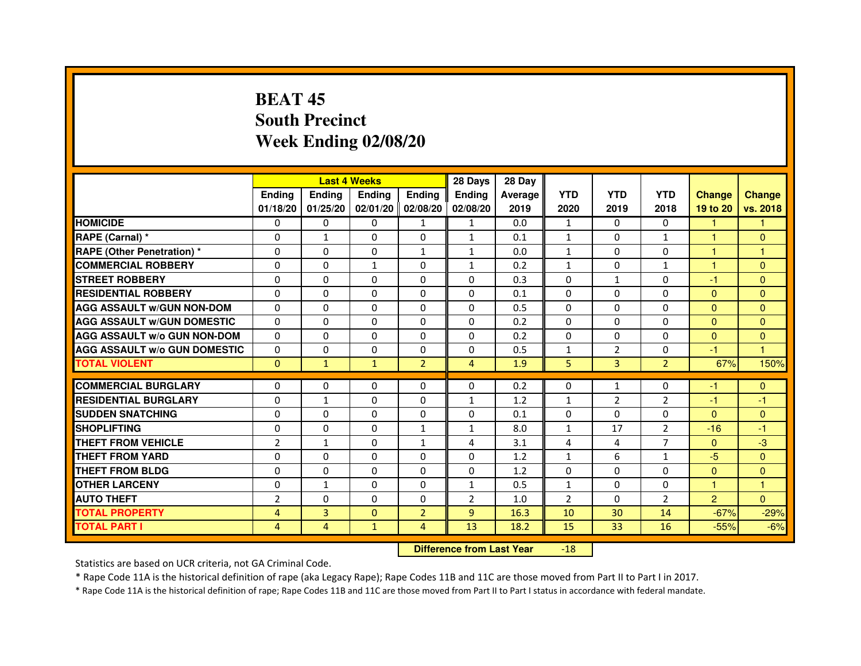# **BEAT 45 South PrecinctWeek Ending 02/08/20**

|                                     |                | <b>Last 4 Weeks</b> |               |                   | 28 Days        | 28 Day  |                |              |                |                |               |
|-------------------------------------|----------------|---------------------|---------------|-------------------|----------------|---------|----------------|--------------|----------------|----------------|---------------|
|                                     | <b>Endina</b>  | Ending              | <b>Endina</b> | <b>Endina</b>     | <b>Endina</b>  | Average | <b>YTD</b>     | <b>YTD</b>   | <b>YTD</b>     | <b>Change</b>  | <b>Change</b> |
|                                     | 01/18/20       | 01/25/20            |               | 02/01/20 02/08/20 | 02/08/20       | 2019    | 2020           | 2019         | 2018           | 19 to 20       | vs. 2018      |
| <b>HOMICIDE</b>                     | 0              | 0                   | 0             | $\mathbf{1}$      | $\mathbf{1}$   | 0.0     | $\mathbf{1}$   | $\Omega$     | 0              | $\mathbf{1}$   | 1             |
| RAPE (Carnal) *                     | $\Omega$       | $\mathbf{1}$        | $\Omega$      | $\Omega$          | $\mathbf{1}$   | 0.1     | $\mathbf{1}$   | $\Omega$     | $\mathbf{1}$   | $\mathbf{1}$   | $\Omega$      |
| <b>RAPE (Other Penetration)*</b>    | $\Omega$       | $\Omega$            | $\Omega$      | $\mathbf{1}$      | $\mathbf{1}$   | 0.0     | $\mathbf{1}$   | $\Omega$     | $\Omega$       | 1              | $\mathbf{1}$  |
| <b>COMMERCIAL ROBBERY</b>           | 0              | 0                   | 1             | 0                 | $\mathbf{1}$   | 0.2     | $\mathbf{1}$   | 0            | $\mathbf{1}$   | 1              | $\Omega$      |
| <b>STREET ROBBERY</b>               | 0              | $\Omega$            | 0             | 0                 | 0              | 0.3     | 0              | $\mathbf{1}$ | 0              | $-1$           | $\Omega$      |
| <b>RESIDENTIAL ROBBERY</b>          | 0              | $\Omega$            | 0             | $\Omega$          | $\Omega$       | 0.1     | $\Omega$       | $\Omega$     | $\Omega$       | $\Omega$       | $\Omega$      |
| <b>AGG ASSAULT w/GUN NON-DOM</b>    | $\Omega$       | $\Omega$            | $\Omega$      | $\Omega$          | $\Omega$       | 0.5     | $\Omega$       | $\Omega$     | $\Omega$       | $\mathbf{0}$   | $\Omega$      |
| <b>AGG ASSAULT W/GUN DOMESTIC</b>   | $\Omega$       | 0                   | $\Omega$      | $\Omega$          | $\Omega$       | 0.2     | $\Omega$       | $\Omega$     | $\Omega$       | $\Omega$       | $\Omega$      |
| <b>AGG ASSAULT W/o GUN NON-DOM</b>  | 0              | 0                   | 0             | 0                 | $\Omega$       | 0.2     | $\Omega$       | $\Omega$     | $\Omega$       | $\Omega$       | $\Omega$      |
| <b>AGG ASSAULT W/o GUN DOMESTIC</b> | 0              | 0                   | 0             | 0                 | 0              | 0.5     | 1              | 2            | 0              | $-1$           | 1             |
| <b>TOTAL VIOLENT</b>                | $\Omega$       | $\mathbf{1}$        | $\mathbf{1}$  | $\overline{2}$    | 4              | 1.9     | 5              | 3            | $\overline{2}$ | 67%            | 150%          |
|                                     |                |                     |               |                   |                |         |                |              |                |                |               |
| <b>COMMERCIAL BURGLARY</b>          | 0              | 0                   | 0             | 0                 | $\Omega$       | 0.2     | 0              | $\mathbf{1}$ | $\Omega$       | -1             | $\mathbf{0}$  |
| <b>RESIDENTIAL BURGLARY</b>         | 0              | $\mathbf{1}$        | 0             | $\Omega$          | $\mathbf{1}$   | 1.2     | $\mathbf{1}$   | 2            | $\overline{2}$ | $-1$           | $-1$          |
| <b>SUDDEN SNATCHING</b>             | 0              | $\Omega$            | $\Omega$      | $\Omega$          | $\Omega$       | 0.1     | $\Omega$       | $\Omega$     | $\Omega$       | $\Omega$       | $\Omega$      |
| <b>SHOPLIFTING</b>                  | $\Omega$       | $\Omega$            | $\Omega$      | $\mathbf{1}$      | $\mathbf{1}$   | 8.0     | $\mathbf{1}$   | 17           | $\overline{2}$ | $-16$          | $-1$          |
| <b>THEFT FROM VEHICLE</b>           | $\overline{2}$ | $\mathbf{1}$        | 0             | $\mathbf{1}$      | 4              | 3.1     | 4              | 4            | 7              | $\mathbf{0}$   | $-3$          |
| <b>THEFT FROM YARD</b>              | $\Omega$       | 0                   | $\Omega$      | $\Omega$          | $\Omega$       | 1.2     | $\mathbf{1}$   | 6            | 1              | $-5$           | $\Omega$      |
| <b>THEFT FROM BLDG</b>              | 0              | $\Omega$            | 0             | $\mathbf{0}$      | $\Omega$       | 1.2     | $\Omega$       | 0            | $\Omega$       | $\mathbf{0}$   | $\Omega$      |
| <b>OTHER LARCENY</b>                | 0              | $\mathbf{1}$        | $\Omega$      | $\Omega$          | $\mathbf{1}$   | 0.5     | $\mathbf{1}$   | $\Omega$     | $\Omega$       | 1              | 1             |
| <b>AUTO THEFT</b>                   | $\overline{2}$ | 0                   | 0             | $\Omega$          | $\overline{2}$ | 1.0     | $\overline{2}$ | $\Omega$     | $\overline{2}$ | $\overline{2}$ | $\Omega$      |
| <b>TOTAL PROPERTY</b>               | $\overline{4}$ | 3                   | $\Omega$      | $\overline{2}$    | 9              | 16.3    | 10             | 30           | 14             | $-67%$         | $-29%$        |
| <b>TOTAL PART I</b>                 | 4              | 4                   | $\mathbf{1}$  | $\overline{4}$    | 13             | 18.2    | 15             | 33           | 16             | $-55%$         | $-6%$         |

#### **Difference from Last Year**-18

Statistics are based on UCR criteria, not GA Criminal Code.

\* Rape Code 11A is the historical definition of rape (aka Legacy Rape); Rape Codes 11B and 11C are those moved from Part II to Part I in 2017.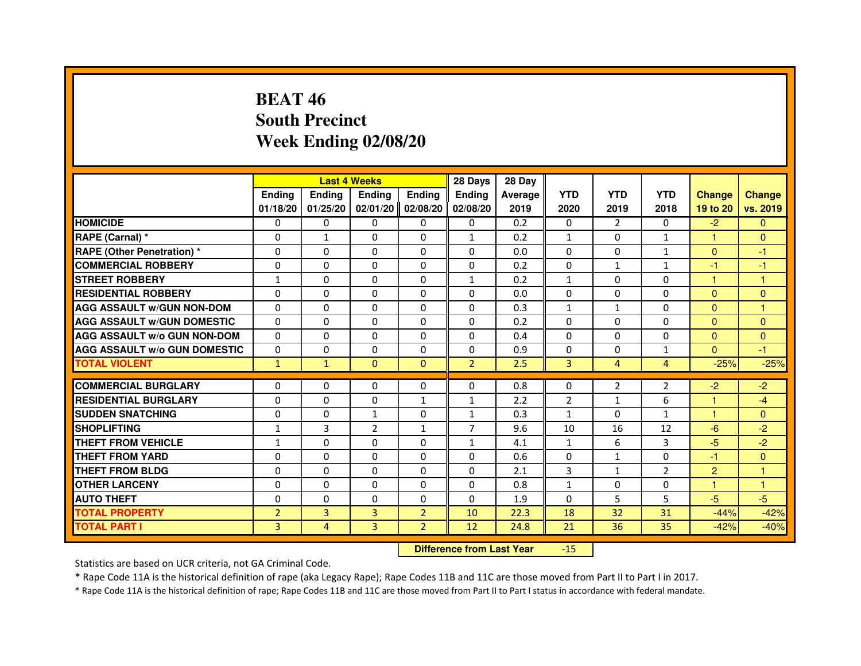# **BEAT 46 South PrecinctWeek Ending 02/08/20**

|                                     |                |              | <b>Last 4 Weeks</b> |                | 28 Days        | 28 Day  |                |                |                |                      |                      |
|-------------------------------------|----------------|--------------|---------------------|----------------|----------------|---------|----------------|----------------|----------------|----------------------|----------------------|
|                                     | <b>Endina</b>  | Ending       | <b>Endina</b>       | <b>Endina</b>  | <b>Endina</b>  | Average | <b>YTD</b>     | <b>YTD</b>     | <b>YTD</b>     | <b>Change</b>        | <b>Change</b>        |
|                                     | 01/18/20       | 01/25/20     | 02/01/20            | 02/08/20       | 02/08/20       | 2019    | 2020           | 2019           | 2018           | 19 to 20             | vs. 2019             |
| <b>HOMICIDE</b>                     | 0              | $\Omega$     | $\Omega$            | 0              | 0              | 0.2     | $\mathbf{0}$   | $\overline{2}$ | $\mathbf{0}$   | $-2$                 | $\Omega$             |
| RAPE (Carnal) *                     | $\Omega$       | $\mathbf{1}$ | $\Omega$            | $\Omega$       | $\mathbf{1}$   | 0.2     | $\mathbf{1}$   | $\Omega$       | $\mathbf{1}$   | $\mathbf{1}$         | $\mathbf{0}$         |
| <b>RAPE (Other Penetration)*</b>    | 0              | $\Omega$     | 0                   | $\mathbf{0}$   | $\Omega$       | 0.0     | $\Omega$       | $\mathbf{0}$   | $\mathbf{1}$   | $\mathbf{0}$         | -1                   |
| <b>COMMERCIAL ROBBERY</b>           | 0              | $\Omega$     | 0                   | 0              | $\Omega$       | 0.2     | $\Omega$       | $\mathbf{1}$   | $\mathbf{1}$   | -1                   | -1                   |
| <b>STREET ROBBERY</b>               | 1              | $\Omega$     | 0                   | $\Omega$       | $\mathbf{1}$   | 0.2     | $\mathbf{1}$   | $\Omega$       | 0              | 1                    | 1                    |
| <b>RESIDENTIAL ROBBERY</b>          | 0              | $\mathbf{0}$ | 0                   | $\Omega$       | 0              | 0.0     | 0              | 0              | 0              | $\mathbf{0}$         | $\mathbf{0}$         |
| <b>AGG ASSAULT w/GUN NON-DOM</b>    | $\Omega$       | $\Omega$     | $\Omega$            | $\Omega$       | $\Omega$       | 0.3     | $\mathbf 1$    | $\mathbf{1}$   | $\Omega$       | $\Omega$             | $\mathbf{1}$         |
| <b>AGG ASSAULT W/GUN DOMESTIC</b>   | $\Omega$       | $\Omega$     | $\Omega$            | $\Omega$       | $\Omega$       | 0.2     | $\Omega$       | $\Omega$       | $\Omega$       | $\Omega$             | $\mathbf{0}$         |
| <b>AGG ASSAULT w/o GUN NON-DOM</b>  | 0              | 0            | $\Omega$            | 0              | 0              | 0.4     | $\Omega$       | 0              | $\Omega$       | $\Omega$             | $\Omega$             |
| <b>AGG ASSAULT W/o GUN DOMESTIC</b> | $\Omega$       | $\Omega$     | 0                   | $\Omega$       | 0              | 0.9     | 0              | $\Omega$       | $\mathbf{1}$   | $\Omega$             | $-1$                 |
| <b>TOTAL VIOLENT</b>                | $\mathbf{1}$   | $\mathbf{1}$ | $\mathbf{0}$        | $\Omega$       | $\overline{2}$ | 2.5     | 3              | $\overline{4}$ | $\overline{4}$ | $-25%$               | $-25%$               |
|                                     |                |              |                     |                |                |         |                |                |                |                      |                      |
| <b>COMMERCIAL BURGLARY</b>          | 0              | 0            | 0                   | 0              | 0              | 0.8     | 0              | 2              | $\overline{2}$ | $-2$                 | $-2$                 |
| <b>RESIDENTIAL BURGLARY</b>         | $\Omega$       | $\mathbf{0}$ | 0                   | $\mathbf{1}$   | $\mathbf{1}$   | 2.2     | $\overline{2}$ | $\mathbf{1}$   | 6              | $\blacktriangleleft$ | $-4$                 |
| <b>SUDDEN SNATCHING</b>             | $\Omega$       | $\Omega$     | 1                   | $\Omega$       | $\mathbf{1}$   | 0.3     | $\mathbf{1}$   | 0              | $\mathbf{1}$   | 1                    | $\Omega$             |
| <b>SHOPLIFTING</b>                  | $\mathbf{1}$   | 3            | $\overline{2}$      | $\mathbf{1}$   | $\overline{7}$ | 9.6     | 10             | 16             | 12             | $-6$                 | $-2$                 |
| THEFT FROM VEHICLE                  | $\mathbf{1}$   | $\Omega$     | $\Omega$            | $\Omega$       | $\mathbf{1}$   | 4.1     | $\mathbf{1}$   | 6              | 3              | $-5$                 | $-2$                 |
| <b>THEFT FROM YARD</b>              | 0              | 0            | 0                   | 0              | 0              | 0.6     | 0              | $\mathbf{1}$   | $\Omega$       | -1                   | $\Omega$             |
| <b>THEFT FROM BLDG</b>              | $\Omega$       | $\mathbf{0}$ | 0                   | $\mathbf{0}$   | $\Omega$       | 2.1     | 3              | $\mathbf{1}$   | $\overline{2}$ | $\overline{2}$       | $\blacktriangleleft$ |
| <b>OTHER LARCENY</b>                | $\Omega$       | $\Omega$     | $\Omega$            | $\Omega$       | $\Omega$       | 0.8     | $\mathbf{1}$   | $\Omega$       | $\Omega$       | 1                    | $\mathbf{1}$         |
| <b>AUTO THEFT</b>                   | $\Omega$       | $\Omega$     | $\Omega$            | $\Omega$       | $\Omega$       | 1.9     | $\Omega$       | 5              | 5              | $-5$                 | $-5$                 |
| <b>TOTAL PROPERTY</b>               | $\overline{2}$ | 3            | 3                   | $\overline{2}$ | 10             | 22.3    | 18             | 32             | 31             | $-44%$               | $-42%$               |
| <b>TOTAL PART I</b>                 | 3              | 4            | 3                   | $\overline{2}$ | 12             | 24.8    | 21             | 36             | 35             | $-42%$               | $-40%$               |

 **Difference from Last Year**-15

Statistics are based on UCR criteria, not GA Criminal Code.

\* Rape Code 11A is the historical definition of rape (aka Legacy Rape); Rape Codes 11B and 11C are those moved from Part II to Part I in 2017.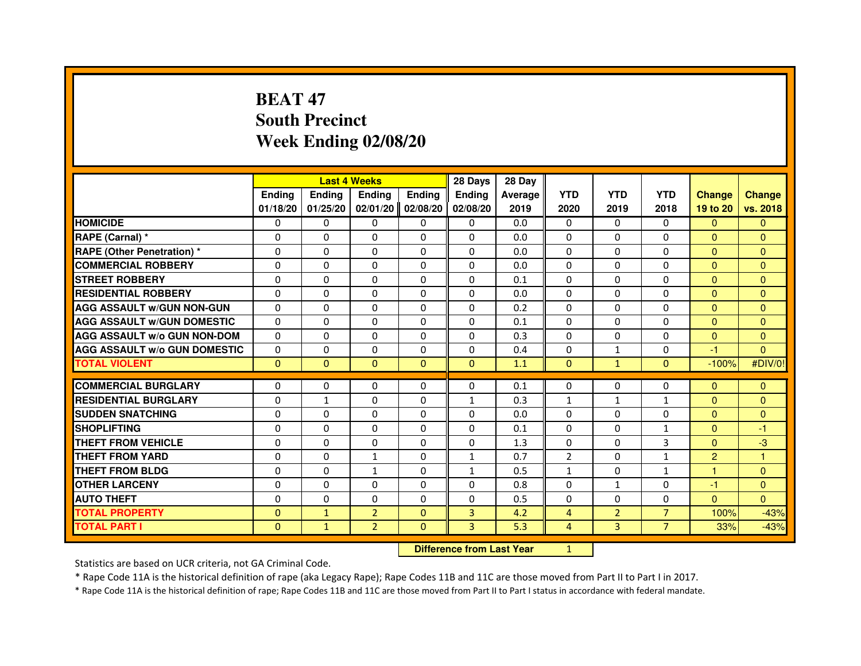# **BEAT 47 South PrecinctWeek Ending 02/08/20**

|                                     |               | <b>Last 4 Weeks</b> |                |               | 28 Days        | 28 Day                           |                |                |                |                |               |
|-------------------------------------|---------------|---------------------|----------------|---------------|----------------|----------------------------------|----------------|----------------|----------------|----------------|---------------|
|                                     | <b>Ending</b> | <b>Ending</b>       | <b>Ending</b>  | <b>Ending</b> | <b>Ending</b>  | Average                          | <b>YTD</b>     | <b>YTD</b>     | <b>YTD</b>     | <b>Change</b>  | <b>Change</b> |
|                                     | 01/18/20      | 01/25/20            | 02/01/20       | 02/08/20      | 02/08/20       | 2019                             | 2020           | 2019           | 2018           | 19 to 20       | vs. 2018      |
| <b>HOMICIDE</b>                     | $\mathbf{0}$  | 0                   | $\mathbf{0}$   | 0             | 0              | 0.0                              | $\mathbf{0}$   | $\Omega$       | $\Omega$       | $\Omega$       | $\mathbf{0}$  |
| RAPE (Carnal) *                     | 0             | 0                   | 0              | 0             | 0              | 0.0                              | 0              | 0              | 0              | $\Omega$       | $\mathbf{0}$  |
| <b>RAPE (Other Penetration) *</b>   | $\Omega$      | $\Omega$            | $\Omega$       | $\Omega$      | $\Omega$       | 0.0                              | $\Omega$       | $\Omega$       | $\Omega$       | $\Omega$       | $\mathbf{0}$  |
| <b>COMMERCIAL ROBBERY</b>           | 0             | 0                   | $\Omega$       | $\Omega$      | 0              | 0.0                              | 0              | $\Omega$       | $\Omega$       | $\overline{0}$ | $\mathbf{0}$  |
| <b>STREET ROBBERY</b>               | $\Omega$      | $\Omega$            | $\Omega$       | $\Omega$      | $\Omega$       | 0.1                              | $\Omega$       | $\Omega$       | $\Omega$       | $\mathbf{0}$   | $\mathbf{0}$  |
| <b>RESIDENTIAL ROBBERY</b>          | 0             | 0                   | 0              | 0             | $\Omega$       | 0.0                              | $\Omega$       | 0              | $\Omega$       | $\Omega$       | $\mathbf{0}$  |
| <b>AGG ASSAULT W/GUN NON-GUN</b>    | $\Omega$      | $\Omega$            | 0              | $\Omega$      | $\Omega$       | 0.2                              | $\Omega$       | $\Omega$       | 0              | $\mathbf{0}$   | $\Omega$      |
| <b>AGG ASSAULT W/GUN DOMESTIC</b>   | $\Omega$      | $\Omega$            | $\Omega$       | $\Omega$      | $\Omega$       | 0.1                              | $\Omega$       | $\Omega$       | 0              | $\Omega$       | $\Omega$      |
| <b>AGG ASSAULT W/o GUN NON-DOM</b>  | $\Omega$      | $\Omega$            | $\Omega$       | $\Omega$      | $\Omega$       | 0.3                              | $\Omega$       | $\Omega$       | $\Omega$       | $\Omega$       | $\mathbf{0}$  |
| <b>AGG ASSAULT W/o GUN DOMESTIC</b> | 0             | 0                   | 0              | $\Omega$      | $\Omega$       | 0.4                              | $\Omega$       | 1              | 0              | -1             | $\Omega$      |
| <b>TOTAL VIOLENT</b>                | $\mathbf{0}$  | $\mathbf{0}$        | $\mathbf{0}$   | $\mathbf{0}$  | $\mathbf{0}$   | 1.1                              | $\mathbf{0}$   | $\mathbf{1}$   | $\mathbf{0}$   | $-100%$        | #DIV/0!       |
| <b>COMMERCIAL BURGLARY</b>          | 0             | 0                   | 0              | 0             | 0              | 0.1                              | 0              | 0              | 0              | $\mathbf{0}$   | $\mathbf{0}$  |
| <b>RESIDENTIAL BURGLARY</b>         | $\Omega$      | $\mathbf{1}$        | 0              | $\Omega$      | $\mathbf{1}$   | 0.3                              | $\mathbf{1}$   | $\mathbf{1}$   | $\mathbf{1}$   | $\mathbf{0}$   | $\mathbf{0}$  |
| <b>SUDDEN SNATCHING</b>             | $\Omega$      | $\Omega$            | $\Omega$       | $\Omega$      | $\Omega$       | 0.0                              | $\Omega$       | $\Omega$       | $\Omega$       | $\Omega$       | $\Omega$      |
| <b>SHOPLIFTING</b>                  | 0             | $\mathbf{0}$        | 0              | $\mathbf{0}$  | 0              | 0.1                              | $\Omega$       | 0              | $\mathbf{1}$   | $\mathbf{0}$   | -1            |
| THEFT FROM VEHICLE                  | 0             | $\Omega$            | 0              | $\Omega$      | 0              | 1.3                              | $\Omega$       | $\Omega$       | 3              | $\overline{0}$ | $-3$          |
| <b>THEFT FROM YARD</b>              | $\Omega$      | $\Omega$            | $\mathbf{1}$   | $\Omega$      | $\mathbf 1$    | 0.7                              | $\overline{2}$ | $\Omega$       | $\mathbf{1}$   | $\overline{2}$ | $\mathbf{1}$  |
| <b>THEFT FROM BLDG</b>              | $\Omega$      | $\Omega$            | $\mathbf{1}$   | $\Omega$      | $\mathbf{1}$   | 0.5                              | $\mathbf{1}$   | $\Omega$       | $\mathbf{1}$   | $\mathbf{1}$   | $\Omega$      |
| <b>OTHER LARCENY</b>                | $\Omega$      | $\Omega$            | $\Omega$       | $\Omega$      | $\Omega$       | 0.8                              | $\Omega$       | $\mathbf{1}$   | $\Omega$       | $-1$           | $\mathbf{0}$  |
| <b>AUTO THEFT</b>                   | $\Omega$      | $\Omega$            | $\Omega$       | $\Omega$      | $\Omega$       | 0.5                              | $\Omega$       | $\Omega$       | $\Omega$       | $\Omega$       | $\Omega$      |
| <b>TOTAL PROPERTY</b>               | $\Omega$      | $\mathbf{1}$        | $\overline{2}$ | $\Omega$      | $\overline{3}$ | 4.2                              | 4              | $\overline{2}$ | $\overline{7}$ | 100%           | $-43%$        |
| <b>TOTAL PART I</b>                 | $\mathbf{0}$  | $\mathbf{1}$        | $\overline{2}$ | $\mathbf{0}$  | 3              | 5.3                              | $\overline{4}$ | 3              | $\overline{7}$ | 33%            | $-43%$        |
|                                     |               |                     |                |               |                | <b>Difference from Last Year</b> | $\mathbf{1}$   |                |                |                |               |

 **Difference from Last Year**

Statistics are based on UCR criteria, not GA Criminal Code.

\* Rape Code 11A is the historical definition of rape (aka Legacy Rape); Rape Codes 11B and 11C are those moved from Part II to Part I in 2017.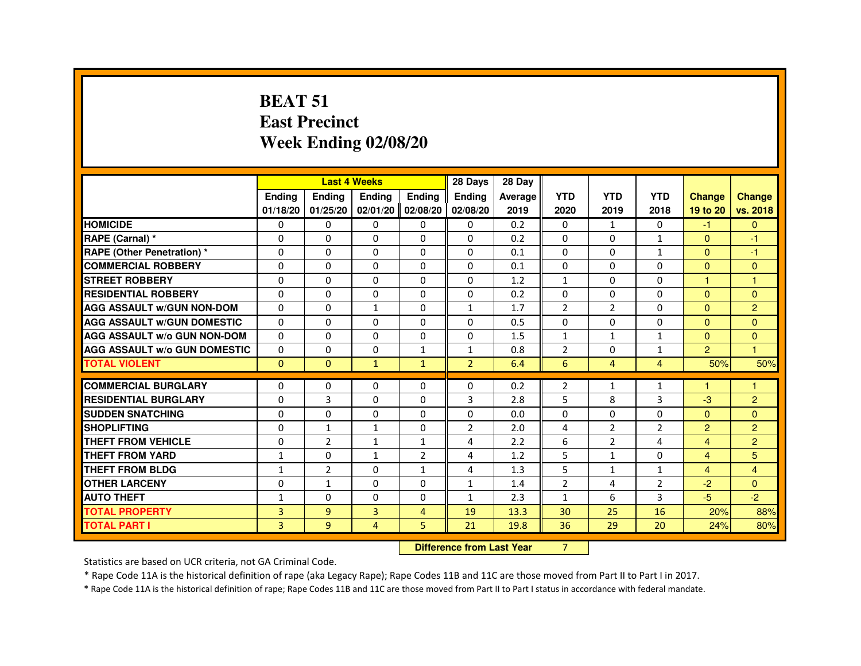#### **BEAT 51 East PrecinctWeek Ending 02/08/20**

|                                     |               |                | <b>Last 4 Weeks</b> |                | 28 Days                | 28 Day  |                |                |                |                      |                |
|-------------------------------------|---------------|----------------|---------------------|----------------|------------------------|---------|----------------|----------------|----------------|----------------------|----------------|
|                                     | <b>Ending</b> | <b>Ending</b>  | <b>Ending</b>       | <b>Ending</b>  | <b>Endina</b>          | Average | <b>YTD</b>     | <b>YTD</b>     | <b>YTD</b>     | <b>Change</b>        | <b>Change</b>  |
|                                     | 01/18/20      | 01/25/20       | 02/01/20            | 02/08/20       | 02/08/20               | 2019    | 2020           | 2019           | 2018           | 19 to 20             | vs. 2018       |
| <b>HOMICIDE</b>                     | 0             | $\mathbf{0}$   | $\Omega$            | $\mathbf{0}$   | $\Omega$               | 0.2     | $\Omega$       | 1              | $\mathbf{0}$   | $-1$                 | $\mathbf{0}$   |
| RAPE (Carnal) *                     | $\Omega$      | 0              | $\Omega$            | $\Omega$       | $\Omega$               | 0.2     | $\Omega$       | $\Omega$       | $\mathbf{1}$   | $\Omega$             | $-1$           |
| <b>RAPE (Other Penetration) *</b>   | 0             | 0              | 0                   | $\Omega$       | $\Omega$               | 0.1     | 0              | $\Omega$       | $\mathbf{1}$   | $\Omega$             | $-1$           |
| <b>COMMERCIAL ROBBERY</b>           | $\Omega$      | $\Omega$       | $\Omega$            | $\Omega$       | $\Omega$               | 0.1     | $\Omega$       | $\Omega$       | $\Omega$       | $\Omega$             | $\Omega$       |
| <b>STREET ROBBERY</b>               | $\Omega$      | $\Omega$       | $\Omega$            | $\Omega$       | $\Omega$               | 1.2     | $\mathbf{1}$   | $\Omega$       | $\Omega$       | $\mathbf{1}$         | $\mathbf{1}$   |
| <b>RESIDENTIAL ROBBERY</b>          | $\Omega$      | $\Omega$       | $\Omega$            | $\Omega$       | $\Omega$               | 0.2     | $\Omega$       | $\Omega$       | $\Omega$       | $\Omega$             | $\Omega$       |
| <b>AGG ASSAULT W/GUN NON-DOM</b>    | 0             | $\Omega$       | 1                   | $\Omega$       | 1                      | 1.7     | $\overline{2}$ | $\overline{2}$ | $\Omega$       | $\mathbf{0}$         | $\overline{2}$ |
| <b>AGG ASSAULT W/GUN DOMESTIC</b>   | $\Omega$      | $\Omega$       | $\Omega$            | $\Omega$       | $\Omega$               | 0.5     | 0              | 0              | 0              | $\Omega$             | $\Omega$       |
| <b>AGG ASSAULT W/o GUN NON-DOM</b>  | $\Omega$      | $\Omega$       | $\Omega$            | $\Omega$       | $\Omega$               | 1.5     | $\mathbf{1}$   | $\mathbf{1}$   | $\mathbf{1}$   | $\Omega$             | $\mathbf{0}$   |
| <b>AGG ASSAULT W/o GUN DOMESTIC</b> | $\Omega$      | $\Omega$       | $\Omega$            | $\mathbf{1}$   | $\mathbf{1}$           | 0.8     | $\overline{2}$ | $\Omega$       | $\mathbf{1}$   | $\overline{2}$       | $\overline{1}$ |
| <b>TOTAL VIOLENT</b>                | $\Omega$      | $\mathbf{0}$   | $\mathbf{1}$        | $\mathbf{1}$   | $\overline{2}$         | 6.4     | 6              | $\overline{4}$ | $\overline{4}$ | 50%                  | 50%            |
| <b>COMMERCIAL BURGLARY</b>          | $\Omega$      | 0              | 0                   | $\Omega$       | $\Omega$               | 0.2     | $\overline{2}$ | 1              | $\mathbf{1}$   | $\blacktriangleleft$ | 1              |
| <b>RESIDENTIAL BURGLARY</b>         | $\Omega$      | $\overline{3}$ | $\Omega$            | $\Omega$       | 3                      | 2.8     | 5              | 8              | 3              | $-3$                 | $\overline{2}$ |
| <b>SUDDEN SNATCHING</b>             | 0             | 0              | 0                   | $\Omega$       | $\Omega$               | 0.0     | 0              | 0              | 0              | $\Omega$             | $\Omega$       |
| <b>SHOPLIFTING</b>                  | 0             | $\mathbf{1}$   | $\mathbf{1}$        | $\Omega$       | $\overline{2}$         | 2.0     | 4              | $\overline{2}$ | $\overline{2}$ | $\overline{2}$       | $\overline{2}$ |
| <b>THEFT FROM VEHICLE</b>           | $\Omega$      | 2              | $\mathbf{1}$        | $\mathbf{1}$   | 4                      | 2.2     | 6              | 2              | 4              | $\overline{4}$       | $\overline{2}$ |
| <b>THEFT FROM YARD</b>              | $\mathbf{1}$  | $\Omega$       | $\mathbf{1}$        | 2              | $\overline{4}$         | 1.2     | 5              | $\mathbf{1}$   | $\Omega$       | $\overline{4}$       | 5              |
| <b>THEFT FROM BLDG</b>              | $\mathbf{1}$  | $\overline{2}$ | $\Omega$            | $\mathbf{1}$   | 4                      | 1.3     | 5              | $\mathbf{1}$   | $\mathbf{1}$   | $\overline{4}$       | $\overline{4}$ |
| <b>OTHER LARCENY</b>                | $\Omega$      | 1              | $\Omega$            | $\Omega$       | 1                      | 1.4     | $\overline{2}$ | 4              | $\overline{2}$ | $-2$                 | $\Omega$       |
| <b>AUTO THEFT</b>                   | $\mathbf{1}$  | 0              | 0                   | $\Omega$       | $\mathbf{1}$           | 2.3     | $\mathbf{1}$   | 6              | 3              | $-5$                 | $-2$           |
| <b>TOTAL PROPERTY</b>               | 3             | 9              | 3                   | $\overline{4}$ | 19                     | 13.3    | 30             | 25             | 16             | 20%                  | 88%            |
| <b>TOTAL PART I</b>                 | 3             | 9              | $\overline{4}$      | 5              | 21                     | 19.8    | 36             | 29             | 20             | 24%                  | 80%            |
|                                     |               |                |                     | <b>PASSAGE</b> | a a dheanailte an Main |         | $\sim$         |                |                |                      |                |

**Difference from Last Year** 7

Statistics are based on UCR criteria, not GA Criminal Code.

\* Rape Code 11A is the historical definition of rape (aka Legacy Rape); Rape Codes 11B and 11C are those moved from Part II to Part I in 2017.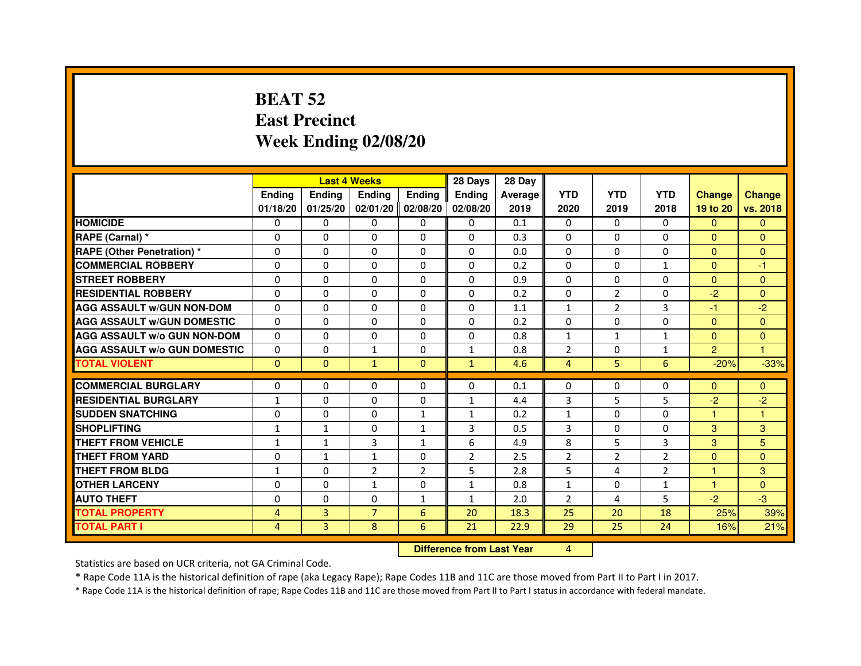# **BEAT 52 East PrecinctWeek Ending 02/08/20**

|                                     |                | <b>Last 4 Weeks</b> |                |                     | 28 Days        | 28 Day  |                |                |                |                |               |
|-------------------------------------|----------------|---------------------|----------------|---------------------|----------------|---------|----------------|----------------|----------------|----------------|---------------|
|                                     | <b>Endina</b>  | Ending              | <b>Endina</b>  | <b>Endina</b>       | <b>Endina</b>  | Average | <b>YTD</b>     | <b>YTD</b>     | <b>YTD</b>     | <b>Change</b>  | <b>Change</b> |
|                                     | 01/18/20       | 01/25/20            |                | $02/01/20$ 02/08/20 | 02/08/20       | 2019    | 2020           | 2019           | 2018           | 19 to 20       | vs. 2018      |
| <b>HOMICIDE</b>                     | 0              | 0                   | 0              | $\Omega$            | 0              | 0.1     | $\mathbf{0}$   | $\Omega$       | $\Omega$       | $\mathbf{0}$   | $\mathbf{0}$  |
| RAPE (Carnal) *                     | $\Omega$       | $\Omega$            | $\Omega$       | $\Omega$            | $\Omega$       | 0.3     | $\Omega$       | $\Omega$       | $\Omega$       | $\Omega$       | $\Omega$      |
| <b>RAPE (Other Penetration)*</b>    | $\Omega$       | $\Omega$            | $\Omega$       | $\Omega$            | $\Omega$       | 0.0     | $\Omega$       | $\Omega$       | $\Omega$       | $\Omega$       | $\Omega$      |
| <b>COMMERCIAL ROBBERY</b>           | 0              | 0                   | 0              | 0                   | 0              | 0.2     | $\Omega$       | 0              | $\mathbf{1}$   | $\mathbf{0}$   | $-1$          |
| <b>STREET ROBBERY</b>               | 0              | $\Omega$            | 0              | 0                   | 0              | 0.9     | 0              | 0              | 0              | $\mathbf{0}$   | $\Omega$      |
| <b>RESIDENTIAL ROBBERY</b>          | 0              | $\Omega$            | 0              | $\Omega$            | $\Omega$       | 0.2     | $\Omega$       | $\overline{2}$ | $\Omega$       | $-2$           | $\Omega$      |
| <b>AGG ASSAULT w/GUN NON-DOM</b>    | $\Omega$       | $\Omega$            | $\Omega$       | $\Omega$            | $\Omega$       | 1.1     | $\mathbf{1}$   | $\overline{2}$ | 3              | $-1$           | $-2$          |
| <b>AGG ASSAULT W/GUN DOMESTIC</b>   | $\Omega$       | 0                   | $\Omega$       | $\Omega$            | $\Omega$       | 0.2     | $\Omega$       | $\Omega$       | $\Omega$       | $\Omega$       | $\Omega$      |
| <b>AGG ASSAULT W/o GUN NON-DOM</b>  | 0              | 0                   | 0              | 0                   | $\Omega$       | 0.8     | $\mathbf{1}$   | $\mathbf{1}$   | 1              | $\Omega$       | $\Omega$      |
| <b>AGG ASSAULT W/o GUN DOMESTIC</b> | 0              | 0                   | $\mathbf{1}$   | 0                   | 1              | 0.8     | 2              | 0              | 1              | $\overline{2}$ | 1             |
| <b>TOTAL VIOLENT</b>                | $\Omega$       | $\Omega$            | $\mathbf{1}$   | $\Omega$            | $\mathbf{1}$   | 4.6     | $\overline{4}$ | 5              | 6              | $-20%$         | $-33%$        |
|                                     |                |                     |                |                     |                |         |                |                |                |                |               |
| <b>COMMERCIAL BURGLARY</b>          | 0              | 0                   | 0              | 0                   | $\Omega$       | 0.1     | $\Omega$       | 0              | $\Omega$       | $\mathbf{0}$   | $\mathbf{0}$  |
| <b>RESIDENTIAL BURGLARY</b>         | $\mathbf{1}$   | 0                   | 0              | $\Omega$            | $\mathbf{1}$   | 4.4     | 3              | 5              | 5              | $-2$           | $-2$          |
| <b>SUDDEN SNATCHING</b>             | 0              | $\Omega$            | $\Omega$       | $\mathbf{1}$        | $\mathbf{1}$   | 0.2     | $\mathbf{1}$   | $\Omega$       | $\Omega$       | 1              | $\mathbf{1}$  |
| <b>SHOPLIFTING</b>                  | $\mathbf{1}$   | $\mathbf{1}$        | $\Omega$       | $\mathbf{1}$        | 3              | 0.5     | 3              | $\mathbf{0}$   | $\Omega$       | 3              | 3             |
| <b>THEFT FROM VEHICLE</b>           | $\mathbf{1}$   | $\mathbf{1}$        | 3              | $\mathbf{1}$        | 6              | 4.9     | 8              | 5              | 3              | 3              | 5             |
| <b>THEFT FROM YARD</b>              | 0              | 1                   | 1              | $\Omega$            | $\overline{2}$ | 2.5     | $\overline{2}$ | $\overline{2}$ | $\overline{2}$ | $\Omega$       | $\Omega$      |
| <b>THEFT FROM BLDG</b>              | 1              | $\Omega$            | $\overline{2}$ | $\overline{2}$      | 5              | 2.8     | 5              | 4              | $\overline{2}$ | 1              | 3             |
| <b>OTHER LARCENY</b>                | 0              | 0                   | 1              | $\Omega$            | $\mathbf{1}$   | 0.8     | $\mathbf{1}$   | $\Omega$       | $\mathbf{1}$   | 1              | $\Omega$      |
| <b>AUTO THEFT</b>                   | 0              | 0                   | 0              | $\mathbf{1}$        | $\mathbf{1}$   | 2.0     | $\overline{2}$ | 4              | 5              | $-2$           | -3            |
| <b>TOTAL PROPERTY</b>               | $\overline{4}$ | 3                   | $\overline{7}$ | 6                   | 20             | 18.3    | 25             | 20             | 18             | 25%            | 39%           |
| <b>TOTAL PART I</b>                 | 4              | 3                   | 8              | 6                   | 21             | 22.9    | 29             | 25             | 24             | 16%            | 21%           |

#### **Difference from Last Year**

<sup>4</sup>

Statistics are based on UCR criteria, not GA Criminal Code.

\* Rape Code 11A is the historical definition of rape (aka Legacy Rape); Rape Codes 11B and 11C are those moved from Part II to Part I in 2017.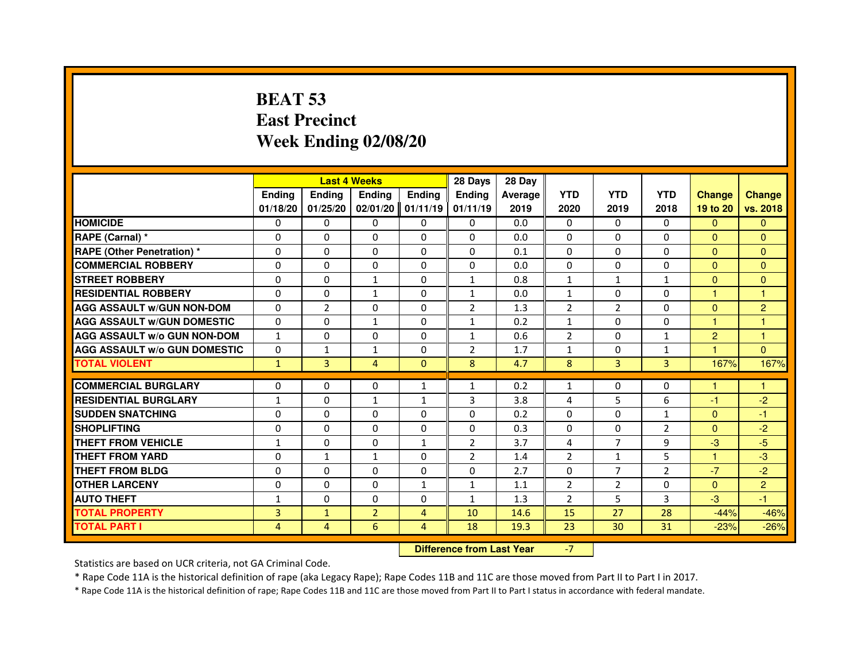# **BEAT 53 East PrecinctWeek Ending 02/08/20**

|                                     |                | <b>Last 4 Weeks</b> |                |                | 28 Days                          | 28 Day  |                |                |                |                |                |
|-------------------------------------|----------------|---------------------|----------------|----------------|----------------------------------|---------|----------------|----------------|----------------|----------------|----------------|
|                                     | <b>Ending</b>  | Ending              | Ending         | Ending         | Ending                           | Average | <b>YTD</b>     | <b>YTD</b>     | <b>YTD</b>     | <b>Change</b>  | <b>Change</b>  |
|                                     | 01/18/20       | 01/25/20            | 02/01/20       | 01/11/19       | 01/11/19                         | 2019    | 2020           | 2019           | 2018           | 19 to 20       | vs. 2018       |
| <b>HOMICIDE</b>                     | $\Omega$       | $\mathbf{0}$        | $\mathbf{0}$   | $\mathbf{0}$   | 0                                | 0.0     | $\Omega$       | $\Omega$       | $\Omega$       | $\overline{0}$ | $\mathbf{0}$   |
| RAPE (Carnal) *                     | 0              | $\Omega$            | $\Omega$       | $\Omega$       | $\Omega$                         | 0.0     | $\Omega$       | $\Omega$       | $\Omega$       | $\mathbf{0}$   | $\Omega$       |
| <b>RAPE (Other Penetration) *</b>   | $\Omega$       | $\Omega$            | $\Omega$       | $\Omega$       | $\Omega$                         | 0.1     | $\Omega$       | $\Omega$       | $\Omega$       | $\Omega$       | $\Omega$       |
| <b>COMMERCIAL ROBBERY</b>           | $\Omega$       | $\Omega$            | $\Omega$       | $\Omega$       | 0                                | 0.0     | $\Omega$       | $\Omega$       | $\Omega$       | $\Omega$       | $\mathbf{0}$   |
| <b>STREET ROBBERY</b>               | $\Omega$       | $\Omega$            | $\mathbf{1}$   | $\Omega$       | $\mathbf{1}$                     | 0.8     | $\mathbf{1}$   | $\mathbf{1}$   | $\mathbf{1}$   | $\Omega$       | $\mathbf{0}$   |
| <b>RESIDENTIAL ROBBERY</b>          | 0              | 0                   | $\mathbf{1}$   | 0              | $\mathbf{1}$                     | 0.0     | $\mathbf{1}$   | 0              | $\Omega$       | $\mathbf{1}$   | 1              |
| <b>AGG ASSAULT w/GUN NON-DOM</b>    | $\Omega$       | $\overline{2}$      | $\Omega$       | $\Omega$       | $\overline{2}$                   | 1.3     | $\overline{2}$ | $\overline{2}$ | $\Omega$       | $\Omega$       | $\overline{c}$ |
| <b>AGG ASSAULT w/GUN DOMESTIC</b>   | $\Omega$       | $\Omega$            | $\mathbf{1}$   | $\Omega$       | $\mathbf{1}$                     | 0.2     | $\mathbf{1}$   | $\Omega$       | $\Omega$       | $\mathbf{1}$   | $\mathbf{1}$   |
| <b>AGG ASSAULT W/o GUN NON-DOM</b>  | $\mathbf{1}$   | $\Omega$            | $\Omega$       | $\Omega$       | $\mathbf{1}$                     | 0.6     | $\overline{2}$ | $\Omega$       | $\mathbf{1}$   | $\overline{2}$ | $\mathbf{1}$   |
| <b>AGG ASSAULT W/o GUN DOMESTIC</b> | 0              | 1                   | 1              | $\Omega$       | $\overline{2}$                   | 1.7     | 1              | 0              | $\mathbf{1}$   |                | $\Omega$       |
| <b>TOTAL VIOLENT</b>                | $\mathbf{1}$   | $\overline{3}$      | $\overline{4}$ | $\mathbf{0}$   | 8                                | 4.7     | 8              | 3              | 3              | 167%           | 167%           |
| <b>COMMERCIAL BURGLARY</b>          | 0              | 0                   | $\Omega$       | $\mathbf{1}$   | 1                                | 0.2     | $\mathbf{1}$   | $\Omega$       | $\Omega$       | 1              | 1              |
| <b>RESIDENTIAL BURGLARY</b>         | $\mathbf{1}$   | $\Omega$            | $\mathbf{1}$   | $\mathbf{1}$   | 3                                | 3.8     | 4              | 5              | 6              | $-1$           | $-2$           |
| <b>SUDDEN SNATCHING</b>             | $\Omega$       | $\Omega$            | $\Omega$       | $\Omega$       | $\Omega$                         | 0.2     | $\Omega$       | $\Omega$       | $\mathbf{1}$   | $\Omega$       | $-1$           |
| <b>SHOPLIFTING</b>                  | 0              | $\Omega$            | $\Omega$       | 0              | 0                                | 0.3     | $\mathbf{0}$   | $\mathbf{0}$   | $\overline{2}$ | $\mathbf{0}$   | $-2$           |
| THEFT FROM VEHICLE                  | $\mathbf{1}$   | $\Omega$            | $\Omega$       | $\mathbf{1}$   | $\overline{2}$                   | 3.7     | 4              | $\overline{7}$ | 9              | $-3$           | $-5$           |
| <b>THEFT FROM YARD</b>              | $\Omega$       | $\mathbf{1}$        | $\mathbf{1}$   | $\Omega$       | $\overline{2}$                   | 1.4     | $\overline{2}$ | $\mathbf{1}$   | 5              | $\mathbf{1}$   | $-3$           |
| <b>THEFT FROM BLDG</b>              | $\Omega$       | $\Omega$            | $\Omega$       | $\Omega$       | $\Omega$                         | 2.7     | $\Omega$       | $\overline{7}$ | $\overline{2}$ | $-7$           | $-2$           |
| <b>OTHER LARCENY</b>                | $\Omega$       | $\Omega$            | $\Omega$       | $\mathbf{1}$   | 1                                | 1.1     | $\overline{2}$ | $\overline{2}$ | $\Omega$       | $\mathbf{0}$   | $\overline{c}$ |
| <b>AUTO THEFT</b>                   | $\mathbf{1}$   | 0                   | $\Omega$       | $\Omega$       | $\mathbf{1}$                     | 1.3     | $\overline{2}$ | 5              | 3              | $-3$           | $-1$           |
| <b>TOTAL PROPERTY</b>               | 3              | $\mathbf{1}$        | $\overline{2}$ | $\overline{4}$ | 10                               | 14.6    | 15             | 27             | 28             | $-44%$         | $-46%$         |
| <b>TOTAL PART I</b>                 | $\overline{4}$ | $\overline{4}$      | 6              | $\overline{4}$ | 18                               | 19.3    | 23             | 30             | 31             | $-23%$         | $-26%$         |
|                                     |                |                     |                |                | <b>Difference from Last Year</b> |         | $-7$           |                |                |                |                |

 **Difference from Last Year**

Statistics are based on UCR criteria, not GA Criminal Code.

\* Rape Code 11A is the historical definition of rape (aka Legacy Rape); Rape Codes 11B and 11C are those moved from Part II to Part I in 2017.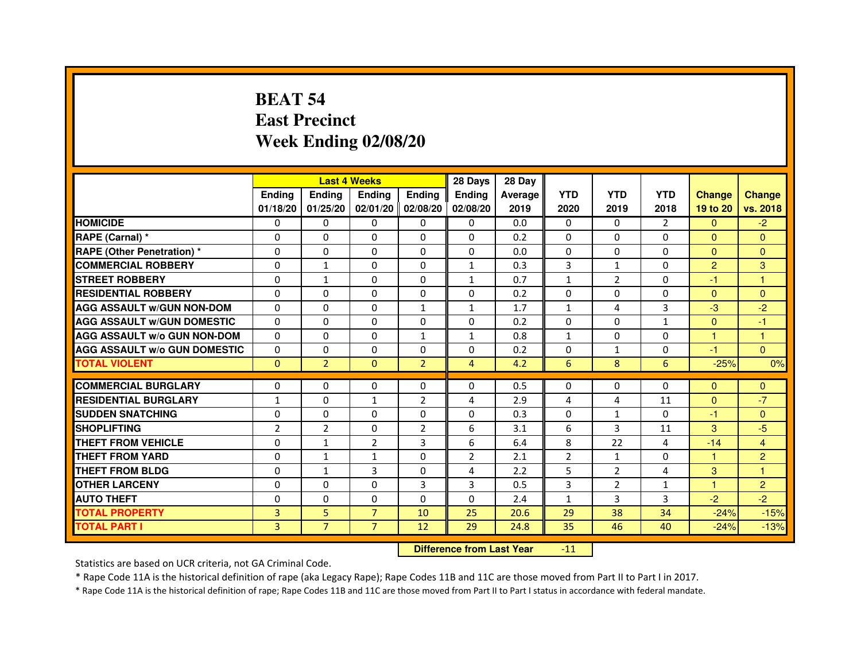# **BEAT 54 East PrecinctWeek Ending 02/08/20**

|                                     |                |                | <b>Last 4 Weeks</b> |                   | 28 Days        | 28 Day  |                |                |                |                         |                         |
|-------------------------------------|----------------|----------------|---------------------|-------------------|----------------|---------|----------------|----------------|----------------|-------------------------|-------------------------|
|                                     | <b>Endina</b>  | <b>Ending</b>  | <b>Ending</b>       | Ending            | <b>Endina</b>  | Average | <b>YTD</b>     | <b>YTD</b>     | <b>YTD</b>     | <b>Change</b>           | <b>Change</b>           |
|                                     | 01/18/20       | 01/25/20       |                     | 02/01/20 02/08/20 | 02/08/20       | 2019    | 2020           | 2019           | 2018           | 19 to 20                | vs. 2018                |
| <b>HOMICIDE</b>                     | 0              | 0              | 0                   | 0                 | 0              | 0.0     | $\mathbf{0}$   | 0              | $\overline{2}$ | $\mathbf{0}$            | $-2$                    |
| RAPE (Carnal) *                     | $\Omega$       | $\Omega$       | $\Omega$            | $\Omega$          | $\Omega$       | 0.2     | $\Omega$       | $\Omega$       | $\Omega$       | $\Omega$                | $\Omega$                |
| <b>RAPE (Other Penetration) *</b>   | 0              | $\Omega$       | $\Omega$            | $\Omega$          | 0              | 0.0     | 0              | $\Omega$       | $\Omega$       | $\Omega$                | $\Omega$                |
| <b>COMMERCIAL ROBBERY</b>           | 0              | $\mathbf{1}$   | $\Omega$            | 0                 | 1              | 0.3     | 3              | 1              | $\Omega$       | $\overline{2}$          | 3                       |
| <b>STREET ROBBERY</b>               | $\Omega$       | $\mathbf{1}$   | $\Omega$            | 0                 | $\mathbf{1}$   | 0.7     | $\mathbf{1}$   | 2              | 0              | $-1$                    | $\overline{\mathbf{1}}$ |
| <b>RESIDENTIAL ROBBERY</b>          | $\Omega$       | $\Omega$       | $\Omega$            | $\Omega$          | 0              | 0.2     | 0              | $\Omega$       | 0              | $\Omega$                | $\Omega$                |
| <b>AGG ASSAULT W/GUN NON-DOM</b>    | $\Omega$       | $\mathbf 0$    | $\mathbf 0$         | $\mathbf{1}$      | $\mathbf{1}$   | 1.7     | $\mathbf{1}$   | 4              | 3              | $-3$                    | $-2$                    |
| <b>AGG ASSAULT W/GUN DOMESTIC</b>   | $\Omega$       | $\Omega$       | $\Omega$            | $\Omega$          | 0              | 0.2     | 0              | 0              | $\mathbf{1}$   | $\Omega$                | $-1$                    |
| <b>AGG ASSAULT W/o GUN NON-DOM</b>  | $\Omega$       | $\Omega$       | $\Omega$            | $\mathbf{1}$      | 1              | 0.8     | $\mathbf{1}$   | $\Omega$       | $\Omega$       | 1                       | $\overline{1}$          |
| <b>AGG ASSAULT W/o GUN DOMESTIC</b> | $\Omega$       | 0              | $\Omega$            | $\Omega$          | 0              | 0.2     | 0              | $\mathbf{1}$   | 0              | $-1$                    | $\Omega$                |
| <b>TOTAL VIOLENT</b>                | $\Omega$       | $\overline{2}$ | $\Omega$            | $\overline{2}$    | $\overline{4}$ | 4.2     | 6              | 8              | 6              | $-25%$                  | 0%                      |
|                                     |                |                |                     |                   |                |         |                |                |                |                         |                         |
| <b>COMMERCIAL BURGLARY</b>          | 0              | 0              | 0                   | $\Omega$          | $\Omega$       | 0.5     | 0              | $\Omega$       | $\Omega$       | $\Omega$                | $\mathbf{0}$            |
| <b>RESIDENTIAL BURGLARY</b>         | 1              | 0              | $\mathbf{1}$        | $\overline{2}$    | 4              | 2.9     | 4              | 4              | 11             | $\Omega$                | $-7$                    |
| <b>SUDDEN SNATCHING</b>             | 0              | $\Omega$       | 0                   | 0                 | 0              | 0.3     | 0              | $\mathbf{1}$   | $\Omega$       | $-1$                    | $\Omega$                |
| <b>SHOPLIFTING</b>                  | $\overline{2}$ | $\overline{2}$ | 0                   | $\overline{2}$    | 6              | 3.1     | 6              | 3              | 11             | 3                       | $-5$                    |
| <b>THEFT FROM VEHICLE</b>           | $\Omega$       | $\mathbf{1}$   | $\overline{2}$      | 3                 | 6              | 6.4     | 8              | 22             | 4              | $-14$                   | 4                       |
| <b>THEFT FROM YARD</b>              | 0              | 1              | $\mathbf{1}$        | $\Omega$          | $\overline{2}$ | 2.1     | $\overline{2}$ | $\mathbf{1}$   | $\Omega$       | $\mathbf{1}$            | $\overline{2}$          |
| <b>THEFT FROM BLDG</b>              | 0              | $\mathbf{1}$   | 3                   | 0                 | 4              | 2.2     | 5              | $\overline{2}$ | 4              | 3                       | 1                       |
| <b>OTHER LARCENY</b>                | $\Omega$       | $\Omega$       | $\Omega$            | 3                 | 3              | 0.5     | 3              | 2              | 1              | $\overline{\mathbf{1}}$ | $\overline{2}$          |
| <b>AUTO THEFT</b>                   | $\mathbf 0$    | $\mathbf 0$    | 0                   | 0                 | 0              | 2.4     | $\mathbf{1}$   | 3              | 3              | $-2$                    | $-2$                    |
| <b>TOTAL PROPERTY</b>               | 3              | 5              | $\overline{7}$      | 10                | 25             | 20.6    | 29             | 38             | 34             | $-24%$                  | $-15%$                  |
| <b>TOTAL PART I</b>                 | 3              | $\overline{7}$ | $\overline{7}$      | 12                | 29             | 24.8    | 35             | 46             | 40             | $-24%$                  | $-13%$                  |

#### **Difference from Last Year**-11

Statistics are based on UCR criteria, not GA Criminal Code.

\* Rape Code 11A is the historical definition of rape (aka Legacy Rape); Rape Codes 11B and 11C are those moved from Part II to Part I in 2017.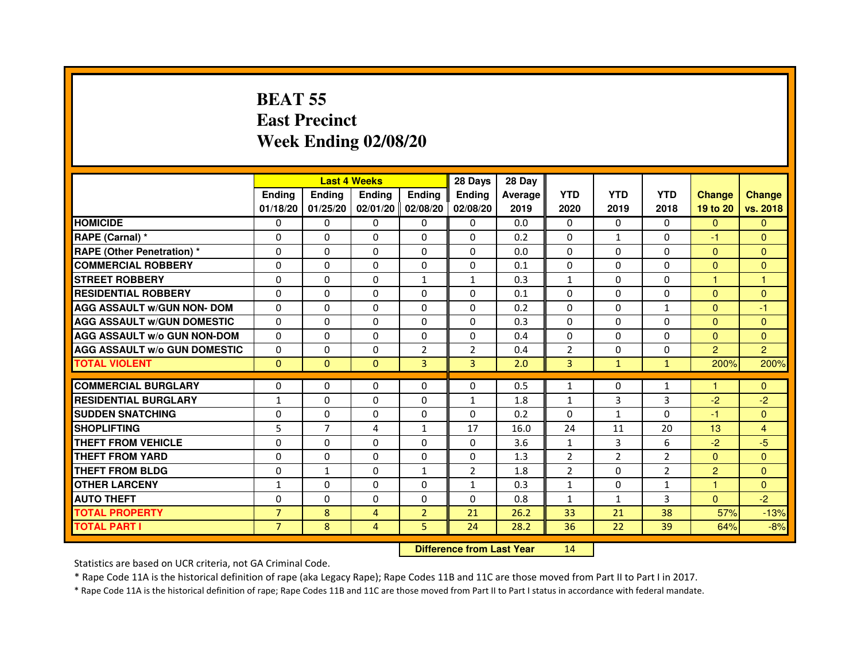# **BEAT 55 East PrecinctWeek Ending 02/08/20**

|                                     |                |                | <b>Last 4 Weeks</b> |                | 28 Days        | 28 Day                           |                |                |                |                 |                |
|-------------------------------------|----------------|----------------|---------------------|----------------|----------------|----------------------------------|----------------|----------------|----------------|-----------------|----------------|
|                                     | <b>Ending</b>  | <b>Ending</b>  | <b>Ending</b>       | Ending         | Ending         | Average                          | <b>YTD</b>     | <b>YTD</b>     | <b>YTD</b>     | <b>Change</b>   | <b>Change</b>  |
|                                     | 01/18/20       | 01/25/20       | 02/01/20            | 02/08/20       | 02/08/20       | 2019                             | 2020           | 2019           | 2018           | 19 to 20        | vs. 2018       |
| <b>HOMICIDE</b>                     | $\Omega$       | $\Omega$       | 0                   | 0              | 0              | 0.0                              | $\Omega$       | $\Omega$       | 0              | $\Omega$        | $\Omega$       |
| RAPE (Carnal) *                     | $\Omega$       | $\mathbf{0}$   | 0                   | 0              | 0              | 0.2                              | 0              | $\mathbf{1}$   | 0              | $-1$            | $\mathbf{0}$   |
| RAPE (Other Penetration) *          | $\Omega$       | 0              | $\Omega$            | $\Omega$       | $\Omega$       | 0.0                              | $\Omega$       | $\Omega$       | $\Omega$       | $\mathbf{0}$    | $\overline{0}$ |
| <b>COMMERCIAL ROBBERY</b>           | $\Omega$       | $\Omega$       | $\Omega$            | 0              | 0              | 0.1                              | $\Omega$       | $\Omega$       | $\Omega$       | $\mathbf{0}$    | $\mathbf{0}$   |
| <b>STREET ROBBERY</b>               | $\Omega$       | $\Omega$       | $\Omega$            | $\mathbf{1}$   | $\mathbf{1}$   | 0.3                              | $\mathbf{1}$   | $\Omega$       | $\Omega$       | $\mathbf{1}$    | 1              |
| <b>RESIDENTIAL ROBBERY</b>          | 0              | 0              | 0                   | 0              | 0              | 0.1                              | 0              | $\Omega$       | $\Omega$       | $\Omega$        | $\mathbf{0}$   |
| <b>AGG ASSAULT w/GUN NON- DOM</b>   | $\Omega$       | $\Omega$       | $\Omega$            | $\Omega$       | $\Omega$       | 0.2                              | $\Omega$       | $\Omega$       | $\mathbf{1}$   | $\mathbf{0}$    | $-1$           |
| <b>AGG ASSAULT W/GUN DOMESTIC</b>   | $\Omega$       | $\Omega$       | $\Omega$            | $\Omega$       | $\Omega$       | 0.3                              | $\Omega$       | $\Omega$       | $\Omega$       | $\mathbf{0}$    | $\Omega$       |
| <b>AGG ASSAULT W/o GUN NON-DOM</b>  | $\Omega$       | $\Omega$       | $\Omega$            | $\Omega$       | $\Omega$       | 0.4                              | $\Omega$       | $\Omega$       | $\Omega$       | $\Omega$        | $\Omega$       |
| <b>AGG ASSAULT W/o GUN DOMESTIC</b> | $\Omega$       | $\Omega$       | $\Omega$            | $\overline{2}$ | $\overline{2}$ | 0.4                              | $\overline{2}$ | $\Omega$       | $\Omega$       | $\overline{2}$  | $\overline{2}$ |
| <b>TOTAL VIOLENT</b>                | $\mathbf{0}$   | $\mathbf{0}$   | $\mathbf{0}$        | 3              | 3              | 2.0                              | 3              | $\mathbf{1}$   | $\mathbf{1}$   | 200%            | 200%           |
| <b>COMMERCIAL BURGLARY</b>          | $\mathbf{0}$   | 0              | 0                   | 0              | 0              | 0.5                              | $\mathbf{1}$   | 0              | 1              | 1               | $\mathbf{0}$   |
| <b>RESIDENTIAL BURGLARY</b>         | $\mathbf{1}$   | $\Omega$       | $\Omega$            | $\Omega$       | $\mathbf{1}$   | 1.8                              | $\mathbf{1}$   | 3              | 3              | $-2$            | $-2$           |
| <b>SUDDEN SNATCHING</b>             | $\Omega$       | $\Omega$       | $\Omega$            | $\Omega$       | $\Omega$       | 0.2                              | $\Omega$       | $\mathbf{1}$   | $\Omega$       | $-1$            | $\overline{0}$ |
| <b>SHOPLIFTING</b>                  | 5              | $\overline{7}$ | 4                   | $\mathbf{1}$   | 17             | 16.0                             | 24             | 11             | 20             | 13 <sup>°</sup> | $\overline{4}$ |
| THEFT FROM VEHICLE                  | $\Omega$       | $\Omega$       | $\Omega$            | $\Omega$       | 0              | 3.6                              | $\mathbf{1}$   | 3              | 6              | $-2$            | $-5$           |
| <b>THEFT FROM YARD</b>              | $\Omega$       | $\Omega$       | $\Omega$            | $\Omega$       | 0              | 1.3                              | $\overline{2}$ | $\overline{2}$ | $\overline{2}$ | $\mathbf{0}$    | $\overline{0}$ |
| <b>THEFT FROM BLDG</b>              | $\Omega$       | $\mathbf{1}$   | $\Omega$            | $\mathbf{1}$   | $\overline{2}$ | 1.8                              | $\overline{2}$ | $\Omega$       | $\overline{2}$ | 2               | $\Omega$       |
| <b>OTHER LARCENY</b>                | 1              | $\Omega$       | $\Omega$            | $\Omega$       | $\mathbf{1}$   | 0.3                              | $\mathbf{1}$   | 0              | $\mathbf{1}$   | 1               | $\Omega$       |
| <b>AUTO THEFT</b>                   | $\Omega$       | $\Omega$       | $\Omega$            | $\Omega$       | $\Omega$       | 0.8                              | $\mathbf{1}$   | $\mathbf{1}$   | 3              | $\Omega$        | $-2$           |
| <b>TOTAL PROPERTY</b>               | $\overline{7}$ | 8              | $\overline{4}$      | $\overline{2}$ | 21             | 26.2                             | 33             | 21             | 38             | 57%             | $-13%$         |
| <b>TOTAL PART I</b>                 | $\overline{7}$ | 8              | $\overline{4}$      | 5              | 24             | 28.2                             | 36             | 22             | 39             | 64%             | $-8%$          |
|                                     |                |                |                     |                |                | <b>Difference from Last Year</b> | 14             |                |                |                 |                |

Statistics are based on UCR criteria, not GA Criminal Code.

\* Rape Code 11A is the historical definition of rape (aka Legacy Rape); Rape Codes 11B and 11C are those moved from Part II to Part I in 2017.